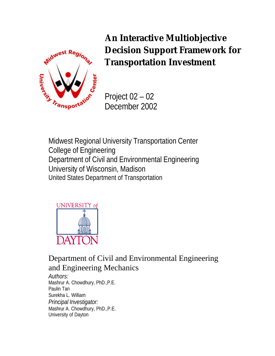

**An Interactive Multiobjective Decision Support Framework for Transportation Investment**

Project 02 – 02 December 2002

Midwest Regional University Transportation Center College of Engineering Department of Civil and Environmental Engineering University of Wisconsin, Madison United States Department of Transportation



Department of Civil and Environmental Engineering and Engineering Mechanics

*Authors:* Mashrur A. Chowdhury, PhD.,P.E. Paulin Tan Surekha L. William *Principal Investigator:* Mashrur A. Chowdhury, PhD.,P.E. University of Dayton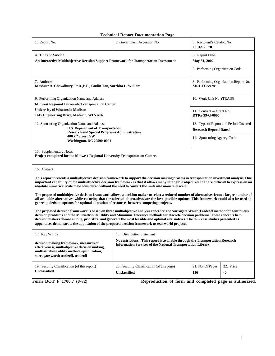#### **Technical Report Documentation Page**

| 1. Report No.                                                                                                                                                                                                                                                                                                                                                                                                                                                                                                              | 2. Government Accession No.                                             | 3. Recipient's Catalog No.<br><b>CFDA 20.701</b>   |  |  |  |  |  |
|----------------------------------------------------------------------------------------------------------------------------------------------------------------------------------------------------------------------------------------------------------------------------------------------------------------------------------------------------------------------------------------------------------------------------------------------------------------------------------------------------------------------------|-------------------------------------------------------------------------|----------------------------------------------------|--|--|--|--|--|
| 4. Title and Subtitle                                                                                                                                                                                                                                                                                                                                                                                                                                                                                                      |                                                                         | 5. Report Date                                     |  |  |  |  |  |
| An Interactive Multiobjective Decision Support Framework for Transportation Investment                                                                                                                                                                                                                                                                                                                                                                                                                                     | May 31, 2002<br>6. Performing Organization Code                         |                                                    |  |  |  |  |  |
|                                                                                                                                                                                                                                                                                                                                                                                                                                                                                                                            |                                                                         |                                                    |  |  |  |  |  |
| 7. Author/s<br>Mashrur A. Chowdhury, PhD., P.E., Paulin Tan, Surekha L. William                                                                                                                                                                                                                                                                                                                                                                                                                                            | <b>MRUTC</b> xx-xx                                                      | 8. Performing Organization Report No.              |  |  |  |  |  |
| 9. Performing Organization Name and Address                                                                                                                                                                                                                                                                                                                                                                                                                                                                                | 10. Work Unit No. (TRAIS)                                               |                                                    |  |  |  |  |  |
| <b>Midwest Regional University Transportation Center</b>                                                                                                                                                                                                                                                                                                                                                                                                                                                                   |                                                                         |                                                    |  |  |  |  |  |
| <b>University of Wisconsin-Madison</b><br>1415 Engineering Drive, Madison, WI 53706                                                                                                                                                                                                                                                                                                                                                                                                                                        |                                                                         | 11. Contract or Grant No.<br><b>DTRS 99-G-0005</b> |  |  |  |  |  |
| 12. Sponsoring Organization Name and Address<br><b>U.S. Department of Transportation</b><br><b>Research and Special Programs Administration</b>                                                                                                                                                                                                                                                                                                                                                                            | 13. Type of Report and Period Covered<br><b>Research Report [Dates]</b> |                                                    |  |  |  |  |  |
| 400 7 <sup>th</sup> Street, SW<br><b>Washington, DC 20590-0001</b>                                                                                                                                                                                                                                                                                                                                                                                                                                                         |                                                                         | 14. Sponsoring Agency Code                         |  |  |  |  |  |
| Project completed for the Midwest Regional University Transportation Center.<br>16. Abstract<br>This report presents a multiobjective decision framework to support the decision making process in transportation investment analysis. One<br>important capability of the multiobjective decision framework is that it allows many intangible objectives that are difficult to express on an<br>absolute numerical scale to be considered without the need to convert the units into monetary scale.                       |                                                                         |                                                    |  |  |  |  |  |
| The proposed multiobjective decision framework allows a decision maker to select a reduced number of alternatives from a larger number of<br>all available alternatives while ensuring that the selected alternatives are the best possible options. This framework could also be used to<br>generate decision options for optimal allocation of resources between competing projects.                                                                                                                                     |                                                                         |                                                    |  |  |  |  |  |
| The proposed decision framework is based on three multiobjective analysis concepts: the Surrogate Worth Tradeoff method for continuous<br>decision problems and the Multiattribute Utility and Minimum Tolerance methods for discrete decision problems. These concepts help<br>decision makers choose among, prioritize, and generate the most feasible and optimal alternatives. The four case studies presented as<br>appendices demonstrate the application of the proposed decision framework to real-world projects. |                                                                         |                                                    |  |  |  |  |  |
| 17. Key Words                                                                                                                                                                                                                                                                                                                                                                                                                                                                                                              | 18. Distribution Statement                                              |                                                    |  |  |  |  |  |
| No restrictions. This report is available through the Transportation Research<br>decision making framework, measures of<br><b>Information Services of the National Transportation Library.</b><br>effectiveness, multiobjective decision making,<br>multiattribute utility method, optimization,<br>surrogate worth tradeoff, tradeoff                                                                                                                                                                                     |                                                                         |                                                    |  |  |  |  |  |
| 19. Security Classification (of this report)<br>Unclassified                                                                                                                                                                                                                                                                                                                                                                                                                                                               | 21. No. Of Pages<br>116                                                 | 22. Price<br>$-0-$                                 |  |  |  |  |  |

**Form DOT F 1700.7 (8-72)** Reproduction of form and completed page is authorized.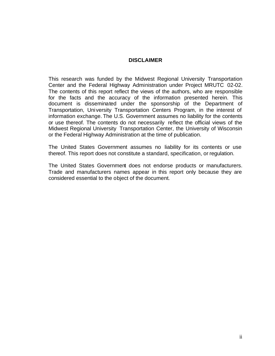## **DISCLAIMER**

This research was funded by the Midwest Regional University Transportation Center and the Federal Highway Administration under Project MRUTC 02-02. The contents of this report reflect the views of the authors, who are responsible for the facts and the accuracy of the information presented herein. This document is disseminated under the sponsorship of the Department of Transportation, University Transportation Centers Program, in the interest of information exchange. The U.S. Government assumes no liability for the contents or use thereof. The contents do not necessarily reflect the official views of the Midwest Regional University Transportation Center, the University of Wisconsin or the Federal Highway Administration at the time of publication.

The United States Government assumes no liability for its contents or use thereof. This report does not constitute a standard, specification, or regulation.

The United States Government does not endorse products or manufacturers. Trade and manufacturers names appear in this report only because they are considered essential to the object of the document.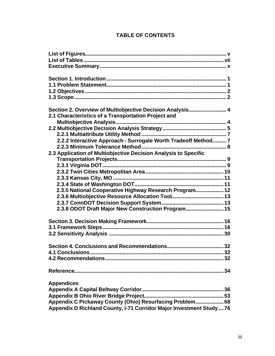|  | <b>TABLE OF CONTENTS</b> |
|--|--------------------------|
|  |                          |

| Section 2. Overview of Multiobjective Decision Analysis 4           |
|---------------------------------------------------------------------|
| 2.1 Characteristics of a Transportation Project and                 |
|                                                                     |
|                                                                     |
|                                                                     |
| 2.2.2 Interactive Approach - Surrogate Worth Tradeoff Method 7      |
|                                                                     |
| 2.3 Application of Multiobjective Decision Analysis to Specific     |
|                                                                     |
|                                                                     |
|                                                                     |
|                                                                     |
|                                                                     |
| 2.3.5 National Cooperative Highway Research Program 12              |
|                                                                     |
|                                                                     |
| 2.3.8 ODOT Draft Major New Construction Program 15                  |
|                                                                     |
|                                                                     |
|                                                                     |
|                                                                     |
|                                                                     |
|                                                                     |
| <b>4.1 Conclusions</b>                                              |
|                                                                     |
|                                                                     |
|                                                                     |
|                                                                     |
| <b>Appendices</b>                                                   |
|                                                                     |
|                                                                     |
| Appendix C Pickaway County (Ohio) Resurfacing Problem 68            |
| Appendix D Richland County, I-71 Corridor Major Investment Study 76 |
|                                                                     |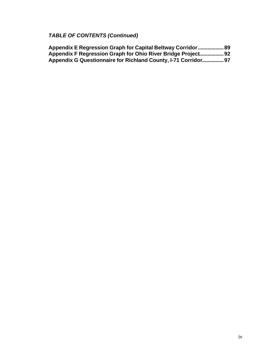# *TABLE OF CONTENTS (Continued)*

| Appendix E Regression Graph for Capital Beltway Corridor  89   |  |
|----------------------------------------------------------------|--|
| Appendix F Regression Graph for Ohio River Bridge Project92    |  |
| Appendix G Questionnaire for Richland County, I-71 Corridor 97 |  |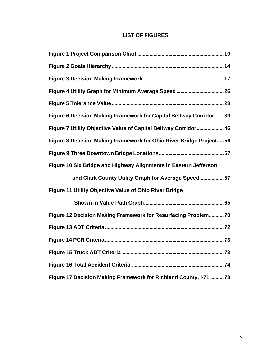## **LIST OF FIGURES**

| Figure 4 Utility Graph for Minimum Average Speed 26                 |
|---------------------------------------------------------------------|
|                                                                     |
| Figure 6 Decision Making Framework for Capital Beltway Corridor 39  |
| Figure 7 Utility Objective Value of Capital Beltway Corridor 46     |
| Figure 8 Decision Making Framework for Ohio River Bridge Project 56 |
|                                                                     |
| Figure 10 Six Bridge and Highway Alignments in Eastern Jefferson    |
| and Clark County Utility Graph for Average Speed 57                 |
| Figure 11 Utility Objective Value of Ohio River Bridge              |
|                                                                     |
| Figure 12 Decision Making Framework for Resurfacing Problem70       |
|                                                                     |
|                                                                     |
|                                                                     |
|                                                                     |
| Figure 17 Decision Making Framework for Richland County, I-71  78   |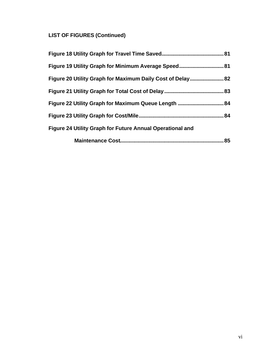# **LIST OF FIGURES (Continued)**

| Figure 20 Utility Graph for Maximum Daily Cost of Delay 82       |    |
|------------------------------------------------------------------|----|
|                                                                  |    |
|                                                                  |    |
|                                                                  | 84 |
| <b>Figure 24 Utility Graph for Future Annual Operational and</b> |    |
|                                                                  | 85 |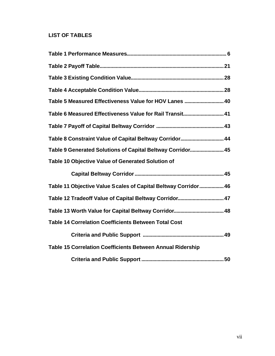## **LIST OF TABLES**

| Table 5 Measured Effectiveness Value for HOV Lanes  40            |
|-------------------------------------------------------------------|
| Table 6 Measured Effectiveness Value for Rail Transit 41          |
|                                                                   |
| Table 8 Constraint Value of Capital Beltway Corridor 44           |
| Table 9 Generated Solutions of Capital Beltway Corridor 45        |
| Table 10 Objective Value of Generated Solution of                 |
|                                                                   |
| Table 11 Objective Value Scales of Capital Beltway Corridor 46    |
|                                                                   |
|                                                                   |
| <b>Table 14 Correlation Coefficients Between Total Cost</b>       |
|                                                                   |
| <b>Table 15 Correlation Coefficients Between Annual Ridership</b> |
|                                                                   |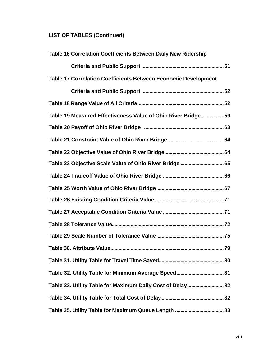# **LIST OF TABLES (Continued)**

| Table 16 Correlation Coefficients Between Daily New Ridership         |
|-----------------------------------------------------------------------|
|                                                                       |
| <b>Table 17 Correlation Coefficients Between Economic Development</b> |
|                                                                       |
|                                                                       |
| Table 19 Measured Effectiveness Value of Ohio River Bridge  59        |
|                                                                       |
|                                                                       |
|                                                                       |
|                                                                       |
|                                                                       |
|                                                                       |
|                                                                       |
|                                                                       |
|                                                                       |
|                                                                       |
|                                                                       |
|                                                                       |
|                                                                       |
| Table 33. Utility Table for Maximum Daily Cost of Delay 82            |
|                                                                       |
|                                                                       |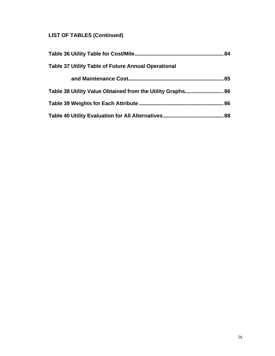# **LIST OF TABLES (Continued)**

|                                                            | .84 |
|------------------------------------------------------------|-----|
| <b>Table 37 Utility Table of Future Annual Operational</b> |     |
| 85                                                         |     |
|                                                            |     |
|                                                            | 86  |
|                                                            | 88  |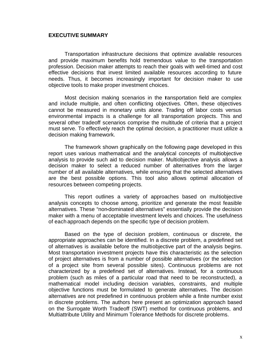#### **EXECUTIVE SUMMARY**

Transportation infrastructure decisions that optimize available resources and provide maximum benefits hold tremendous value to the transportation profession. Decision maker attempts to reach their goals with well-timed and cost effective decisions that invest limited available resources according to future needs. Thus, it becomes increasingly important for decision maker to use objective tools to make proper investment choices.

Most decision making scenarios in the transportation field are complex and include multiple, and often conflicting objectives. Often, these objectives cannot be measured in monetary units alone. Trading off labor costs versus environmental impacts is a challenge for all transportation projects. This and several other tradeoff scenarios comprise the multitude of criteria that a project must serve. To effectively reach the optimal decision, a practitioner must utilize a decision making framework.

The framework shown graphically on the following page developed in this report uses various mathematical and the analytical concepts of multiobjective analysis to provide such aid to decision maker. Multiobjective analysis allows a decision maker to select a reduced number of alternatives from the larger number of all available alternatives, while ensuring that the selected alternatives are the best possible options. This tool also allows optimal allocation of resources between competing projects.

This report outlines a variety of approaches based on multiobjective analysis concepts to choose among, prioritize and generate the most feasible alternatives. These "non-dominated alternatives" essentially provide the decision maker with a menu of acceptable investment levels and choices. The usefulness of each approach depends on the specific type of decision problem.

Based on the type of decision problem, continuous or discrete, the appropriate approaches can be identified. In a discrete problem, a predefined set of alternatives is available before the multiobjective part of the analysis begins. Most transportation investment projects have this characteristic as the selection of project alternatives is from a number of possible alternatives (or the selection of a project site from several possible sites). Continuous problems are not characterized by a predefined set of alternatives. Instead, for a continuous problem (such as miles of a particular road that need to be reconstructed), a mathematical model including decision variables, constraints, and multiple objective functions must be formulated to generate alternatives. The decision alternatives are not predefined in continuous problem while a finite number exist in discrete problems. The authors here present an optimization approach based on the Surrogate Worth Tradeoff (SWT) method for continuous problems, and Multiattribute Utility and Minimum Tolerance Methods for discrete problems.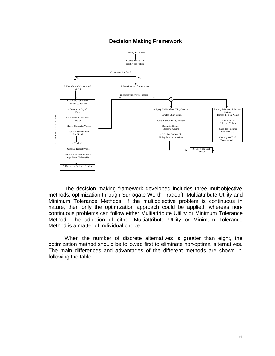

## **Decision Making Framework**

The decision making framework developed includes three multiobjective methods: optimization through Surrogate Worth Tradeoff, Multiattribute Utility and Minimum Tolerance Methods. If the multiobjective problem is continuous in nature, then only the optimization approach could be applied, whereas noncontinuous problems can follow either Multiattribute Utility or Minimum Tolerance Method. The adoption of either Multiattribute Utility or Minimum Tolerance Method is a matter of individual choice.

When the number of discrete alternatives is greater than eight, the optimization method should be followed first to eliminate non-optimal alternatives. The main differences and advantages of the different methods are shown in following the table.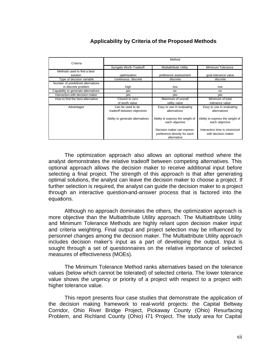## **Applicability by Criteria of the Proposed Methods**

| Criteria                                                 | Method                                           |                                                                           |                                                      |  |  |  |
|----------------------------------------------------------|--------------------------------------------------|---------------------------------------------------------------------------|------------------------------------------------------|--|--|--|
|                                                          | Surrgate Worth Tradeoff                          | <b>Multiattribute Utility</b>                                             | Minimum Tolerance                                    |  |  |  |
| Methods used to find a best<br>solution                  | optimization                                     | preference assessment                                                     | goal tolerance value                                 |  |  |  |
| Type of decision variable                                | continuous, discrete                             | discrete                                                                  | discrete                                             |  |  |  |
| Number of predefined alternatives<br>in discrete problem | high                                             | low                                                                       | low                                                  |  |  |  |
| Capability to generate alternatives                      | ves                                              | no                                                                        | no                                                   |  |  |  |
| Interaction with decision maker                          | ves                                              | ves                                                                       | ves                                                  |  |  |  |
| How to find the best alternative                         | Closest to zero<br>of worth value                | Maximum of overall<br>utility value                                       | Minimum of total<br>tolerance value                  |  |  |  |
| Advantages                                               | Can be used to do<br>tradeoff between objectives | Easy to use in evaluating<br>alternatives                                 | Easy to use in evaluating<br>alternatives            |  |  |  |
|                                                          | Ability to generate alternatives                 | Ability to express the weight of<br>each objective                        | Ability to express the weight of<br>each objective   |  |  |  |
|                                                          |                                                  | Decision maker can express<br>preference directly for each<br>alternative | Interaction time is minimized<br>with decision maker |  |  |  |

The optimization approach also allows an optional method where the analyst demonstrates the relative tradeoff between competing alternatives. This optional approach allows the decision maker to receive additional input before selecting a final project. The strength of this approach is that after generating optimal solutions, the analyst can leave the decision maker to choose a project. If further selection is required, the analyst can guide the decision maker to a project through an interactive question-and-answer process that is factored into the equations.

Although no approach dominates the others, the optimization approach is more objective than the Multiattribute Utility approach. The Multiattribute Utility and Minimum Tolerance Methods are highly reliant upon decision maker input and criteria weighting. Final output and project selection may be influenced by personnel changes among the decision maker. The Multiattribute Utility approach includes decision maker's input as a part of developing the output. Input is sought through a set of questionnaires on the relative importance of selected measures of effectiveness (MOEs).

The Minimum Tolerance Method ranks alternatives based on the tolerance values (below which cannot be tolerated) of selected criteria. The lower tolerance value shows the urgency or priority of a project with respect to a project with higher tolerance value.

This report presents four case studies that demonstrate the application of the decision making framework to real-world projects: the Capital Beltway Corridor, Ohio River Bridge Project, Pickaway County (Ohio) Resurfacing Problem, and Richland County (Ohio) I71 Project. The study area for Capital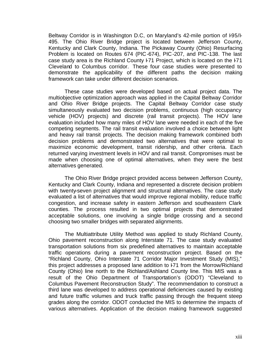Beltway Corridor is in Washington D.C, on Maryland's 42-mile portion of I-95/I-495. The Ohio River Bridge project is located between Jefferson County, Kentucky and Clark County, Indiana. The Pickaway County (Ohio) Resurfacing Problem is located on Routes 674 (PIC-674), PIC-207, and PIC-138. The last case study area is the Richland County F71 Project, which is located on the F71 Cleveland to Columbus corridor. These four case studies were presented to demonstrate the applicability of the different paths the decision making framework can take under different decision scenarios.

These case studies were developed based on actual project data. The multiobjective optimization approach was applied in the Capital Beltway Corridor and Ohio River Bridge projects. The Capital Beltway Corridor case study simultaneously evaluated two decision problems, continuous (high occupancy vehicle (HOV) projects) and discrete (rail transit projects). The HOV lane evaluation included how many miles of HOV lane were needed in each of the five competing segments. The rail transit evaluation involved a choice between light and heavy rail transit projects. The decision making framework combined both decision problems and demonstrated two alternatives that were optimal to maximize economic development, transit ridership, and other criteria. Each returned varying investment levels in HOV and rail transit. Compromises must be made when choosing one of optimal alternatives, when they were the best alternatives generated.

The Ohio River Bridge project provided access between Jefferson County, Kentucky and Clark County, Indiana and represented a discrete decision problem with twenty-seven project alignment and structural alternatives. The case study evaluated a list of alternatives that would improve regional mobility, reduce traffic congestion, and increase safety in eastern Jefferson and southeastern Clark counties. The process resulted in two optimal projects that demonstrated acceptable solutions, one involving a single bridge crossing and a second choosing two smaller bridges with separated alignments.

The Multiattribute Utility Method was applied to study Richland County, Ohio pavement reconstruction along Interstate 71. The case study evaluated transportation solutions from six predefined alternatives to maintain acceptable traffic operations during a pavement reconstruction project. Based on the "Richland County, Ohio Interstate 71 Corridor Major Investment Study (MIS)," this project addresses a proposed lane addition to F71 from the Morrow/Richland County (Ohio) line north to the Richland/Ashland County line. This MIS was a result of the Ohio Department of Transportation's (ODOT) "Cleveland to Columbus Pavement Reconstruction Study". The recommendation to construct a third lane was developed to address operational deficiencies caused by existing and future traffic volumes and truck traffic passing through the frequent steep grades along the corridor. ODOT conducted the MIS to determine the impacts of various alternatives. Application of the decision making framework suggested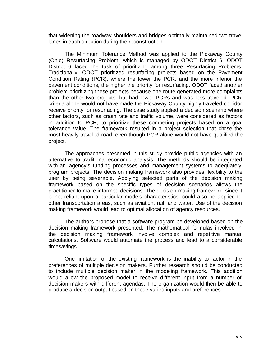that widening the roadway shoulders and bridges optimally maintained two travel lanes in each direction during the reconstruction.

The Minimum Tolerance Method was applied to the Pickaway County (Ohio) Resurfacing Problem, which is managed by ODOT District 6. ODOT District 6 faced the task of prioritizing among three Resurfacing Problems. Traditionally, ODOT prioritized resurfacing projects based on the Pavement Condition Rating (PCR), where the lower the PCR, and the more inferior the pavement conditions, the higher the priority for resurfacing. ODOT faced another problem prioritizing these projects because one route generated more complaints than the other two projects, but had lower PCRs and was less traveled. PCR criteria alone would not have made the Pickaway County highly traveled corridor receive priority for resurfacing. The case study applied a decision scenario where other factors, such as crash rate and traffic volume, were considered as factors in addition to PCR, to prioritize these competing projects based on a goal tolerance value. The framework resulted in a project selection that chose the most heavily traveled road, even though PCR alone would not have qualified the project.

The approaches presented in this study provide public agencies with an alternative to traditional economic analysis. The methods should be integrated with an agency's funding processes and management systems to adequately program projects. The decision making framework also provides flexibility to the user by being severable. Applying selected parts of the decision making framework based on the specific types of decision scenarios allows the practitioner to make informed decisions. The decision making framework, since it is not reliant upon a particular mode's characteristics, could also be applied to other transportation areas, such as aviation, rail, and water. Use of the decision making framework would lead to optimal allocation of agency resources.

The authors propose that a software program be developed based on the decision making framework presented. The mathematical formulas involved in the decision making framework involve complex and repetitive manual calculations. Software would automate the process and lead to a considerable timesavings.

One limitation of the existing framework is the inability to factor in the preferences of multiple decision makers. Further research should be conducted to include multiple decision maker in the modeling framework. This addition would allow the proposed model to receive different input from a number of decision makers with different agendas. The organization would then be able to produce a decision output based on these varied inputs and preferences.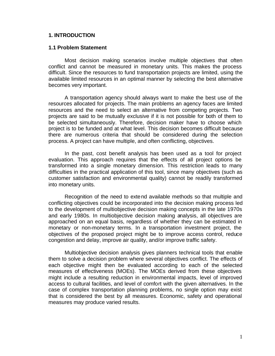## **1. INTRODUCTION**

#### **1.1 Problem Statement**

Most decision making scenarios involve multiple objectives that often conflict and cannot be measured in monetary units. This makes the process difficult. Since the resources to fund transportation projects are limited, using the available limited resources in an optimal manner by selecting the best alternative becomes very important.

A transportation agency should always want to make the best use of the resources allocated for projects. The main problems an agency faces are limited resources and the need to select an alternative from competing projects. Two projects are said to be mutually exclusive if it is not possible for both of them to be selected simultaneously. Therefore, decision maker have to choose which project is to be funded and at what level. This decision becomes difficult because there are numerous criteria that should be considered during the selection process. A project can have multiple, and often conflicting, objectives.

In the past, cost benefit analysis has been used as a tool for project evaluation. This approach requires that the effects of all project options be transformed into a single monetary dimension. This restriction leads to many difficulties in the practical application of this tool, since many objectives (such as customer satisfaction and environmental quality) cannot be readily transformed into monetary units.

Recognition of the need to extend available methods so that multiple and conflicting objectives could be incorporated into the decision making process led to the development of multiobjective decision making concepts in the late 1970s and early 1980s. In multiobjective decision making analysis, all objectives are approached on an equal basis, regardless of whether they can be estimated in monetary or non-monetary terms. In a transportation investment project, the objectives of the proposed project might be to improve access control, reduce congestion and delay, improve air quality, and/or improve traffic safety.

Multiobjective decision analysis gives planners technical tools that enable them to solve a decision problem where several objectives conflict. The effects of each objective might then be evaluated according to each of the selected measures of effectiveness (MOEs). The MOEs derived from these objectives might include a resulting reduction in environmental impacts, level of improved access to cultural facilities, and level of comfort with the given alternatives. In the case of complex transportation planning problems, no single option may exist that is considered the best by all measures. Economic, safety and operational measures may produce varied results.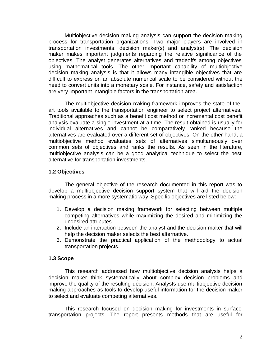Multiobjective decision making analysis can support the decision making process for transportation organizations. Two major players are involved in transportation investments: decision maker(s) and analyst(s). The decision maker makes important judgments regarding the relative significance of the objectives. The analyst generates alternatives and tradeoffs among objectives using mathematical tools. The other important capability of multiobjective decision making analysis is that it allows many intangible objectives that are difficult to express on an absolute numerical scale to be considered without the need to convert units into a monetary scale. For instance, safety and satisfaction are very important intangible factors in the transportation area.

The multiobjective decision making framework improves the state-of-theart tools available to the transportation engineer to select project alternatives. Traditional approaches such as a benefit cost method or incremental cost benefit analysis evaluate a single investment at a time. The result obtained is usually for individual alternatives and cannot be comparatively ranked because the alternatives are evaluated over a different set of objectives. On the other hand, a multiobjective method evaluates sets of alternatives simultaneously over common sets of objectives and ranks the results. As seen in the literature, multiobjective analysis can be a good analytical technique to select the best alternative for transportation investments.

## **1.2 Objectives**

The general objective of the research documented in this report was to develop a multiobjective decision support system that will aid the decision making process in a more systematic way. Specific objectives are listed below:

- 1. Develop a decision making framework for selecting between multiple competing alternatives while maximizing the desired and minimizing the undesired attributes.
- 2. Include an interaction between the analyst and the decision maker that will help the decision maker selects the best alternative.
- 3. Demonstrate the practical application of the methodology to actual transportation projects.

## **1.3 Scope**

This research addressed how multiobjective decision analysis helps a decision maker think systematically about complex decision problems and improve the quality of the resulting decision. Analysts use multiobjective decision making approaches as tools to develop useful information for the decision maker to select and evaluate competing alternatives.

This research focused on decision making for investments in surface transportation projects. The report presents methods that are useful for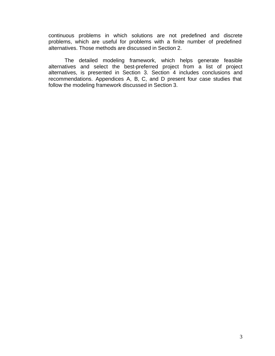continuous problems in which solutions are not predefined and discrete problems, which are useful for problems with a finite number of predefined alternatives. Those methods are discussed in Section 2.

The detailed modeling framework, which helps generate feasible alternatives and select the best-preferred project from a list of project alternatives, is presented in Section 3. Section 4 includes conclusions and recommendations. Appendices A, B, C, and D present four case studies that follow the modeling framework discussed in Section 3.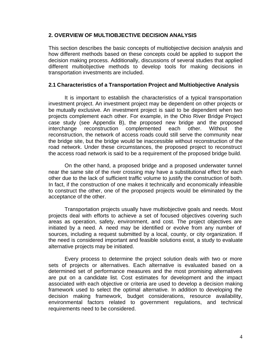## **2. OVERVIEW OF MULTIOBJECTIVE DECISION ANALYSIS**

This section describes the basic concepts of multiobjective decision analysis and how different methods based on these concepts could be applied to support the decision making process. Additionally, discussions of several studies that applied different multiobjective methods to develop tools for making decisions in transportation investments are included.

## **2.1 Characteristics of a Transportation Project and Multiobjective Analysis**

It is important to establish the characteristics of a typical transportation investment project. An investment project may be dependent on other projects or be mutually exclusive. An investment project is said to be dependent when two projects complement each other. For example, in the Ohio River Bridge Project case study (see Appendix B), the proposed new bridge and the proposed interchange reconstruction complemented each other. Without the reconstruction, the network of access roads could still serve the community near the bridge site, but the bridge would be inaccessible without reconstruction of the road network. Under these circumstances, the proposed project to reconstruct the access road network is said to be a requirement of the proposed bridge build.

On the other hand, a proposed bridge and a proposed underwater tunnel near the same site of the river crossing may have a substitutional effect for each other due to the lack of sufficient traffic volume to justify the construction of both. In fact, if the construction of one makes it technically and economically infeasible to construct the other, one of the proposed projects would be eliminated by the acceptance of the other.

Transportation projects usually have multiobjective goals and needs. Most projects deal with efforts to achieve a set of focused objectives covering such areas as operation, safety, environment, and cost. The project objectives are initiated by a need. A need may be identified or evolve from any number of sources, including a request submitted by a local, county, or city organization. If the need is considered important and feasible solutions exist, a study to evaluate alternative projects may be initiated.

Every process to determine the project solution deals with two or more sets of projects or alternatives. Each alternative is evaluated based on a determined set of performance measures and the most promising alternatives are put on a candidate list. Cost estimates for development and the impact associated with each objective or criteria are used to develop a decision making framework used to select the optimal alternative. In addition to developing the decision making framework, budget considerations, resource availability, environmental factors related to government regulations, and technical requirements need to be considered.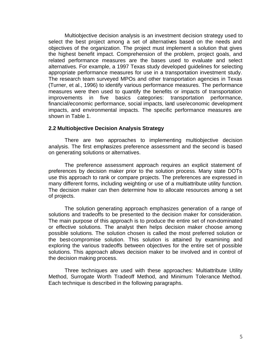Multiobjective decision analysis is an investment decision strategy used to select the best project among a set of alternatives based on the needs and objectives of the organization. The project must implement a solution that gives the highest benefit impact. Comprehension of the problem, project goals, and related performance measures are the bases used to evaluate and select alternatives. For example, a 1997 Texas study developed guidelines for selecting appropriate performance measures for use in a transportation investment study. The research team surveyed MPOs and other transportation agencies in Texas (Turner, et al., 1996) to identify various performance measures. The performance measures were then used to quantify the benefits or impacts of transportation improvements in five basics categories: transportation performance, financial/economic performance, social impacts, land use/economic development impacts, and environmental impacts. The specific performance measures are shown in Table 1.

## **2.2 Multiobjective Decision Analysis Strategy**

There are two approaches to implementing multiobjective decision analysis. The first emphasizes preference assessment and the second is based on generating solutions or alternatives.

The preference assessment approach requires an explicit statement of preferences by decision maker prior to the solution process. Many state DOTs use this approach to rank or compare projects. The preferences are expressed in many different forms, including weighting or use of a multiattribute utility function. The decision maker can then determine how to allocate resources among a set of projects.

The solution generating approach emphasizes generation of a range of solutions and tradeoffs to be presented to the decision maker for consideration. The main purpose of this approach is to produce the entire set of non-dominated or effective solutions. The analyst then helps decision maker choose among possible solutions. The solution chosen is called the most preferred solution or the best-compromise solution. This solution is attained by examining and exploring the various tradeoffs between objectives for the entire set of possible solutions. This approach allows decision maker to be involved and in control of the decision making process.

Three techniques are used with these approaches: Multiattribute Utility Method, Surrogate Worth Tradeoff Method, and Minimum Tolerance Method. Each technique is described in the following paragraphs.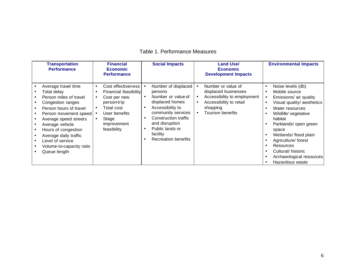|  | Table 1. Performance Measures |  |
|--|-------------------------------|--|
|--|-------------------------------|--|

| <b>Transportation</b><br><b>Performance</b>                                                                                                                                                                                                                                                      |                                          | <b>Financial</b><br><b>Economic</b><br><b>Performance</b>                                                                                        | <b>Social Impacts</b>                                                                                                                                                                                                    |                                                  | <b>Land Use/</b><br><b>Economic</b><br><b>Development Impacts</b>                                                                    |                        | <b>Environmental Impacts</b>                                                                                                                                                                                                                                                                                        |
|--------------------------------------------------------------------------------------------------------------------------------------------------------------------------------------------------------------------------------------------------------------------------------------------------|------------------------------------------|--------------------------------------------------------------------------------------------------------------------------------------------------|--------------------------------------------------------------------------------------------------------------------------------------------------------------------------------------------------------------------------|--------------------------------------------------|--------------------------------------------------------------------------------------------------------------------------------------|------------------------|---------------------------------------------------------------------------------------------------------------------------------------------------------------------------------------------------------------------------------------------------------------------------------------------------------------------|
| Average travel time<br>Total delay<br>Person miles of travel<br>Congestion ranges<br>Person hours of travel<br>Person movement speed<br>Average speed streets<br>Average vehicle<br>Hours of congestion<br>Average daily traffic<br>Level of service<br>Volume-to-capacity ratio<br>Queue length | $\bullet$<br>٠<br>$\bullet$<br>$\bullet$ | Cost effectiveness<br>Financial feasibility<br>Cost per new<br>person-trip<br>Total cost<br>User benefits<br>Stage<br>improvement<br>feasibility | Number of displaced<br>persons<br>Number or value of<br>displaced homes<br>Accessibility to<br>community services<br>Construction traffic<br>and disruption<br>Public lands or<br>facility<br><b>Recreation benefits</b> | $\bullet$<br>$\bullet$<br>$\bullet$<br>$\bullet$ | Number or value of<br>displaced businesses<br>Accessibility to employment<br>Accessibility to retail<br>shopping<br>Tourism benefits | $\bullet$<br>$\bullet$ | Noise levels (db)<br>Mobile source<br>Emissions/ air quality<br>Visual quality/ aesthetics<br>Water resources<br>Wildlife/ vegetative<br>habitat<br>Parklands/ open green<br>space<br>Wetlands/ flood plain<br>Agriculture/ forest<br>Resources<br>Cultural/historic<br>Archaeological resources<br>Hazardous waste |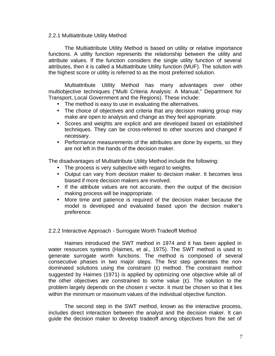#### 2.2.1 Multiattribute Utility Method

The Multiattribute Utility Method is based on utility or relative importance functions. A utility function represents the relationship between the utility and attribute values. If the function considers the single utility function of several attributes, then it is called a Multiattribute Utility function (MUF). The solution with the highest score or utility is referred to as the most preferred solution.

Multiattribute Utility Method has many advantages over other multiobjective techniques ("Multi Criteria Analysis: A Manual," Department for Transport, Local Government and the Regions). These include:

- The method is easy to use in evaluating the alternatives.
- The choice of objectives and criteria that any decision making group may make are open to analysis and change as they feel appropriate.
- Scores and weights are explicit and are developed based on established techniques. They can be cross-referred to other sources and changed if necessary.
- Performance measurements of the attributes are done by experts, so they are not left in the hands of the decision maker.

The disadvantages of Multiattribute Utility Method include the following:

- The process is very subjective with regard to weights.
- Output can vary from decision maker to decision maker. It becomes less biased if more decision makers are involved.
- If the attribute values are not accurate, then the output of the decision making process will be inappropriate.
- More time and patience is required of the decision maker because the model is developed and evaluated based upon the decision maker's preference.

## 2.2.2 Interactive Approach - Surrogate Worth Tradeoff Method

Haimes introduced the SWT method in 1974 and it has been applied in water resources systems (Haimes, et al., 1975). The SWT method is used to generate surrogate worth functions. The method is composed of several consecutive phases in two major steps. The first step generates the nondominated solutions using the constraint (ε) method. The constraint method suggested by Haimes (1971) is applied by optimizing one objective while all of the other objectives are constrained to some value  $(\varepsilon)$ . The solution to the problem largely depends on the chosen  $\varepsilon$  vector. It must be chosen so that it lies within the minimum or maximum values of the individual objective function.

The second step in the SWT method, known as the interactive process, includes direct interaction between the analyst and the decision maker. It can guide the decision maker to develop tradeoff among objectives from the set of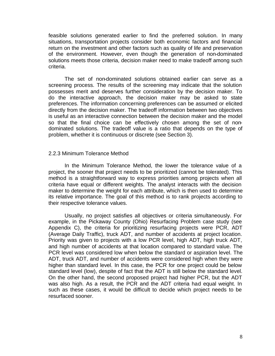feasible solutions generated earlier to find the preferred solution. In many situations, transportation projects consider both economic factors and financial return on the investment and other factors such as quality of life and preservation of the environment. However, even though the generation of non-dominated solutions meets those criteria, decision maker need to make tradeoff among such criteria.

The set of non-dominated solutions obtained earlier can serve as a screening process. The results of the screening may indicate that the solution possesses merit and deserves further consideration by the decision maker. To do the interactive approach, the decision maker may be asked to state preferences. The information concerning preferences can be assumed or elicited directly from the decision maker. The tradeoff information between two objectives is useful as an interactive connection between the decision maker and the model so that the final choice can be effectively chosen among the set of nondominated solutions. The tradeoff value is a ratio that depends on the type of problem, whether it is continuous or discrete (see Section 3).

#### 2.2.3 Minimum Tolerance Method

In the Minimum Tolerance Method, the lower the tolerance value of a project, the sooner that project needs to be prioritized (cannot be tolerated). This method is a straightforward way to express priorities among projects when all criteria have equal or different weights. The analyst interacts with the decision maker to determine the weight for each attribute, which is then used to determine its relative importance. The goal of this method is to rank projects according to their respective tolerance values.

Usually, no project satisfies all objectives or criteria simultaneously. For example, in the Pickaway County (Ohio) Resurfacing Problem case study (see Appendix C), the criteria for prioritizing resurfacing projects were PCR, ADT (Average Daily Traffic), truck ADT, and number of accidents at project location. Priority was given to projects with a low PCR level, high ADT, high truck ADT, and high number of accidents at that location compared to standard value. The PCR level was considered low when below the standard or aspiration level. The ADT, truck ADT, and number of accidents were considered high when they were higher than standard level. In this case, the PCR for one project could be below standard level (low), despite of fact that the ADT is still below the standard level. On the other hand, the second proposed project had higher PCR, but the ADT was also high. As a result, the PCR and the ADT criteria had equal weight. In such as these cases, it would be difficult to decide which project needs to be resurfaced sooner.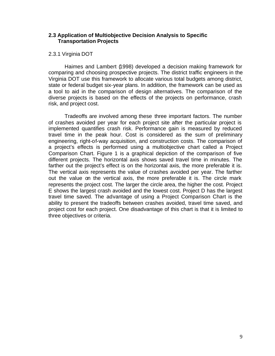## **2.3 Application of Multiobjective Decision Analysis to Specific Transportation Projects**

## 2.3.1 Virginia DOT

Haimes and Lambert (1998) developed a decision making framework for comparing and choosing prospective projects. The district traffic engineers in the Virginia DOT use this framework to allocate various total budgets among district, state or federal budget six-year plans. In addition, the framework can be used as a tool to aid in the comparison of design alternatives. The comparison of the diverse projects is based on the effects of the projects on performance, crash risk, and project cost.

Tradeoffs are involved among these three important factors. The number of crashes avoided per year for each project site after the particular project is implemented quantifies crash risk. Performance gain is measured by reduced travel time in the peak hour. Cost is considered as the sum of preliminary engineering, right-of-way acquisition, and construction costs. The comparison of a project's effects is performed using a multiobjective chart called a Project Comparison Chart. Figure 1 is a graphical depiction of the comparison of five different projects. The horizontal axis shows saved travel time in minutes. The farther out the project's effect is on the horizontal axis, the more preferable it is. The vertical axis represents the value of crashes avoided per year. The farther out the value on the vertical axis, the more preferable it is. The circle mark represents the project cost. The larger the circle area, the higher the cost. Project E shows the largest crash avoided and the lowest cost. Project D has the largest travel time saved. The advantage of using a Project Comparison Chart is the ability to present the tradeoffs between crashes avoided, travel time saved, and project cost for each project. One disadvantage of this chart is that it is limited to three objectives or criteria.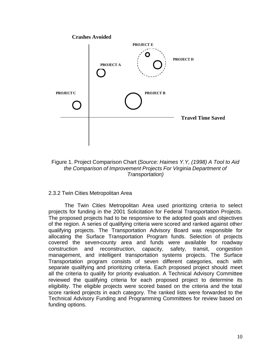

## Figure 1. Project Comparison Chart (*Source: Haimes Y.Y, (1998) A Tool to Aid the Comparison of Improvement Projects For Virginia Department of Transportation)*

## 2.3.2 Twin Cities Metropolitan Area

The Twin Cities Metropolitan Area used prioritizing criteria to select projects for funding in the 2001 Solicitation for Federal Transportation Projects. The proposed projects had to be responsive to the adopted goals and objectives of the region. A series of qualifying criteria were scored and ranked against other qualifying projects. The Transportation Advisory Board was responsible for allocating the Surface Transportation Program funds. Selection of projects covered the seven-county area and funds were available for roadway construction and reconstruction, capacity, safety, transit, congestion management, and intelligent transportation systems projects. The Surface Transportation program consists of seven different categories, each with separate qualifying and prioritizing criteria. Each proposed project should meet all the criteria to qualify for priority evaluation. A Technical Advisory Committee reviewed the qualifying criteria for each proposed project to determine its eligibility. The eligible projects were scored based on the criteria and the total score ranked projects in each category. The ranked lists were forwarded to the Technical Advisory Funding and Programming Committees for review based on funding options.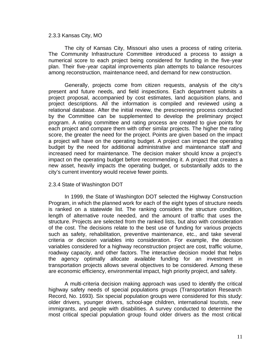#### 2.3.3 Kansas City, MO

The city of Kansas City, Missouri also uses a process of rating criteria. The Community Infrastructure Committee introduced a process to assign a numerical score to each project being considered for funding in the five-year plan. Their five-year capital improvements plan attempts to balance resources among reconstruction, maintenance need, and demand for new construction.

Generally, projects come from citizen requests, analysis of the city's present and future needs, and field inspections. Each department submits a project proposal, accompanied by cost estimates, land acquisition plans, and project descriptions. All the information is compiled and reviewed using a relational database. After the initial review, the prescreening process conducted by the Committee can be supplemented to develop the preliminary project program. A rating committee and rating process are created to give points for each project and compare them with other similar projects. The higher the rating score, the greater the need for the project. Points are given based on the impact a project will have on the operating budget. A project can impact the operating budget by the need for additional administrative and maintenance staff and increased need for maintenance. The decision maker should know a project's impact on the operating budget before recommending it. A project that creates a new asset, heavily impacts the operating budget, or substantially adds to the city's current inventory would receive fewer points.

## 2.3.4 State of Washington DOT

In 1999, the State of Washington DOT selected the Highway Construction Program, in which the planned work for each of the eight types of structure needs is ranked on a statewide list. The ranking considers the structure condition, length of alternative route needed, and the amount of traffic that uses the structure. Projects are selected from the ranked lists, but also with consideration of the cost. The decisions relate to the best use of funding for various projects such as safety, rehabilitation, preventive maintenance, etc., and take several criteria or decision variables into consideration. For example, the decision variables considered for a highway reconstruction project are cost, traffic volume, roadway capacity, and other factors. The interactive decision model that helps the agency optimally allocate available funding for an investment in transportation projects allows several objectives to be considered. Among these are economic efficiency, environmental impact, high priority project, and safety.

A multi-criteria decision making approach was used to identify the critical highway safety needs of special populations groups (Transportation Research Record, No. 1693). Six special population groups were considered for this study: older drivers, younger drivers, school-age children, international tourists, new immigrants, and people with disabilities. A survey conducted to determine the most critical special population group found older drivers as the most critical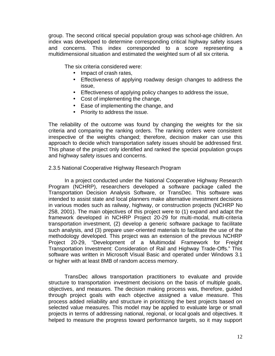group. The second critical special population group was school-age children. An index was developed to determine corresponding critical highway safety issues and concerns. This index corresponded to a score representing a multidimensional situation and estimated the weighted sum of all six criteria.

The six criteria considered were:

- Impact of crash rates,
- Effectiveness of applying roadway design changes to address the issue,
- Effectiveness of applying policy changes to address the issue,
- Cost of implementing the change,
- Ease of implementing the change, and
- Priority to address the issue.

The reliability of the outcome was found by changing the weights for the six criteria and comparing the ranking orders. The ranking orders were consistent irrespective of the weights changed; therefore, decision maker can use this approach to decide which transportation safety issues should be addressed first. This phase of the project only identified and ranked the special population groups and highway safety issues and concerns.

## 2.3.5 National Cooperative Highway Research Program

In a project conducted under the National Cooperative Highway Research Program (NCHRP), researchers developed a software package called the Transportation Decision Analysis Software, or TransDec. This software was intended to assist state and local planners make alternative investment decisions in various modes such as railway, highway, or construction projects (NCHRP No 258, 2001). The main objectives of this project were to (1) expand and adapt the framework developed in NCHRP Project 20-29 for multi-modal, multi-criteria transportation investment, (2) develop a generic software package to facilitate such analysis, and (3) prepare user-oriented materials to facilitate the use of the methodology developed. This project was an extension of the previous NCHRP Project 20-29, "Development of a Multimodal Framework for Freight Transportation Investment: Consideration of Rail and Highway Trade-Offs." This software was written in Microsoft Visual Basic and operated under Windows 3.1 or higher with at least 8MB of random access memory.

TransDec allows transportation practitioners to evaluate and provide structure to transportation investment decisions on the basis of multiple goals, objectives, and measures. The decision making process was, therefore, guided through project goals with each objective assigned a value measure. This process added reliability and structure in prioritizing the best projects based on selected value measures. This model may be applied to evaluate large or small projects in terms of addressing national, regional, or local goals and objectives. It helped to measure the progress toward performance targets, so it may support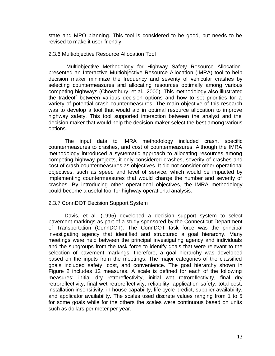state and MPO planning. This tool is considered to be good, but needs to be revised to make it user-friendly.

#### 2.3.6 Multiobjective Resource Allocation Tool

"Multiobjective Methodology for Highway Safety Resource Allocation" presented an Interactive Multiobjective Resource Allocation (IMRA) tool to help decision maker minimize the frequency and severity of vehicular crashes by selecting countermeasures and allocating resources optimally among various competing highways (Chowdhury, et al., 2000). This methodology also illustrated the tradeoff between various decision options and how to set priorities for a variety of potential crash countermeasures. The main objective of this research was to develop a tool that would aid in optimal resource allocation to improve highway safety. This tool supported interaction between the analyst and the decision maker that would help the decision maker select the best among various options.

The input data to IMRA methodology included crash, specific countermeasures to crashes, and cost of countermeasures. Although the IMRA methodology introduced a systematic approach to allocating resources among competing highway projects, it only considered crashes, severity of crashes and cost of crash countermeasures as objectives. It did not consider other operational objectives, such as speed and level of service, which would be impacted by implementing countermeasures that would change the number and severity of crashes. By introducing other operational objectives, the IMRA methodology could become a useful tool for highway operational analysis.

## 2.3.7 ConnDOT Decision Support System

Davis, et al. (1995) developed a decision support system to select pavement markings as part of a study sponsored by the Connecticut Department of Transportation (ConnDOT). The ConnDOT task force was the principal investigating agency that identified and structured a goal hierarchy. Many meetings were held between the principal investigating agency and individuals and the subgroups from the task force to identify goals that were relevant to the selection of pavement markings; therefore, a goal hierarchy was developed based on the inputs from the meetings. The major categories of the classified goals included safety, cost, and convenience. The goal hierarchy shown in Figure 2 includes 12 measures. A scale is defined for each of the following measures: initial dry retroreflectivity, initial wet retroreflectivity, final dry retroreflectivity, final wet retroreflectivity, reliability, application safety, total cost, installation insensitivity, in-house capability, life cycle predict, supplier availability, and applicator availability. The scales used discrete values ranging from 1 to 5 for some goals while for the others the scales were continuous based on units such as dollars per meter per year.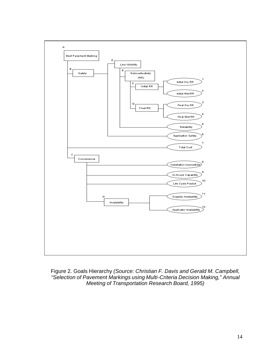

Figure 2. Goals Hierarchy *(Source: Christian F. Davis and Gerald M. Campbell, "Selection of Pavement Markings using Multi-Criteria Decision Making," Annual Meeting of Transportation Research Board, 1995)*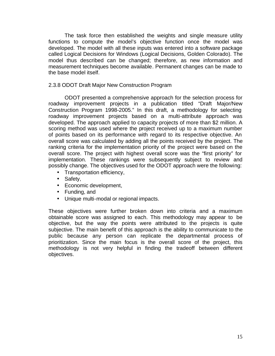The task force then established the weights and single measure utility functions to compute the model's objective function once the model was developed. The model with all these inputs was entered into a software package called Logical Decisions for Windows (Logical Decisions, Golden Colorado). The model thus described can be changed; therefore, as new information and measurement techniques become available. Permanent changes can be made to the base model itself.

## 2.3.8 ODOT Draft Major New Construction Program

ODOT presented a comprehensive approach for the selection process for roadway improvement projects in a publication titled "Draft Major/New Construction Program 1998-2005." In this draft, a methodology for selecting roadway improvement projects based on a multi-attribute approach was developed. The approach applied to capacity projects of more than \$2 million. A scoring method was used where the project received up to a maximum number of points based on its performance with regard to its respective objective. An overall score was calculated by adding all the points received by the project. The ranking criteria for the implementation priority of the project were based on the overall score. The project with highest overall score was the "first priority" for implementation. These rankings were subsequently subject to review and possibly change. The objectives used for the ODOT approach were the following:

- Transportation efficiency,
- Safety,
- Economic development,
- Funding, and
- Unique multi-modal or regional impacts.

These objectives were further broken down into criteria and a maximum obtainable score was assigned to each. This methodology may appear to be objective, but the way the points were attributed to the projects is quite subjective. The main benefit of this approach is the ability to communicate to the public because any person can replicate the departmental process of prioritization. Since the main focus is the overall score of the project, this methodology is not very helpful in finding the tradeoff between different objectives.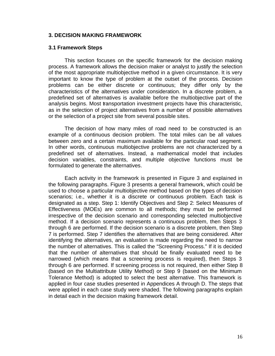## **3. DECISION MAKING FRAMEWORK**

#### **3.1 Framework Steps**

This section focuses on the specific framework for the decision making process. A framework allows the decision maker or analyst to justify the selection of the most appropriate multiobjective method in a given circumstance. It is very important to know the type of problem at the outset of the process. Decision problems can be either discrete or continuous; they differ only by the characteristics of the alternatives under consideration. In a discrete problem, a predefined set of alternatives is available before the multiobjective part of the analysis begins. Most transportation investment projects have this characteristic, as in the selection of project alternatives from a number of possible alternatives or the selection of a project site from several possible sites.

The decision of how many miles of road need to be constructed is an example of a continuous decision problem. The total miles can be all values between zero and a certain maximum available for the particular road segment. In other words, continuous multiobjective problems are not characterized by a predefined set of alternatives. Instead, a mathematical model that includes decision variables, constraints, and multiple objective functions must be formulated to generate the alternatives.

Each activity in the framework is presented in Figure 3 and explained in the following paragraphs. Figure 3 presents a general framework, which could be used to choose a particular multiobjective method based on the types of decision scenarios; i.e., whether it is a discrete or continuous problem. Each task is designated as a step. Step 1: Identify Objectives and Step 2: Select Measures of Effectiveness (MOEs) are common to all methods; they must be performed irrespective of the decision scenario and corresponding selected multiobjective method. If a decision scenario represents a continuous problem, then Steps 3 through 6 are performed. If the decision scenario is a discrete problem, then Step 7 is performed. Step 7 identifies the alternatives that are being considered. After identifying the alternatives, an evaluation is made regarding the need to narrow the number of alternatives. This is called the "Screening Process." If it is decided that the number of alternatives that should be finally evaluated need to be narrowed (which means that a screening process is required), then Steps 3 through 6 are performed. If screening process is not required, then either Step 8 (based on the Multiattribute Utility Method) or Step 9 (based on the Minimum Tolerance Method) is adopted to select the best alternative. This framework is applied in four case studies presented in Appendices A through D. The steps that were applied in each case study were shaded. The following paragraphs explain in detail each in the decision making framework detail.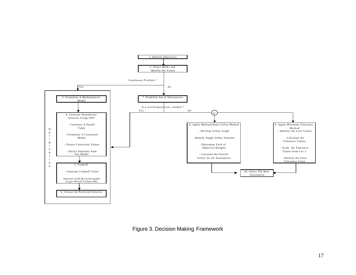

Figure 3. Decision Making Framework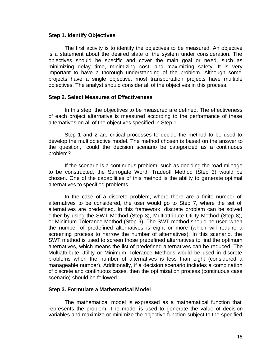#### **Step 1. Identify Objectives**

The first activity is to identify the objectives to be measured. An objective is a statement about the desired state of the system under consideration. The objectives should be specific and cover the main goal or need, such as minimizing delay time, minimizing cost, and maximizing safety. It is very important to have a thorough understanding of the problem. Although some projects have a single objective, most transportation projects have multiple objectives. The analyst should consider all of the objectives in this process.

#### **Step 2. Select Measures of Effectiveness**

In this step, the objectives to be measured are defined. The effectiveness of each project alternative is measured according to the performance of these alternatives on all of the objectives specified in Step 1.

Step 1 and 2 are critical processes to decide the method to be used to develop the multiobjective model. The method chosen is based on the answer to the question, "could the decision scenario be categorized as a continuous problem?"

If the scenario is a continuous problem, such as deciding the road mileage to be constructed, the Surrogate Worth Tradeoff Method (Step 3) would be chosen. One of the capabilities of this method is the ability to generate optimal alternatives to specified problems.

In the case of a discrete problem, where there are a finite number of alternatives to be considered, the user would go to Step 7, where the set of alternatives are predefined. In this framework, discrete problem can be solved either by using the SWT Method (Step 3), Multiattribute Utility Method (Step 8), or Minimum Tolerance Method (Step 9). The SWT method should be used when the number of predefined alternatives is eight or more (which will require a screening process to narrow the number of alternatives). In this scenario, the SWT method is used to screen those predefined alternatives to find the optimum alternatives, which means the list of predefined alternatives can be reduced. The Multiattribute Utility or Minimum Tolerance Methods would be used in discrete problems when the number of alternatives is less than eight (considered a manageable number). Additionally, if a decision scenario includes a combination of discrete and continuous cases, then the optimization process (continuous case scenario) should be followed.

#### **Step 3. Formulate a Mathematical Model**

The mathematical model is expressed as a mathematical function that represents the problem. The model is used to generate the value of decision variables and maximize or minimize the objective function subject to the specified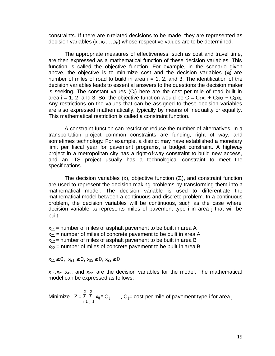constraints. If there are n-related decisions to be made, they are represented as decision variables  $(x_1, x_2, ..., x_n)$  whose respective values are to be determined.

The appropriate measures of effectiveness, such as cost and travel time, are then expressed as a mathematical function of these decision variables. This function is called the objective function. For example, in the scenario given above, the objective is to minimize cost and the decision variables  $(x<sub>i</sub>)$  are number of miles of road to build in area  $i = 1, 2$ , and 3. The identification of the decision variables leads to essential answers to the questions the decision maker is seeking. The constant values  $(C_i)$  here are the cost per mile of road built in area i = 1, 2, and 3. So, the objective function would be  $C = C_1x_1 + C_2x_2 + C_3x_3$ . Any restrictions on the values that can be assigned to these decision variables are also expressed mathematically, typically by means of inequality or equality. This mathematical restriction is called a constraint function.

A constraint function can restrict or reduce the number of alternatives. In a transportation project common constraints are funding, right of way, and sometimes technology. For example, a district may have established a monetary limit per fiscal year for pavement programs, a budget constraint. A highway project in a metropolitan city has a right-of-way constraint to build new access, and an ITS project usually has a technobgical constraint to meet the specifications.

The decision variables  $(x)$ , objective function  $(Z)$ , and constraint function are used to represent the decision making problems by transforming them into a mathematical model. The decision variable is used to differentiate the mathematical model between a continuous and discrete problem. In a continuous problem, the decision variables will be continuous, such as the case where decision variable,  $x_{ij}$  represents miles of pavement type i in area j that will be built.

 $x_{11}$  = number of miles of asphalt pavement to be built in area A  $x_{21}$  = number of miles of concrete pavement to be built in area A  $x_{12}$  = number of miles of asphalt pavement to be built in area B  $x_{22}$  = number of miles of concrete pavement to be built in area B

 $x_{11} \geq 0$ ,  $x_{21} \geq 0$ ,  $x_{12} \geq 0$ ,  $x_{22} \geq 0$ 

 $x_{11}$ ,  $x_{21}$ ,  $x_{12}$ , and  $x_{22}$  are the decision variables for the model. The mathematical model can be expressed as follows:

 2 2 Minimize  $Z = \sum \sum_{i,j} x_{ij}^* C_{ij}$ ,  $C_{ij}$  = cost per mile of pavement type i for area j  $i=1$  j=1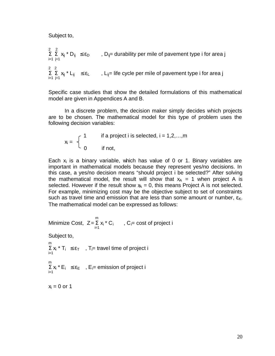Subject to,

2 2 Σ Σ x<sub>ij</sub> \* D<sub>ij</sub> ≤ ε<sub>D</sub>, D<sub>ij</sub>= durability per mile of pavement type i for area j i=1 j=1 2 2  $\sum \sum \limits_{j=1}^N x_{ij}^* L_{ij} \leq \varepsilon_L$ ,  $L_{ij}$ = life cycle per mile of pavement type i for area j

Specific case studies that show the detailed formulations of this mathematical model are given in Appendices A and B.

In a discrete problem, the decision maker simply decides which projects are to be chosen. The mathematical model for this type of problem uses the following decision variables:

$$
x_i = \begin{cases} 1 & \text{if a project i is selected, } i = 1, 2, \dots, m \\ 0 & \text{if not,} \end{cases}
$$

Each  $x_i$  is a binary variable, which has value of 0 or 1. Binary variables are important in mathematical models because they represent yes/no decisions. In this case, a yes/no decision means "should project i be selected?" After solving the mathematical model, the result will show that  $x_A = 1$  when project A is selected. However if the result show  $x<sub>A</sub> = 0$ , this means Project A is not selected. For example, minimizing cost may be the objective subject to set of constraints such as travel time and emission that are less than some amount or number,  $\epsilon_{\rm K}$ . The mathematical model can be expressed as follows:

m<sub>a</sub> and the state of the state of the state of the state of the state of the state of the state of the state of the state of the state of the state of the state of the state of the state of the state of the state of the s Minimize Cost,  $Z = \sum x_i^* C_i$ ,  $C_i = \text{cost of project } i$ i=1<br>i=1 Subject to, m  $\sum_{i=1}^k x_i$  \* T<sub>i</sub>  $\leq \varepsilon_{\text{T}}$  , T<sub>i</sub>= travel time of project i m  $\Sigma x_i * E_i \leq \varepsilon_E$ ,  $E_i =$  emission of project i i=1  $x_i = 0$  or 1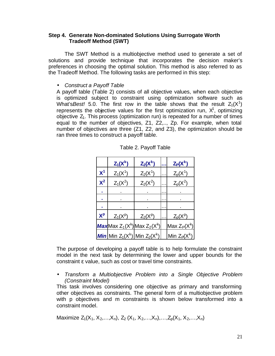## **Step 4. Generate Non-dominated Solutions Using Surrogate Worth Tradeoff Method (SWT)**

The SWT Method is a multiobjective method used to generate a set of solutions and provide technique that incorporates the decision maker's preferences in choosing the optimal solution. This method is also referred to as the Tradeoff Method. The following tasks are performed in this step:

## • *Construct a Payoff Table*

A payoff table (Table 2) consists of all objective values, when each objective is optimized subject to constraint using optimization software such as What's*Best!* 5.0. The first row in the table shows that the result  $Z_1(X^1)$ represents the objective values for the first optimization run,  $X^1$ , optimizing objective  $Z_1$ . This process (optimization run) is repeated for a number of times equal to the number of objectives, Z1, Z2,.., Zp. For example, when total number of objectives are three (Z1, Z2, and Z3), the optimization should be ran three times to construct a payoff table.

|       | $Z_1(X^k)$                               | $Z_2(X^k)$ |   | $Z_P(X^k)$             |
|-------|------------------------------------------|------------|---|------------------------|
| $X^1$ | $Z_1(X^1)$                               | $Z_2(X^1)$ |   | $\underline{Z}_p(X^1)$ |
| $X^2$ | $Z_1(X^2)$                               | $Z_2(X^2)$ |   | $Z_p(X^2)$             |
|       |                                          |            | . |                        |
|       |                                          |            |   |                        |
|       |                                          |            |   |                        |
| $X^p$ | $Z_1(X^p)$                               | $Z_2(X^p)$ |   | $Z_p(X^p)$             |
|       | <b>Max</b> Max $Z_1(X^k)$ Max $Z_2(X^k)$ |            |   | Max $Z_P(X^k)$         |
|       | <b>Min</b> Min $Z_1(X^k)$ Min $Z_2(X^k)$ |            |   | Min $Z_P(X^k)$         |

|  |  | Table 2. Payoff Table |
|--|--|-----------------------|
|  |  |                       |

The purpose of developing a payoff table is to help formulate the constraint model in the next task by determining the lower and upper bounds for the constraint ε value, such as cost or travel time constraints.

• *Transform a Multiobjective Problem into a Single Objective Problem (Constraint Model)*

This task involves considering one objective as primary and transforming other objectives as constraints. The general form of a multiobjective problem with p objectives and m constraints is shown below transformed into a constraint model.

Maximize  $Z_1(X_1, X_2,...,X_n)$ ,  $Z_2(X_1, X_2,...,X_n)$ , ...,  $Z_0(X_1, X_2,...,X_n)$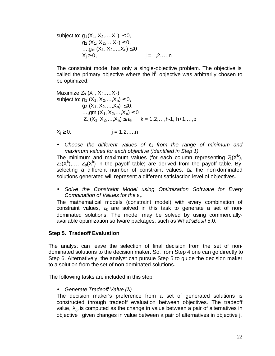subject to:  $g_1(X_1, X_2,...,X_n) \leq 0$ ,  $q_2$  (X<sub>1</sub>, X<sub>2</sub>, ...,X<sub>n</sub>)  $\leq$  0, …, $g_m(X_1, X_2,...,X_n) \leq 0$  $X_i \ge 0$ ,  $j = 1, 2, ..., n$ 

The constraint model has only a single-objective problem. The objective is called the primary objective where the  $h^h$  objective was arbitrarily chosen to be optimized.

$$
\begin{array}{ll}\text{Maximize } Z_h \ (X_1, X_2, \ldots, X_n) \\ \text{subject to: } g_1 \ (X_1, X_2, \ldots, X_n) \leq 0, \\ &\qquad g_2 \ (X_1, X_2, \ldots, X_n) \leq 0, \\ &\qquad \ldots, \text{gm } (X_1, X_2, \ldots, X_n) \leq 0 \\ &\qquad Z_k \ (X_1, X_2, \ldots, X_n) \leq \epsilon_k \qquad k = 1, 2, \ldots, h-1, \ h+1, \ldots, p \end{array}
$$

 $X_i \ge 0$ ,  $j = 1, 2, ..., n$ 

• *Choose the different values of ek from the range of minimum and maximum values for each objective (identified in Step 1).* 

The minimum and maximum values (for each column representing  $Z(X^k)$ ,  $Z_2(X^k),..., Z_p(X^k)$  in the payoff table) are derived from the payoff table. By selecting a different number of constraint values,  $\varepsilon_k$ , the non-dominated solutions generated will represent a different satisfaction level of objectives.

• *Solve the Constraint Model using Optimization Software for Every Combination of Values for the* εk.

The mathematical models (constraint model) with every combination of constraint values,  $\varepsilon_k$  are solved in this task to generate a set of nondominated solutions. The model may be solved by using commerciallyavailable optimization software packages, such as What's*Best!* 5.0.

## **Step 5. Tradeoff Evaluation**

The analyst can leave the selection of final decision from the set of nondominated solutions to the decision maker. So, from Step 4 one can go directly to Step 6. Alternatively, the analyst can pursue Step 5 to guide the decision maker to a solution from the set of non-dominated solutions.

The following tasks are included in this step:

# • *Generate Tradeoff Value (l)*

The decision maker's preference from a set of generated solutions is constructed through tradeoff evaluation between objectives. The tradeoff value,  $\lambda_{ii}$ , is computed as the change in value between a pair of alternatives in objective i given changes in value between a pair of alternatives in objective j.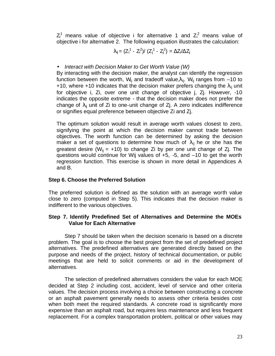$Z_i^1$  means value of objective i for alternative 1 and  $Z_i^2$  means value of objective i for alternative 2. The following equation illustrates the calculation:

$$
\lambda_{ij} = (Z_i^1 - Z_i^2) / (Z_i^1 - Z_i^2) = \Delta Z_i / \Delta Z_i
$$

# • *Interact with Decision Maker to Get Worth Value (W)*

By interacting with the decision maker, the analyst can identify the regression function between the worth, W<sub>ij</sub> and tradeoff value, $\lambda_{ij}$ . W<sub>ij</sub> ranges from -10 to +10, where +10 indicates that the decision maker prefers changing the  $\lambda_{ii}$  unit for objective i, Zi, over one unit change of objective j, Zj. However, -10 indicates the opposite extreme - that the decision maker does not prefer the change of  $\lambda_{ii}$  unit of Zi to one-unit change of Zj. A zero indicates indifference or signifies equal preference between objective Zi and Zj.

The optimum solution would result in average worth values closest to zero, signifying the point at which the decision maker cannot trade between objectives. The worth function can be determined by asking the decision maker a set of questions to determine how much of  $\lambda_{ij}$  he or she has the greatest desire ( $W_{ij}$  = +10) to change Zi by per one unit change of Zj. The questions would continue for Wij values of +5, -5, and –10 to get the worth regression function. This exercise is shown in more detail in Appendices A and B.

# **Step 6. Choose the Preferred Solution**

The preferred solution is defined as the solution with an average worth value close to zero (computed in Step 5). This indicates that the decision maker is indifferent to the various objectives.

# **Step 7. Identify Predefined Set of Alternatives and Determine the MOEs Value for Each Alternative**

Step 7 should be taken when the decision scenario is based on a discrete problem. The goal is to choose the best project from the set of predefined project alternatives. The predefined alternatives are generated directly based on the purpose and needs of the project, history of technical documentation, or public meetings that are held to solicit comments or aid in the development of alternatives.

The selection of predefined alternatives considers the value for each MOE decided at Step 2 including cost, accident, level of service and other criteria values. The decision process involving a choice between constructing a concrete or an asphalt pavement generally needs to assess other criteria besides cost when both meet the required standards. A concrete road is significantly more expensive than an asphalt road, but requires less maintenance and less frequent replacement. For a complex transportation problem, political or other values may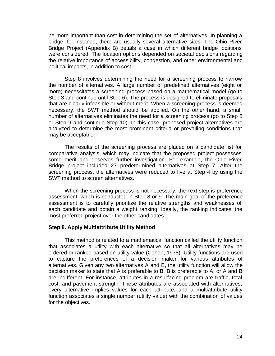be more important than cost in determining the set of alternatives. In planning a bridge, for instance, there are usually several alternative sites. The Ohio River Bridge Project (Appendix B) details a case in which different bridge locations were considered. The location options depended on societal decisions regarding the relative importance of accessibility, congestion, and other environmental and political impacts, in addition to cost.

Step 8 involves determining the need for a screening process to narrow the number of alternatives. A large number of predefined alternatives (eight or more) necessitates a screening process based on a mathematical model (go to Step 3 and continue until Step 6). The process is designed to eliminate proposals that are clearly infeasible or without merit. When a screening process is deemed necessary, the SWT method should be applied. On the other hand, a small number of alternatives eliminates the need for a screening process (go to Step 8 or Step 9 and continue Step 10). In this case, proposed project alternatives are analyzed to determine the most prominent criteria or prevailing conditions that may be acceptable.

The results of the screening process are placed on a candidate list for comparative analysis, which may indicate that the proposed project possesses some merit and deserves further investigation. For example, the Ohio River Bridge project included 27 predetermined alternatives at Step 7. After the screening process, the alternatives were reduced to five at Step 4 by using the SWT method to screen alternatives.

When the screening process is not necessary, the next step is preference assessment, which is conducted in Step 8 or 9. The main goal of the preference assessment is to carefully prioritize the relative strengths and weaknesses of each candidate and obtain a weight ranking. Ideally, the ranking indicates the most preferred project over the other candidates.

#### **Step 8. Apply Multiattribute Utility Method**

This method is related to a mathematical function called the utility function that associates a utility with each alternative so that all alternatives may be ordered or ranked based on utility value (Cohon, 1978). Utility functions are used to capture the preferences of a decision maker for various attributes of alternatives. Given any two alternatives A and B, the utility function will allow the decision maker to state that A is preferable to B, B is preferable to A, or A and B are indifferent. For instance, attributes in a resurfacing problem are traffic, total cost, and pavement strength. These attributes are associated with alternatives, every alternative implies values for each attribute, and a multiattribute utility function associates a single number (utility value) with the combination of values for the objectives.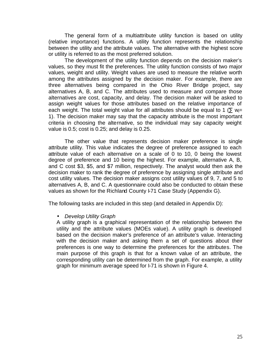The general form of a multiattribute utility function is based on utility (relative importance) functions. A utility function represents the relationship between the utility and the attribute values. The alternative with the highest score or utility is referred to as the most preferred solution.

The development of the utility function depends on the decision maker's values, so they must fit the preferences. The utility function consists of two major values, weight and utility. Weight values are used to measure the relative worth among the attributes assigned by the decision maker. For example, there are three alternatives being compared in the Ohio River Bridge project, say alternatives A, B, and C. The attributes used to measure and compare those alternatives are cost, capacity, and delay. The decision maker will be asked to assign weight values for those attributes based on the relative importance of each weight. The total weight value for all attributes should be equal to 1 ( $\Sigma$  w<sub>i</sub>= 1). The decision maker may say that the capacity attribute is the most important criteria in choosing the alternative, so the individual may say capacity weight value is 0.5; cost is 0.25; and delay is 0.25.

The other value that represents decision maker preference is single attribute utility. This value indicates the degree of preference assigned to each attribute value of each alternative on a scale of 0 to 10, 0 being the lowest degree of preference and 10 being the highest. For example, alternative A, B, and C cost \$3, \$5, and \$7 million, respectively. The analyst would then ask the decision maker to rank the degree of preference by assigning single attribute and cost utility values. The decision maker assigns cost utility values of 9, 7, and 5 to alternatives A, B, and C. A questionnaire could also be conducted to obtain these values as shown for the Richland County I-71 Case Study (Appendix G).

The following tasks are included in this step (and detailed in Appendix D):

• *Develop Utility Graph*

A utility graph is a graphical representation of the relationship between the utility and the attribute values (MOEs value). A utility graph is developed based on the decision maker's preference of an attribute's value. Interacting with the decision maker and asking them a set of questions about their preferences is one way to determine the preferences for the attributes. The main purpose of this graph is that for a known value of an attribute, the corresponding utility can be determined from the graph. For example, a utility graph for minimum average speed for I-71 is shown in Figure 4.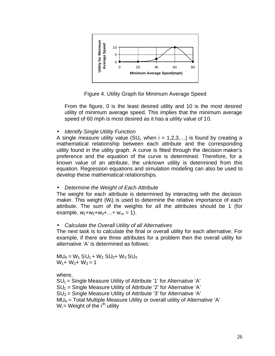

Figure 4. Utility Graph for Minimum Average Speed

From the figure, 0 is the least desired utility and 10 is the most desired utility of minimum average speed. This implies that the minimum average speed of 60 mph is most desired as it has a utility value of 10.

• *Identify Single Utility Function*

A single measure utility value  $(SU_i,$  when  $i = 1,2,3,...)$  is found by creating a mathematical relationship between each attribute and the corresponding utility found in the utility graph. A curve is fitted through the decision maker's preference and the equation of the curve is determined. Therefore, for a known value of an attribute, the unknown utility is determined from this equation. Regression equations and simulation modeling can also be used to develop these mathematical relationships.

# • *Determine the Weight of Each Attribute*

The weight for each attribute is determined by interacting with the decision maker. This weight  $(W_i)$  is used to determine the relative importance of each attribute. The sum of the weights for all the attributes should be 1 (for example,  $w_1 + w_2 + w_3 + ... + w_m = 1$ ).

## • *Calculate the Overall Utility of all Alternatives*

The next task is to calculate the final or overall utility for each alternative. For example, if there are three attributes for a problem then the overall utility for alternative 'A' is determined as follows:

 $MU_A = W_1 SU_1 + W_2 SU_2 + W_3 SU_3$  $W_1$ +  $W_2$ +  $W_3$  = 1

where,

 $SU_1$  = Single Measure Utility of Attribute '1' for Alternative 'A'  $SU<sub>2</sub>$  = Single Measure Utility of Attribute '2' for Alternative 'A'  $SU<sub>3</sub>$  = Single Measure Utility of Attribute '3' for Alternative 'A'  $MU_A = Total$  Multiple Measure Utility or overall utility of Alternative 'A'  $W_i$  = Weight of the i<sup>th</sup> utility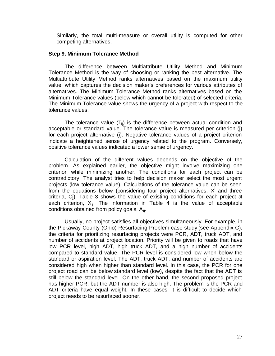Similarly, the total multi-measure or overall utility is computed for other competing alternatives.

### **Step 9. Minimum Tolerance Method**

The difference between Multiattribute Utility Method and Minimum Tolerance Method is the way of choosing or ranking the best alternative. The Multiattribute Utility Method ranks alternatives based on the maximum utility value, which captures the decision maker's preferences for various attributes of alternatives. The Minimum Tolerance Method ranks alternatives based on the Minimum Tolerance values (below which cannot be tolerated) of selected criteria. The Minimum Tolerance value shows the urgency of a project with respect to the tolerance values.

The tolerance value  $(T_{ii})$  is the difference between actual condition and acceptable or standard value. The tolerance value is measured per criterion (j) for each project alternative (i). Negative tolerance values of a project criterion indicate a heightened sense of urgency related to the program. Conversely, positive tolerance values indicated a lower sense of urgency.

Calculation of the different values depends on the objective of the problem. As explained earlier, the objective might involve maximizing one criterion while minimizing another. The conditions for each project can be contradictory. The analyst tries to help decision maker select the most urgent projects (low tolerance value). Calculations of the tolerance value can be seen from the equations below (considering four project alternatives,  $X^{i}$  and three criteria, Cj). Table 3 shows the value of existing conditions for each project at each criterion,  $X_{ii}$ . The information in Table 4 is the value of acceptable conditions obtained from policy goals,  $A_{ii}$ .

Usually, no project satisfies all objectives simultaneously. For example, in the Pickaway County (Ohio) Resurfacing Problem case study (see Appendix C), the criteria for prioritizing resurfacing projects were PCR, ADT, truck ADT, and number of accidents at project location. Priority will be given to roads that have low PCR level, high ADT, high truck ADT, and a high number of accidents compared to standard value. The PCR level is considered low when below the standard or aspiration level. The ADT, truck ADT, and number of accidents are considered high when higher than standard level. In this case, the PCR for one project road can be below standard level (low), despite the fact that the ADT is still below the standard level. On the other hand, the second proposed project has higher PCR, but the ADT number is also high. The problem is the PCR and ADT criteria have equal weight. In these cases, it is difficult to decide which project needs to be resurfaced sooner.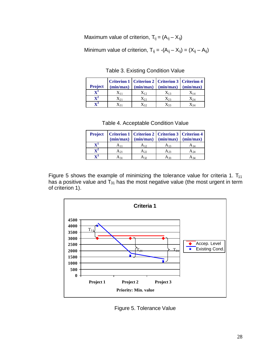Maximum value of criterion,  $T_{ij} = (A_{ij} - X_{ij})$ 

Minimum value of criterion,  $T_{ij} = -(A_{ij} - X_{ij}) = (X_{ij} - A_{ij})$ 

| <b>Project</b> | (min/max) | Criterion 1   Criterion 2   Criterion 3   Criterion 4<br>(min/max) | (min/max)         | (min/max)          |
|----------------|-----------|--------------------------------------------------------------------|-------------------|--------------------|
| ${\bf X}^1$    | $X_{11}$  | $X_{12}$                                                           | $X_{13}$          | $\mathcal{N}_{14}$ |
| $\mathbf{v}^2$ | $X_{21}$  | $X_{22}$                                                           | $X_{23}$          | $X_{24}$           |
| $\mathbf{v}^3$ |           | $X_{32}$                                                           | $\mathsf{Y}^{33}$ | $X_{34}$           |

Table 3. Existing Condition Value

| Table 4. Acceptable Condition Value |  |  |
|-------------------------------------|--|--|
|-------------------------------------|--|--|

| <b>Project</b> | (min/max) | Criterion 1   Criterion 2   Criterion 3   Criterion 4<br>(min/max) | (min/max) | (min/max) |
|----------------|-----------|--------------------------------------------------------------------|-----------|-----------|
|                | $A_{11}$  | A 12                                                               | A 13      |           |
|                | $A_{21}$  | Aη                                                                 | Aэз       | A 24      |
|                |           |                                                                    | 433       |           |

Figure 5 shows the example of minimizing the tolerance value for criteria 1.  $T_{11}$ has a positive value and  $T_{31}$  has the most negative value (the most urgent in term of criterion 1).



Figure 5. Tolerance Value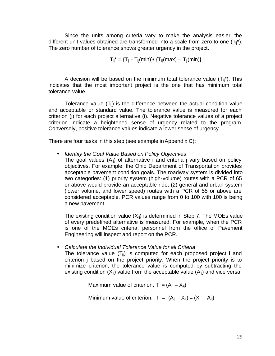Since the units among criteria vary to make the analysis easier, the different unit values obtained are transformed into a scale from zero to one  $(T_{ii}^*)$ . The zero number of tolerance shows greater urgency in the project.

$$
T_{ij}^* = {T_{ij} - T_{ij}(min)} / {T_{ij}(max) - T_{ij}(min)}
$$

A decision will be based on the minimum total tolerance value  $(T_{ii}^*)$ . This indicates that the most important project is the one that has minimum total tolerance value.

Tolerance value  $(T_{ii})$  is the difference between the actual condition value and acceptable or standard value. The tolerance value is measured for each criterion (j) for each project alternative (i). Negative tolerance values of a project criterion indicate a heightened sense of urgency related to the program. Conversely, positive tolerance values indicate a lower sense of urgency.

There are four tasks in this step (see example in Appendix C):

- *Identify the Goal Value Based on Policy Objectives* 
	- The goal values  $(A_{ii})$  of alternative i and criteria j vary based on policy objectives. For example, the Ohio Department of Transportation provides acceptable pavement condition goals. The roadway system is divided into two categories: (1) priority system (high-volume) routes with a PCR of 65 or above would provide an acceptable ride; (2) general and urban system (lower volume, and lower speed) routes with a PCR of 55 or above are considered acceptable. PCR values range from 0 to 100 with 100 is being a new pavement.

The existing condition value  $(X_{ii})$  is determined in Step 7. The MOEs value of every predefined alternative is measured. For example, when the PCR is one of the MOEs criteria, personnel from the office of Pavement Engineering will inspect and report on the PCR.

• *Calculate the Individual Tolerance Value for all Criteria* 

The tolerance value  $(T_{ii})$  is computed for each proposed project i and criterion j based on the project priority. When the project priority is to minimize criterion, the tolerance value is computed by subtracting the existing condition  $(X_{ii})$  value from the acceptable value  $(A_{ii})$  and vice versa.

Maximum value of criterion,  $T_{ii} = (A_{ii} - X_{ii})$ 

Minimum value of criterion,  $T_{ij} = -(A_{ij} - X_{ij}) = (X_{ij} - A_{ij})$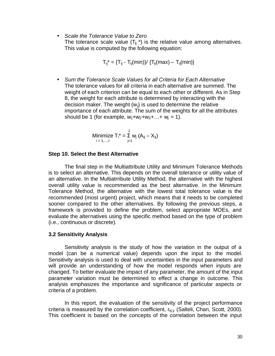• *Scale the Tolerance Value to Zero*  The tolerance scale value  $(T_{ii}^*)$  is the relative value among alternatives. This value is computed by the following equation:

$$
T_{ij}^{\ast}=\{T_{ij}-T_{ij}(min)\}/\ \{T_{ij}(max)-T_{ij}(min)\}
$$

• *Sum the Tolerance Scale Values for all Criteria for Each Alternative* The tolerance values for all criteria in each alternative are summed. The weight of each criterion can be equal to each other or different. As in Step 8, the weight for each attribute is determined by interacting with the decision maker. The weight  $(w<sub>i</sub>)$  is used to determine the relative importance of each attribute. The sum of the weights for all the attributes should be 1 (for example,  $w_1 + w_2 + w_3 + ... + w_i = 1$ ).

Minimize 
$$
T_i^* = \sum_{j=1}^J w_j (A_{ij} - X_{ij})
$$
  
<sub>i = 1,...,l</sub>

#### **Step 10. Select the Best Alternative**

The final step in the Multiattribute Utility and Minimum Tolerance Methods is to select an alternative. This depends on the overall tolerance or utility value of an alternative. In the Multiatrribute Utility Method, the alternative with the highest overall utility value is recommended as the best alternative. In the Minimum Tolerance Method, the alternative with the lowest total tolerance value is the recommended (most urgent) project, which means that it needs to be completed sooner compared to the other alternatives. By following the previous steps, a framework is provided to define the problem, select appropriate MOEs, and evaluate the alternatives using the specific method based on the type of problem (i.e., continuous or discrete).

### **3.2 Sensitivity Analysis**

Sensitivity analysis is the study of how the variation in the output of a model (can be a numerical value) depends upon the input to the model. Sensitivity analysis is used to deal with uncertainties in the input parameters and will provide an understanding of how the model responds when inputs are changed. To better evaluate the impact of any parameter, the amount of the input parameter variation must be determined to effect a change in outcome. This analysis emphasizes the importance and significance of particular aspects or criteria of a problem.

In this report, the evaluation of the sensitivity of the project performance criteria is measured by the correlation coefficient,  $r_{x_i,y}$  (Salteli, Chan, Scott, 2000). This coefficient is based on the concepts of the correlation between the input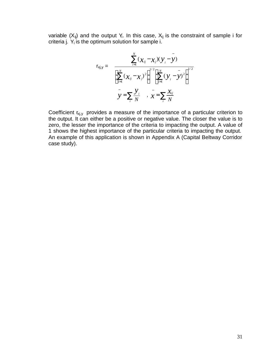variable  $(X_{ij})$  and the output Y<sub>i</sub>. In this case,  $X_{ij}$  is the constraint of sample i for criteria j.  $Y_i$  is the optimum solution for sample i.

$$
r_{xj,y} = \frac{\sum_{i=1}^{N} (\chi_{ij} - \chi_j)(y_i - y)}{\left[\sum_{i=1}^{N} (\chi_{ij} - x_j)^2\right]^{1/2} \left[\sum_{i=1}^{N} (\chi_i - y)^2\right]^{1/2}}
$$
  

$$
y = \sum_{i} \frac{y_i}{N}, \quad y = \sum_{i} \frac{x_{ij}}{N}
$$

Coefficient  $r_{xj,y}$  provides a measure of the importance of a particular criterion to the output. It can either be a positive or negative value. The closer the value is to zero, the lesser the importance of the criteria to impacting the output. A value of 1 shows the highest importance of the particular criteria to impacting the output. An example of this application is shown in Appendix A (Capital Beltway Corridor case study).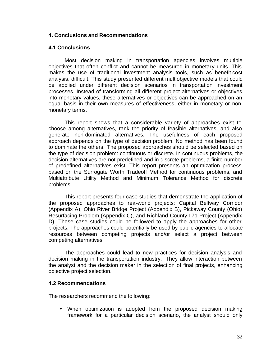# **4. Conclusions and Recommendations**

# **4.1 Conclusions**

Most decision making in transportation agencies involves multiple objectives that often conflict and cannot be measured in monetary units. This makes the use of traditional investment analysis tools, such as benefit-cost analysis, difficult. This study presented different multiobjective models that could be applied under different decision scenarios in transportation investment processes. Instead of transforming all different project alternatives or objectives into monetary values, these alternatives or objectives can be approached on an equal basis in their own measures of effectiveness, either in monetary or nonmonetary terms.

This report shows that a considerable variety of approaches exist to choose among alternatives, rank the priority of feasible alternatives, and also generate non-dominated alternatives. The usefulness of each proposed approach depends on the type of decision problem. No method has been found to dominate the others. The proposed approaches should be selected based on the type of decision problem: continuous or discrete. In continuous problems, the decision alternatives are not predefined and in discrete problems, a finite number of predefined alternatives exist. This report presents an optimization process based on the Surrogate Worth Tradeoff Method for continuous problems, and Multiattribute Utility Method and Minimum Tolerance Method for discrete problems.

This report presents four case studies that demonstrate the application of the proposed approaches to real-world projects: Capital Beltway Corridor (Appendix A), Ohio River Bridge Project (Appendix B), Pickaway County (Ohio) Resurfacing Problem (Appendix C), and Richland County F71 Project (Appendix D). These case studies could be followed to apply the approaches for other projects. The approaches could potentially be used by public agencies to allocate resources between competing projects and/or select a project between competing alternatives.

The approaches could lead to new practices for decision analysis and decision making in the transportation industry. They allow interaction between the analyst and the decision maker in the selection of final projects, enhancing objective project selection.

## **4.2 Recommendations**

The researchers recommend the following:

• When optimization is adopted from the proposed decision making framework for a particular decision scenario, the analyst should only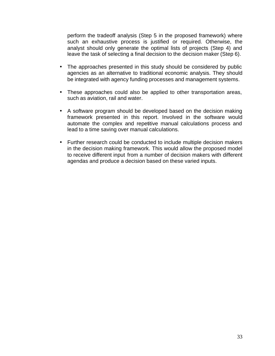perform the tradeoff analysis (Step 5 in the proposed framework) where such an exhaustive process is justified or required. Otherwise, the analyst should only generate the optimal lists of projects (Step 4) and leave the task of selecting a final decision to the decision maker (Step 6).

- The approaches presented in this study should be considered by public agencies as an alternative to traditional economic analysis. They should be integrated with agency funding processes and management systems.
- These approaches could also be applied to other transportation areas, such as aviation, rail and water.
- A software program should be developed based on the decision making framework presented in this report. Involved in the software would automate the complex and repetitive manual calculations process and lead to a time saving over manual calculations.
- Further research could be conducted to include multiple decision makers in the decision making framework. This would allow the proposed model to receive different input from a number of decision makers with different agendas and produce a decision based on these varied inputs.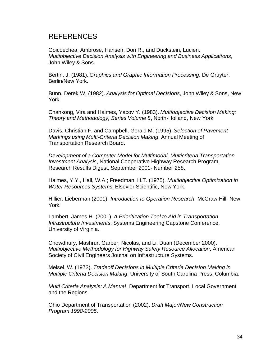# REFERENCES

Goicoechea, Ambrose, Hansen, Don R., and Duckstein, Lucien. *Multiobjective Decision Analysis with Engineering and Business Applications*, John Wiley & Sons.

Bertin, J. (1981). *Graphics and Graphic Information Processing*, De Gruyter, Berlin/New York.

Bunn, Derek W. (1982). *Analysis for Optimal Decisions*, John Wiley & Sons, New York.

Chankong, Vira and Haimes, Yacov Y. (1983). *Multiobjective Decision Making: Theory and Methodology, Series Volume 8*, North-Holland, New York.

Davis, Christian F. and Campbell, Gerald M. (1995). *Selection of Pavement Markings using Multi-Criteria Decision Making*, Annual Meeting of Transportation Research Board.

*Development of a Computer Model for Multimodal, Multicriteria Transportation Investment Analysis*, National Cooperative Highway Research Program, Research Results Digest, September 2001- Number 258.

Haimes, Y.Y., Hall, W.A.; Freedman, H.T. (1975). *Multiobjective Optimization in Water Resources Systems*, Elsevier Scientific, New York.

Hillier, Lieberman (2001). *Introduction to Operation Research*, McGraw Hill, New York.

Lambert, James H. (2001). *A Prioritization Tool to Aid in Transportation Infrastructure Investments*, Systems Engineering Capstone Conference, University of Virginia.

Chowdhury, Mashrur, Garber, Nicolas, and Li, Duan (December 2000). *Multiobjective Methodology for Highway Safety Resource Allocation*, American Society of Civil Engineers Journal on Infrastructure Systems.

Meisel, W. (1973). *Tradeoff Decisions in Multiple Criteria Decision Making in Multiple Criteria Decision Making*, University of South Carolina Press, Columbia.

*Multi Criteria Analysis: A Manual*, Department for Transport, Local Government and the Regions.

Ohio Department of Transportation (2002). *Draft Major/New Construction Program 1998-2005*.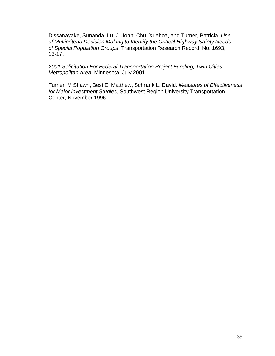Dissanayake, Sunanda, Lu, J. John, Chu, Xuehoa, and Turner, Patricia. *Use of Multicriteria Decision Making to Identify the Critical Highway Safety Needs of Special Population Groups*, Transportation Research Record, No. 1693, 13-17.

*2001 Solicitation For Federal Transportation Project Funding, Twin Cities Metropolitan Area*, Minnesota, July 2001.

Turner, M Shawn, Best E. Matthew, Schrank L. David. *Measures of Effectiveness for Major Investment Studies*, Southwest Region University Transportation Center, November 1996.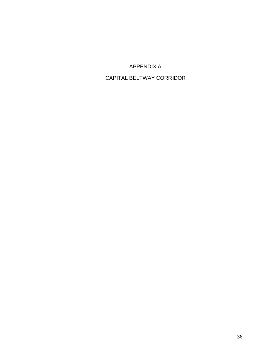APPENDIX A

# CAPITAL BELTWAY CORRIDOR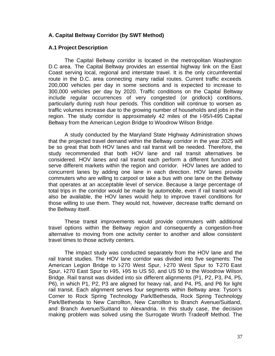# **A. Capital Beltway Corridor (by SWT Method)**

### **A.1 Project Description**

The Capital Beltway corridor is located in the metropolitan Washington D.C area. The Capital Beltway provides an essential highway link on the East Coast serving local, regional and interstate travel. It is the only circumferential route in the D.C. area connecting many radial routes. Current traffic exceeds 200,000 vehicles per day in some sections and is expected to increase to 300,000 vehicles per day by 2020. Traffic conditions on the Capital Beltway include regular occurrences of very congested (or gridlock) conditions, particularly during rush hour periods. This condition will continue to worsen as traffic volumes increase due to the growing number of households and jobs in the region. The study corridor is approximately 42 miles of the I-95/I-495 Capital Beltway from the American Legion Bridge to Woodrow Wilson Bridge.

A study conducted by the Maryland State Highway Administration shows that the projected travel demand within the Beltway corridor in the year 2025 will be so great that both HOV lanes and rail transit will be needed. Therefore, the study recommended that both HOV lane and rail transit alternatives be considered. HOV lanes and rail transit each perform a different function and serve different markets within the region and corridor. HOV lanes are added to concurrent lanes by adding one lane in each direction. HOV lanes provide commuters who are willing to carpool or take a bus with one lane on the Beltway that operates at an acceptable level of service. Because a large percentage of total trips in the corridor would be made by automobile, even if rail transit would also be available, the HOV lanes would help to improve travel conditions for those willing to use them. They would not, however, decrease traffic demand on the Beltway itself.

These transit improvements would provide commuters with additional travel options within the Beltway region and consequently a congestion-free alternative to moving from one activity center to another and allow consistent travel times to those activity centers.

The impact study was conducted separately from the HOV lane and the rail transit studies. The HOV lane corridor was divided into five segments: The American Legion Bridge to I-270 West Spur, I-270 West Spur to T-270 East Spur, I-270 East Spur to I-95, I-95 to US 50, and US 50 to the Woodrow Wilson Bridge. Rail transit was divided into six different alignments (P1, P2, P3, P4, P5, P6), in which P1, P2, P3 are aligned for heavy rail, and P4, P5, and P6 for light rail transit. Each alignment serves four segments within Beltway area: Tyson's Corner to Rock Spring Technology Park/Bethesda, Rock Spring Technology Park/Bethesda to New Carrollton, New Carrollton to Branch Avenue/Suitland, and Branch Avenue/Suitland to Alexandria. In this study case, the decision making problem was solved using the Surrogate Worth Tradeoff Method. The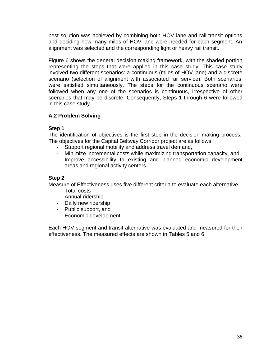best solution was achieved by combining both HOV lane and rail transit options and deciding how many miles of HOV lane were needed for each segment. An alignment was selected and the corresponding light or heavy rail transit.

Figure 6 shows the general decision making framework, with the shaded portion representing the steps that were applied in this case study. This case study involved two different scenarios: a continuous (miles of HOV lane) and a discrete scenario (selection of alignment with associated rail service). Both scenarios were satisfied simultaneously. The steps for the continuous scenario were followed when any one of the scenarios is continuous, irrespective of other scenarios that may be discrete. Consequently, Steps 1 through 6 were followed in this case study.

# **A.2 Problem Solving**

# **Step 1**

The identification of objectives is the first step in the decision making process. The objectives for the Capital Beltway Corridor project are as follows:

- Support regional mobility and address travel demand,
- Minimize incremental costs while maximizing transportation capacity, and
- Improve accessibility to existing and planned economic development areas and regional activity centers.

# **Step 2**

Measure of Effectiveness uses five different criteria to evaluate each alternative.

- Total costs
- Annual ridership
- Daily new ridership
- Public support, and
- Economic development.

Each HOV segment and transit alternative was evaluated and measured for their effectiveness. The measured effects are shown in Tables 5 and 6.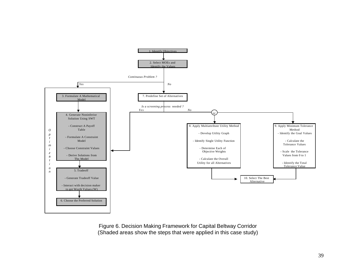

Figure 6. Decision Making Framework for Capital Beltway Corridor (Shaded areas show the steps that were applied in this case study)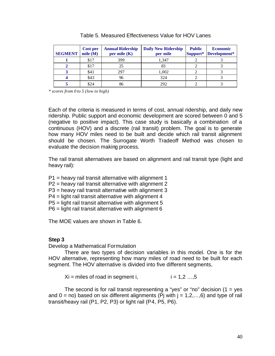| <b>SEGMENT</b> | Cost per<br>mile $(M)$ | <b>Annual Ridership</b><br>per mile $(K)$ | <b>Daily New Ridership</b><br>per mile | <b>Public</b><br>Support* | <b>Economic</b><br>Development* |
|----------------|------------------------|-------------------------------------------|----------------------------------------|---------------------------|---------------------------------|
|                | \$17                   | 399                                       | 1,347                                  |                           |                                 |
|                | \$17                   | 25                                        | 83                                     |                           |                                 |
|                | \$41                   | 297                                       | 1,002                                  |                           |                                 |
|                | \$43                   | 96                                        | 324                                    |                           |                                 |
|                | \$24                   | 86                                        | 292                                    |                           |                                 |

*\* scores from 0 to 5 (low to high)*

Each of the criteria is measured in terms of cost, annual ridership, and daily new ridership. Public support and economic development are scored between 0 and 5 (negative to positive impact). This case study is basically a combination of a continuous (HOV) and a discrete (rail transit) problem. The goal is to generate how many HOV miles need to be built and decide which rail transit alignment should be chosen. The Surrogate Worth Tradeoff Method was chosen to evaluate the decision making process.

The rail transit alternatives are based on alignment and rail transit type (light and heavy rail):

P1 = heavy rail transit alternative with alignment 1

P2 = heavy rail transit alternative with alignment 2

P3 = heavy rail transit alternative with alignment 3

P4 = light rail transit alternative with alignment 4

P5 = light rail transit alternative with alignment 5

P6 = light rail transit alternative with alignment 6

The MOE values are shown in Table 6.

## **Step 3**

Develop a Mathematical Formulation

There are two types of decision variables in this model. One is for the HOV alternative, representing how many miles of road need to be built for each segment. The HOV alternative is divided into five different segments,

 $Xi =$  miles of road in segment i,  $i = 1,2 \ldots, 5$ 

The second is for rail transit representing a "yes" or "no" decision  $(1 = yes$ and  $0 =$  no) based on six different alignments (Pj with  $j = 1, 2, \ldots, 6$ ) and type of rail transit/heavy rail (P1, P2, P3) or light rail (P4, P5, P6).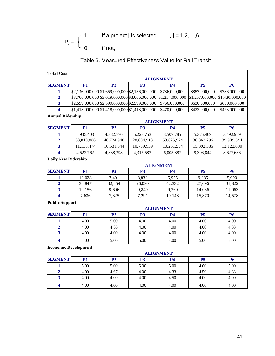if a project j is selected ,  $j = 1, 2, \ldots, 6$  $Pj = \begin{cases} 1 \\ 0 \end{cases}$ if not,

# Table 6. Measured Effectiveness Value for Rail Transit

| <b>Total Cost</b>           |                                                 |                |                                                 |                  |                 |                 |  |
|-----------------------------|-------------------------------------------------|----------------|-------------------------------------------------|------------------|-----------------|-----------------|--|
|                             |                                                 |                |                                                 | <b>ALIGNMENT</b> |                 |                 |  |
| <b>SEGMENT</b>              | <b>P1</b>                                       | P <sub>2</sub> | <b>P3</b>                                       | <b>P4</b>        | <b>P5</b>       | <b>P6</b>       |  |
| 1                           | \$2,136,000,000 \$1,659,000,000 \$2,136,000,000 |                |                                                 | \$786,000,000    | \$857,000,000   | \$786,000,000   |  |
| $\overline{2}$              |                                                 |                | \$3,766,000,000 \$3,019,000,000 \$3,066,000,000 | \$1,254,000,000  | \$1,257,000,000 | \$1,430,000,000 |  |
| $\overline{\mathbf{3}}$     | \$2,599,000,000 \$2,599,000,000 \$2,599,000,000 |                |                                                 | \$766,000,000    | \$630,000,000   | \$630,000,000   |  |
| 4                           |                                                 |                | \$1,418,000,000 \$1,418,000,000 \$1,418,000,000 | \$470,000,000    | \$423,000,000   | \$423,000,000   |  |
|                             | <b>Annual Ridership</b>                         |                |                                                 |                  |                 |                 |  |
|                             | <b>ALIGNMENT</b>                                |                |                                                 |                  |                 |                 |  |
| <b>SEGMENT</b>              | <b>P1</b>                                       | P <sub>2</sub> | P <sub>3</sub>                                  | <b>P4</b>        | <b>P5</b>       | <b>P6</b>       |  |
| 1                           | 5,935,403                                       | 4,382,770      | 5,228,753                                       | 3,507,785        | 5,376,469       | 3,492,959       |  |
| $\overline{2}$              | 33,810,886                                      | 40,724,948     | 28,604,913                                      | 53,625,924       | 30,363,296      | 39,989,544      |  |
| $\overline{\mathbf{3}}$     | 11,133,474                                      | 10,531,544     | 10,789,939                                      | 10,251,554       | 15,392,336      | 12,122,800      |  |
| 4                           | 4,522,762                                       | 4.338.398      | 4,317,583                                       | 6.005.887        | 9,396,844       | 8,627,636       |  |
| <b>Daily New Ridership</b>  |                                                 |                |                                                 |                  |                 |                 |  |
|                             |                                                 |                |                                                 | <b>ALIGNMENT</b> |                 |                 |  |
| <b>SEGMENT</b>              | P1                                              | P <sub>2</sub> | <b>P3</b>                                       | <b>P4</b>        | <b>P5</b>       | <b>P6</b>       |  |
| 1                           | 10,028                                          | 7,401          | 8,830                                           | 5,925            | 9,085           | 5,900           |  |
| $\overline{2}$              | 30,847                                          | 32,054         | 26,090                                          | 42,332           | 27,696          | 31,822          |  |
| $\overline{\mathbf{3}}$     | 10,156                                          | 9,606          | 9,840                                           | 9,360            | 14,036          | 11,063          |  |
| 4                           | 7,636                                           | 7,325          | 7,291                                           | 10,148           | 15,870          | 14,578          |  |
| <b>Public Support</b>       |                                                 |                |                                                 |                  |                 |                 |  |
|                             |                                                 |                |                                                 | <b>ALIGNMENT</b> |                 |                 |  |
| <b>SEGMENT</b>              | <b>P1</b>                                       | P <sub>2</sub> | <b>P3</b>                                       | <b>P4</b>        | <b>P5</b>       | <b>P6</b>       |  |
| 1                           | 4.00                                            | 5.00           | 4.00                                            | 4.00             | 4.00            | 4.00            |  |
| $\overline{2}$              | 4.00                                            | 4.33           | 4.00                                            | 4.00             | 4.00            | 4.33            |  |
| 3                           | 4.00                                            | 4.00           | 4.00                                            | 4.00             | 4.00            | 4.00            |  |
| 4                           | 5.00                                            | 5.00           | 5.00                                            | 4.00             | 5.00            | 5.00            |  |
| <b>Economic Development</b> |                                                 |                |                                                 |                  |                 |                 |  |
|                             |                                                 |                |                                                 | <b>ALIGNMENT</b> |                 |                 |  |
| <b>SEGMENT</b>              | <b>P1</b>                                       | P <sub>2</sub> | <b>P3</b>                                       | <b>P4</b>        | <b>P5</b>       | <b>P6</b>       |  |
| 1                           | 5.00                                            | 5.00           | 5.00                                            | 5.00             | 4.00            | 5.00            |  |
| $\overline{2}$              | 4.00                                            | 4.67           | 4.00                                            | 4.33             | 4.50            | 4.33            |  |
| $\overline{\mathbf{3}}$     | 4.00                                            | 4.00           | 4.00                                            | 4.50             | 4.00            | 4.00            |  |
| $\overline{\mathbf{4}}$     | 4.00                                            | 4.00           | 4.00                                            | 4.00             | 4.00            | 4.00            |  |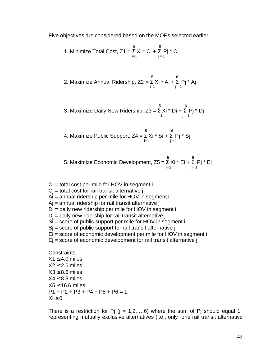Five objectives are considered based on the MOEs selected earlier,

1. Minimize Total Cost, 
$$
Z_1 = \sum_{i=1}^{5} X_i \cdot C_i + \sum_{j=1}^{6} P_j \cdot C_j
$$

2. Maximize Annual Ridership, 
$$
Z2 = \sum_{i=1}^{5} Xi^* Ai + \sum_{j=1}^{6} Pj^* Aj
$$

 $5 \t\t 6$ 3. Maximize Daily New Ridership, Z3 =  $\Sigma$  Xi \* Di +  $\Sigma$  Pj \* Dj i=1  $j = 1$ 

4. Maximize Public Support, 
$$
Z4 = \sum_{i=1}^{5} Xi^i \cdot Si + \sum_{j=1}^{6} Pj^i \cdot Sj
$$

5. Maximize Economic Development, 
$$
Z5 = \sum_{i=1}^{5} Xi^* E_i + \sum_{j=1}^{6} P_j^* E_j
$$

$$
Ci = total cost per mile for HOV in segment i
$$

- $Ci = total cost for rail transit alternative j$
- Ai = annual ridership per mile for HOV in segment i
- $Ai =$  annual ridership for rail transit alternative  $i$
- Di = daily new ridership per mile for HOV in segment i
- $Di =$  daily new ridership for rail transit alternative j
- Si = score of public support per mile for HOV in segment i
- $Si$  = score of public support for rail transit alternative j
- Ei = score of economic development per mile for HOV in segment i
- $E$  = score of economic development for rail transit alternative j

Constraints:  $X1 < 4.0$  miles  $X2 \leq 2.6$  miles  $X3 \leq 8.6$  miles  $X4 \leq 8.3$  miles  $X5 \leq 16.6$  miles P1 + P2 + P3 + P4 + P5 + P6 = 1  $Xi > 0$ 

There is a restriction for Pj  $(i = 1, 2, \ldots, 6)$  where the sum of Pj should equal 1, representing mutually exclusive alternatives (i.e., only one rail transit alternative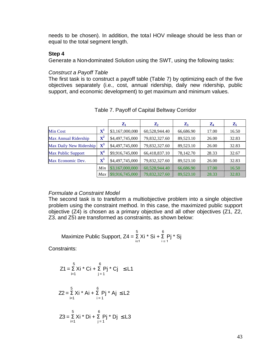needs to be chosen). In addition, the total HOV mileage should be less than or equal to the total segment length.

### **Step 4**

Generate a Non-dominated Solution using the SWT, using the following tasks:

### *Construct a Payoff Table*

The first task is to construct a payoff table (Table 7) by optimizing each of the five objectives separately (i.e., cost, annual ridership, daily new ridership, public support, and economic development) to get maximum and minimum values.

|                           |                  | $\mathbf{Z}_1$  | $\mathbf{Z}_2$ | $\mathbf{Z}_3$ | $\mathbf{Z}_4$ | $\mathbf{Z}_5$ |
|---------------------------|------------------|-----------------|----------------|----------------|----------------|----------------|
| Min Cost                  | $\mathbf{X}^{1}$ | \$3,167,000,000 | 60,528,944.40  | 66,686.90      | 17.00          | 16.50          |
| Max Annual Ridership      | ${\bf X}^2$      | \$4,497,745,000 | 79,832,327.60  | 89,523.10      | 26.00          | 32.83          |
| Max Daily New Ridership   | ${\bf X}^3$      | \$4,497,745,000 | 79,832,327.60  | 89,523.10      | 26.00          | 32.83          |
| <b>Max Public Support</b> | ${\bf X}^4$      | \$9,916,745,000 | 66,418,837.10  | 78,142.70      | 28.33          | 32.67          |
| Max Economic Dev.         | $\mathbf{X}^5$   | \$4,497,745,000 | 79,832,327.60  | 89,523.10      | 26.00          | 32.83          |
|                           | Min              | \$3,167,000,000 | 60,528,944.40  | 66,686.90      | 17.00          | 16.50          |
|                           | Max              | \$9,916,745,000 | 79.832.327.60  | 89,523.10      | 28.33          | 32.83          |

# Table 7. Payoff of Capital Beltway Corridor

## *Formulate a Constraint Model*

The second task is to transform a multiobjective problem into a single objective problem using the constraint method. In this case, the maximized public support objective (Z4) is chosen as a primary objective and all other objectives (Z1, Z2, Z3, and Z5) are transformed as constraints, as shown below:

Maximize Public Support, 
$$
Z4 = \sum_{i=1}^{5} Xi^* Si + \sum_{i=1}^{6} Pj^* Si
$$

Constraints:

$$
Z1 = \sum_{i=1}^{5} Xi * Ci + \sum_{j=1}^{6} Pj * Cj \le L1
$$

$$
Z2 = \sum_{i=1}^{5} Xi^* A i + \sum_{i=1}^{6} Pj^* A j \leq L2
$$

$$
Z3 = \sum_{i=1}^{5} Xi^* \text{ Di} + \sum_{j=1}^{6} Pj^* \text{ Dj} \leq L3
$$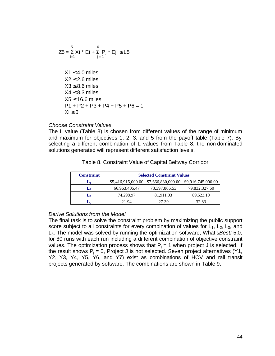$$
Z5 = \sum_{i=1}^{5} Xi^* Ei + \sum_{j=1}^{6} Pj^* Ej \le L5
$$
  
\n
$$
X1 \le 4.0 \text{ miles}
$$
  
\n
$$
X2 \le 2.6 \text{ miles}
$$
  
\n
$$
X3 \le 8.6 \text{ miles}
$$
  
\n
$$
X4 \le 8.3 \text{ miles}
$$
  
\n
$$
X5 \le 16.6 \text{ miles}
$$
  
\n
$$
P1 + P2 + P3 + P4 + P5 + P6 = 1
$$
  
\n
$$
Xi \ge 0
$$

### *Choose Constraint Values*

The L value (Table 8) is chosen from different values of the range of minimum and maximum for objectives 1, 2, 3, and 5 from the payoff table (Table 7). By selecting a different combination of L values from Table 8, the non-dominated solutions generated will represent different satisfaction levels.

| <b>Constraint</b> | <b>Selected Constraint Values</b> |                                            |                    |  |  |
|-------------------|-----------------------------------|--------------------------------------------|--------------------|--|--|
|                   |                                   | $$5,416,915,000.00 \mid $7,666,830,000.00$ | \$9,916,745,000.00 |  |  |
| $\mathbf{L}_2$    | 66,963,405.47                     | 73,397,866.53                              | 79,832,327.60      |  |  |
| Lą                | 74.298.97                         | 81.911.03                                  | 89,523.10          |  |  |
|                   | 21.94                             | 27.39                                      | 32.83              |  |  |

Table 8. Constraint Value of Capital Beltway Corridor

#### *Derive Solutions from the Model*

The final task is to solve the constraint problem by maximizing the public support score subject to all constraints for every combination of values for  $L_1$ ,  $L_2$ ,  $L_3$ , and L5. The model was solved by running the optimization software, What's*Best!* 5.0, for 80 runs with each run including a different combination of objective constraint values. The optimization process shows that  $P_i = 1$  when project J is selected. If the result shows  $P_i = 0$ , Project J is not selected. Seven project alternatives (Y1, Y2, Y3, Y4, Y5, Y6, and Y7) exist as combinations of HOV and rail transit projects generated by software. The combinations are shown in Table 9.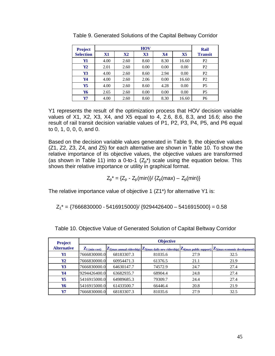| <b>Project</b>   |           |               | <b>HOV</b>     |      |                | Rail           |
|------------------|-----------|---------------|----------------|------|----------------|----------------|
| <b>Selection</b> | <b>X1</b> | $\mathbf{X}2$ | $\mathbf{X}$ 3 | X4   | $\mathbf{X}$ 5 | <b>Transit</b> |
| Y1               | 4.00      | 2.60          | 8.60           | 8.30 | 16.60          | P2             |
| Y2               | 2.01      | 2.60          | 0.00           | 0.00 | 0.00           | P2             |
| Y3               | 4.00      | 2.60          | 8.60           | 2.94 | 0.00           | P2             |
| Y4               | 4.00      | 2.60          | 2.06           | 0.00 | 16.60          | P2             |
| Y <sub>5</sub>   | 4.00      | 2.60          | 8.60           | 4.28 | 0.00           | P <sub>5</sub> |
| Y6               | 2.65      | 2.60          | 0.00           | 0.00 | 0.00           | P <sub>5</sub> |
| Y7               | 4.00      | 2.60          | 8.60           | 8.30 | 16.60          | P6             |

Table 9. Generated Solutions of the Capital Beltway Corridor

Y1 represents the result of the optimization process that HOV decision variable values of X1, X2, X3, X4, and X5 equal to 4, 2.6, 8.6, 8.3, and 16.6; also the result of rail transit decision variable values of P1, P2, P3, P4, P5, and P6 equal to 0, 1, 0, 0, 0, and 0.

Based on the decision variable values generated in Table 9, the objective values (Z1, Z2, Z3, Z4, and Z5) for each alternative are shown in Table 10. To show the relative importance of its objective values, the objective values are transformed (as shown in Table 11) into a 0-to-1  $(Z_p^*)$  scale using the equation below. This shows their relative importance or utility in graphical format.

$$
Z_p^* = \{Z_p - Z_p(min)\} / \{Z_p(max) - Z_p(min)\}
$$

The relative importance value of objective 1 (Z1\*) for alternative Y1 is:

 $Z_1^* = \{7666830000 - 5416915000\} / \{9294426400 - 5416915000\} = 0.58$ 

| <b>Project</b>     |                             |            | <b>Objective</b> |      |                                                                                                                                                                        |
|--------------------|-----------------------------|------------|------------------|------|------------------------------------------------------------------------------------------------------------------------------------------------------------------------|
| <b>Alternative</b> | $\mathbf{Z}_{1 (min cost)}$ |            |                  |      | $\mathbb{Z}_{2(max\; annual\;ridership)} \mathbb{Z}_{3(max\; daily\;new\;ridership)} \mathbb{Z}_{4(max\;public\;support)} \mathbb{Z}_{5(max\;economic\;development)} $ |
| Y1                 | 7666830000.0                | 68183307.3 | 81035.6          | 27.9 | 32.5                                                                                                                                                                   |
| $\mathbf{Y2}$      | 7666830000.0                | 60954471.3 | 61376.5          | 21.1 | 21.9                                                                                                                                                                   |
| Y3                 | 7666830000.0                | 64630147.7 | 74572.9          | 24.7 | 27.4                                                                                                                                                                   |
| Y4                 | 9294426400.0                | 63682935.7 | 68904.4          | 24.8 | 27.4                                                                                                                                                                   |
| Y <sub>5</sub>     | 5416915000.0                | 64989685.3 | 79309.7          | 24.4 | 27.4                                                                                                                                                                   |
| Y6                 | 5416915000.0                | 61433500.7 | 66446.4          | 20.8 | 21.9                                                                                                                                                                   |
| Y7                 | 7666830000.0                | 68183307.3 | 81035.6          | 27.9 | 32.5                                                                                                                                                                   |

Table 10. Objective Value of Generated Solution of Capital Beltway Corridor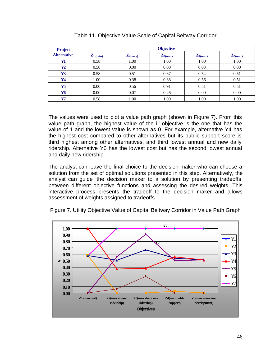| <b>Project</b>     |                                |                              | <b>Objective</b> |              |              |
|--------------------|--------------------------------|------------------------------|------------------|--------------|--------------|
| <b>Alternative</b> | $\mathbf{Z}_{1 \text{ (min)}}$ | $\mathbf{Z}_{2(\text{max})}$ | $Z_{3(max)}$     | $Z_{4(max)}$ | $Z_{5(max)}$ |
| Y1                 | 0.58                           | 1.00                         | 1.00             | 1.00         | 1.00         |
| Y2                 | 0.58                           | 0.00                         | 0.00             | 0.03         | 0.00         |
| Y3                 | 0.58                           | 0.51                         | 0.67             | 0.54         | 0.51         |
| Y4                 | 1.00                           | 0.38                         | 0.38             | 0.56         | 0.51         |
| Y5                 | 0.00                           | 0.56                         | 0.91             | 0.51         | 0.51         |
| Y6                 | 0.00                           | 0.07                         | 0.26             | 0.00         | 0.00         |
| Y7                 | 0.58                           | 1.00                         | 1.00             | 1.00         | 1.00         |

| Table 11. Objective Value Scale of Capital Beltway Corridor |  |
|-------------------------------------------------------------|--|
|-------------------------------------------------------------|--|

The values were used to plot a value path graph (shown in Figure 7). From this value path graph, the highest value of the  $i<sup>th</sup>$  objective is the one that has the value of 1 and the lowest value is shown as 0. For example, alternative Y4 has the highest cost compared to other alternatives but its public support score is third highest among other alternatives, and third lowest annual and new daily ridership. Alternative Y6 has the lowest cost but has the second lowest annual and daily new ridership.

The analyst can leave the final choice to the decision maker who can choose a solution from the set of optimal solutions presented in this step. Alternatively, the analyst can guide the decision maker to a solution by presenting tradeoffs between different objective functions and assessing the desired weights. This interactive process presents the tradeoff to the decision maker and allows assessment of weights assigned to tradeoffs.



Figure 7. Utility Objective Value of Capital Beltway Corridor in Value Path Graph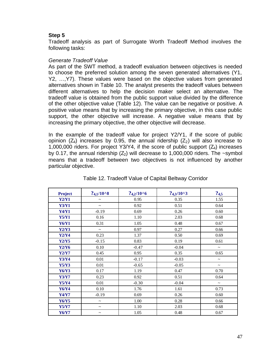# **Step 5**

Tradeoff analysis as part of Surrogate Worth Tradeoff Method involves the following tasks:

## *Generate Tradeoff Value*

As part of the SWT method, a tradeoff evaluation between objectives is needed to choose the preferred solution among the seven generated alternatives (Y1, Y2, …,Y7). These values were based on the objective values from generated alternatives shown in Table 10. The analyst presents the tradeoff values between different alternatives to help the decision maker select an alternative. The tradeoff value is obtained from the public support value divided by the difference of the other objective value (Table 12). The value can be negative or positive. A positive value means that by increasing the primary objective, in this case public support, the other objective will increase. A negative value means that by increasing the primary objective, the other objective will decrease.

In the example of the tradeoff value for project Y2/Y1, if the score of public opinion  $(Z_4)$  increases by 0.95, the annual ridership  $(Z_2)$  will also increase to 1,000,000 riders. For project Y3/Y4, if the score of public support  $(Z_4)$  increases by 0.17, the annual ridership  $(Z_2)$  will decrease to 1,000,000 riders. The ~symbol means that a tradeoff between two objectives is not influenced by another particular objective.

| <b>Project</b> | $?4.1/10^{8}$         | $?4,2/10^{6}$ | $?4,3/10^{4}3$ | ?4,5                  |
|----------------|-----------------------|---------------|----------------|-----------------------|
| Y2/Y1          | $\tilde{\phantom{a}}$ | 0.95          | 0.35           | 1.55                  |
| <b>Y3/Y1</b>   | $\tilde{\phantom{a}}$ | 0.92          | 0.51           | 0.64                  |
| <b>Y4/Y1</b>   | $-0.19$               | 0.69          | 0.26           | 0.60                  |
| <b>Y5/Y1</b>   | 0.16                  | 1.10          | 2.03           | 0.68                  |
| <b>Y6/Y1</b>   | 0.31                  | 1.05          | 0.48           | 0.67                  |
| Y2/Y3          | $\tilde{\phantom{a}}$ | 0.97          | 0.27           | 0.66                  |
| Y2/Y4          | 0.23                  | 1.37          | 0.50           | 0.69                  |
| <b>Y2/Y5</b>   | $-0.15$               | 0.83          | 0.19           | 0.61                  |
| <b>Y2/Y6</b>   | 0.10                  | $-0.47$       | $-0.04$        | $\tilde{\phantom{a}}$ |
| <b>Y2/Y7</b>   | 0.45                  | 0.95          | 0.35           | 0.65                  |
| <b>Y3/Y4</b>   | 0.01                  | $-0.17$       | $-0.03$        | $\thicksim$           |
| Y5/Y3          | 0.01                  | $-0.65$       | $-0.05$        | $\thicksim$           |
| <b>Y6/Y3</b>   | 0.17                  | 1.19          | 0.47           | 0.70                  |
| <b>Y3/Y7</b>   | 0.23                  | 0.92          | 0.51           | 0.64                  |
| Y5/Y4          | 0.01                  | $-0.30$       | $-0.04$        | $\sim$                |
| Y6/Y4          | 0.10                  | 1.76          | 1.61           | 0.73                  |
| <b>Y4/Y7</b>   | $-0.19$               | 0.69          | 0.26           | 0.60                  |
| <b>Y6/Y5</b>   | $\tilde{\phantom{a}}$ | 1.00          | 0.28           | 0.66                  |
| <b>Y5/Y7</b>   | $\tilde{\phantom{a}}$ | 1.10          | 2.03           | 0.68                  |
| <b>Y6/Y7</b>   | $\tilde{\phantom{a}}$ | 1.05          | 0.48           | 0.67                  |

## Table 12. Tradeoff Value of Capital Beltway Corridor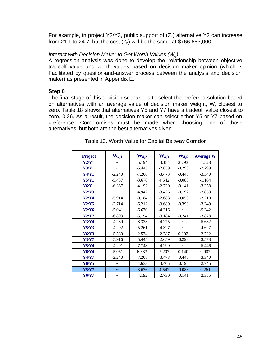For example, in project Y2/Y3, public support of  $(Z_4)$  alternative Y2 can increase from 21.1 to 24.7, but the cost  $(Z_5)$  will be the same at \$766,683,000.

## *Interact with Decision Maker to Get Worth Values (Wij)*

A regression analysis was done to develop the relationship between objective tradeoff value and worth values based on decision maker opinion (which is Facilitated by question-and-answer process between the analysis and decision maker) as presented in Appendix E.

### **Step 6**

The final stage of this decision scenario is to select the preferred solution based on alternatives with an average value of decision maker weight, W, closest to zero. Table 18 shows that alternatives Y5 and Y7 have a tradeoff value closest to zero, 0.26. As a result, the decision maker can select either Y5 or Y7 based on preference. Compromises must be made when choosing one of those alternatives, but both are the best alternatives given.

| <b>Project</b> | $W_{4,1}$             | $W_{4,2}$ | $W_{4,3}$ | $W_{4,5}$             | <b>Average W</b> |
|----------------|-----------------------|-----------|-----------|-----------------------|------------------|
| Y2/Y1          |                       | $-5.194$  | $-3.184$  | 3.793                 | $-1.528$         |
| <b>Y3/Y1</b>   | $\tilde{\phantom{a}}$ | $-5.445$  | $-2.659$  | $-0.293$              | $-2.799$         |
| <b>Y4/Y1</b>   | $-2.240$              | $-7.208$  | $-3.473$  | $-0.440$              | $-3.340$         |
| <b>Y5/Y1</b>   | $-5.437$              | $-3.676$  | 4.542     | $-0.083$              | $-1.164$         |
| Y6/Y1          | $-6.367$              | $-4.192$  | $-2.730$  | $-0.141$              | $-3.358$         |
| Y2/Y3          |                       | $-4.942$  | $-3.426$  | $-0.192$              | $-2.853$         |
| Y2/Y4          | $-5.914$              | $-0.184$  | $-2.688$  | $-0.053$              | $-2.210$         |
| Y2/Y5          | $-2.714$              | $-6.212$  | $-3.680$  | $-0.390$              | $-3.249$         |
| Y2/Y6          | $-5.041$              | $-6.670$  | $-4.316$  |                       | $-5.342$         |
| Y2/Y7          | $-6.893$              | $-5.194$  | $-3.184$  | $-0.241$              | $-3.878$         |
| Y3/Y4          | $-4.289$              | $-8.333$  | $-4.275$  | $\tilde{\phantom{a}}$ | $-5.632$         |
| Y5/Y3          | $-4.292$              | $-5.261$  | $-4.327$  |                       | $-4.627$         |
| Y6/Y3          | $-5.530$              | $-2.574$  | $-2.787$  | 0.002                 | $-2.722$         |
| <b>Y3/Y7</b>   | $-5.916$              | $-5.445$  | $-2.659$  | $-0.293$              | $-3.578$         |
| <b>Y5/Y4</b>   | $-4.291$              | $-7.748$  | $-4.299$  | $\sim$                | $-5.446$         |
| Y6/Y4          | $-5.051$              | 6.333     | 2.207     | 0.140                 | 0.907            |
| Y4/Y7          | $-2.240$              | $-7.208$  | $-3.473$  | $-0.440$              | $-3.340$         |
| Y6/Y5          | $\tilde{}$            | $-4.633$  | $-3.405$  | $-0.196$              | $-2.745$         |
| <b>Y5/Y7</b>   | $\thicksim$           | $-3.676$  | 4.542     | $-0.083$              | 0.261            |
| <b>Y6/Y7</b>   | $\tilde{\phantom{a}}$ | $-4.192$  | $-2.730$  | $-0.141$              | $-2.355$         |

| Table 13. Worth Value for Capital Beltway Corridor |
|----------------------------------------------------|
|----------------------------------------------------|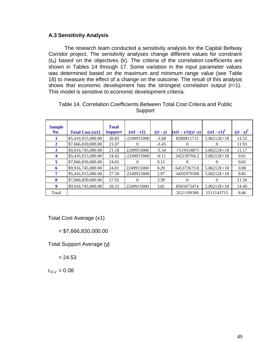## **A.3 Sensitivity Analysis**

The research team conducted a sensitivity analysis for the Capital Beltway Corridor project. The sensitivity analyses change different values for constraint  $(\varepsilon_k)$  based on the objectives (k). The criteria of the correlation coefficients are shown in Tables 14 through 17. Some variation in the input parameter values was determined based on the maximum and minimum range value (see Table 18) to measure the effect of a change on the outcome. The result of this analysis shows that economic development has the strongest correlation output (r=1). This model is sensitive to economic development criteria.

| <b>Sample</b><br>No. | <b>Total Cost (xi1)</b> | <b>Total</b><br><b>Support</b> | $(xi1 - x1)$ | $(yi - y)$ | $(xi1 - x1)(yi - y)$ | $(xi1 - x1)^2$ | $(yi - y)^2$ |
|----------------------|-------------------------|--------------------------------|--------------|------------|----------------------|----------------|--------------|
| 1                    | \$5,416,915,000.00      | 20.85                          | -22499150001 | $-3.68$    | 8280811715           | $5.06212E+18$  | 13.55        |
| $\mathbf{2}$         | \$7,666,830,000.00      | 21.07                          | $^{(1)}$     | $-3.45$    | 0                    | $\Omega$       | 11.93        |
| 3                    | \$9,916,745,000.00      | 21.18                          | 2249915000   | $-3.34$    | -7519318871          | $5.06212E+18$  | 11.17        |
| 4                    | \$5,416,915,000.00      | 24.42                          | -22499150001 | $-0.11$    | 242239704.2          | $5.06212E+18$  | 0.01         |
| 5                    | \$7,666,830,000.00      | 24.65                          | $\Omega$     | 0.12       | $\Omega$             | $\Omega$       | 0.02         |
| 6                    | \$9,916,745,000.00      | 24.81                          | 2249915000   | 0.29       | 645372673.8          | $5.06212E+18$  | 0.08         |
| 7                    | \$5,416,915,000.00      | 27.50                          | -22499150001 | 2.97       | -6692979396          | $5.06212E+18$  | 8.85         |
| 8                    | \$7,666,830,000.00      | 27.92                          | 0            | 3.39       | 0                    | $\Omega$       | 11.50        |
| 9                    | \$9,916,745,000.00      | 28.33                          | 2249915000   | 3.81       | 8565073474           | $5.06212E+18$  | 14.49        |
| Total                |                         |                                |              |            | 3521199300           | 5511143715     | 8.46         |

| Table 14. Correlation Coefficients Between Total Cost Criteria and Public |  |
|---------------------------------------------------------------------------|--|
| Support                                                                   |  |

Total Cost Average (x1)

 $= $7,666,830,000.00$ 

Total Support Average (y)

 $= 24.53$ 

 $r_{x1,y} = 0.08$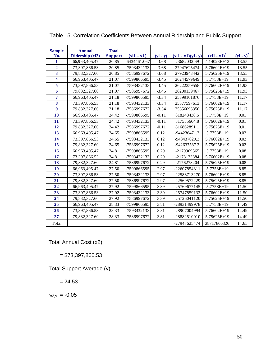| <b>Sample</b>           | <b>Annual</b>   | <b>Total</b>   |              |            |                      |                |              |
|-------------------------|-----------------|----------------|--------------|------------|----------------------|----------------|--------------|
| No.                     | Ridership (xi2) | <b>Support</b> | $(xi1 - x1)$ | $(yi - y)$ | $(xi1 - x1)(yi - y)$ | $(xi1 - x1)^2$ | $(yi - y)^2$ |
| 1                       | 66,963,405.47   | 20.85          | 6434461.067  | $-3.68$    | 23682032.69          | 4.14023E+13    | 13.55        |
| $\overline{2}$          | 73,397,866.53   | 20.85          | -7593432133  | $-3.68$    | 27947625474          | 5.76602E+19    | 13.55        |
| $\overline{\mathbf{3}}$ | 79,832,327.60   | 20.85          | -7586997672  | $-3.68$    | 27923943442          | 5.75625E+19    | 13.55        |
| $\overline{\mathbf{4}}$ | 66,963,405.47   | 21.07          | -7599866595  | $-3.45$    | 26244579649          | 5.7758E+19     | 11.93        |
| 5                       | 73,397,866.53   | 21.07          | -7593432133  | $-3.45$    | 26222359558          | 5.76602E+19    | 11.93        |
| 6                       | 79,832,327.60   | 21.07          | -7586997672  | $-3.45$    | 26200139467          | 5.75625E+19    | 11.93        |
| $\overline{7}$          | 66,963,405.47   | 21.18          | -7599866595  | $-3.34$    | 25399101876          | 5.7758E+19     | 11.17        |
| 8                       | 73,397,866.53   | 21.18          | -7593432133  | $-3.34$    | 25377597613          | 5.76602E+19    | 11.17        |
| $\overline{9}$          | 79,832,327.60   | 21.18          | -7586997672  | $-3.34$    | 25356093350          | 5.75625E+19    | 11.17        |
| 10                      | 66,963,405.47   | 24.42          | -7599866595  | $-0.11$    | 818248438.5          | 5.7758E+19     | 0.01         |
| 11                      | 73,397,866.53   | 24.42          | -7593432133  | $-0.11$    | 817555664.8          | 5.76602E+19    | 0.01         |
| 12                      | 79,832,327.60   | 24.42          | -7586997672  | $-0.11$    | 816862891.1          | 5.75625E+19    | 0.01         |
| 13                      | 66,963,405.47   | 24.65          | -7599866595  | 0.12       | -944236471.3         | 5.7758E+19     | 0.02         |
| 14                      | 73,397,866.53   | 24.65          | -7593432133  | 0.12       | -943437029.3         | $5.76602E+19$  | 0.02         |
| 15                      | 79,832,327.60   | 24.65          | -7586997672  | 0.12       | -942637587.3         | 5.75625E+19    | 0.02         |
| 16                      | 66,963,405.47   | 24.81          | -7599866595  | 0.29       | -2179969565          | 5.7758E+19     | 0.08         |
| 17                      | 73,397,866.53   | 24.81          | -7593432133  | 0.29       | -2178123884          | 5.76602E+19    | 0.08         |
| 18                      | 79,832,327.60   | 24.81          | -7586997672  | 0.29       | -2176278204          | 5.75625E+19    | 0.08         |
| 19                      | 66,963,405.47   | 27.50          | -7599866595  | 2.97       | -22607854311         | 5.7758E+19     | 8.85         |
| 20                      | 73,397,866.53   | 27.50          | -7593432133  | 2.97       | -22588713270         | 5.76602E+19    | 8.85         |
| 21                      | 79,832,327.60   | 27.50          | -7586997672  | 2.97       | -22569572229         | 5.75625E+19    | 8.85         |
| 22                      | 66,963,405.47   | 27.92          | -7599866595  | 3.39       | -25769677145         | 5.7758E+19     | 11.50        |
| 23                      | 73,397,866.53   | 27.92          | -7593432133  | 3.39       | -25747859132         | 5.76602E+19    | 11.50        |
| 24                      | 79,832,327.60   | 27.92          | -7586997672  | 3.39       | $-25726041120$       | 5.75625E+19    | 11.50        |
| 25                      | 66,963,405.47   | 28.33          | -7599866595  | 3.81       | -28931499978         | 5.7758E+19     | 14.49        |
| 26                      | 73,397,866.53   | 28.33          | -7593432133  | 3.81       | -28907004994         | 5.76602E+19    | 14.49        |
| 27                      | 79,832,327.60   | 28.33          | -7586997672  | 3.81       | -28882510010         | 5.75625E+19    | 14.49        |
| Total                   |                 |                |              |            | -27947625474         | 38717806326    | 14.65        |

Table 15. Correlation Coefficients Between Annual Ridership and Public Support

Total Annual Cost (x2)

 $= $73,397,866.53$ 

Total Support Average (y)

 $= 24.53$ 

 $r_{x2,y} = -0.05$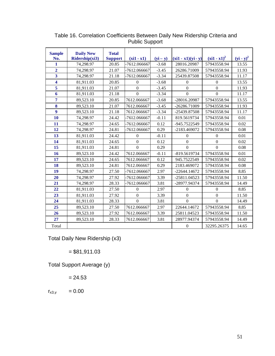| <b>Sample</b>           | <b>Daily New</b> | <b>Total</b>   |                |            |                      |                  |              |
|-------------------------|------------------|----------------|----------------|------------|----------------------|------------------|--------------|
| No.                     | Ridership(xi3)   | <b>Support</b> | $(xi1 - x1)$   | $(yi - y)$ | $(xi1 - x1)(yi - y)$ | $(xi1 - x1)^2$   | $(yi - y)^2$ |
| 1                       | 74,298.97        | 20.85          | -7612.066667   | $-3.68$    | 28016.20987          | 57943558.94      | 13.55        |
| $\overline{2}$          | 74,298.97        | 21.07          | -7612.066667   | $-3.45$    | 26286.71009          | 57943558.94      | 11.93        |
| $\overline{\mathbf{3}}$ | 74,298.97        | 21.18          | -7612.066667   | $-3.34$    | 25439.87508          | 57943558.94      | 11.17        |
| 4                       | 81,911.03        | 20.85          | $\overline{0}$ | $-3.68$    | $\boldsymbol{0}$     | $\mathbf{0}$     | 13.55        |
| 5                       | 81,911.03        | 21.07          | $\overline{0}$ | $-3.45$    | $\overline{0}$       | $\overline{0}$   | 11.93        |
| 6                       | 81,911.03        | 21.18          | $\Omega$       | $-3.34$    | $\Omega$             | $\Omega$         | 11.17        |
| $\overline{7}$          | 89,523.10        | 20.85          | 7612.066667    | $-3.68$    | -28016.20987         | 57943558.94      | 13.55        |
| 8                       | 89,523.10        | 21.07          | 7612.066667    | $-3.45$    | -26286.71009         | 57943558.94      | 11.93        |
| $\overline{9}$          | 89,523.10        | 21.18          | 7612.066667    | $-3.34$    | -25439.87508         | 57943558.94      | 11.17        |
| 10                      | 74,298.97        | 24.42          | -7612.066667   | $-0.11$    | 819.5619734          | 57943558.94      | 0.01         |
| 11                      | 74,298.97        | 24.65          | -7612.066667   | 0.12       | -945.7522549         | 57943558.94      | 0.02         |
| 12                      | 74,298.97        | 24.81          | -7612.066667   | 0.29       | -2183.469072         | 57943558.94      | 0.08         |
| 13                      | 81,911.03        | 24.42          | $\overline{0}$ | $-0.11$    | $\Omega$             | $\Omega$         | 0.01         |
| 14                      | 81,911.03        | 24.65          | $\overline{0}$ | 0.12       | $\overline{0}$       | $\boldsymbol{0}$ | 0.02         |
| 15                      | 81,911.03        | 24.81          | $\Omega$       | 0.29       | $\Omega$             | $\Omega$         | 0.08         |
| 16                      | 89,523.10        | 24.42          | 7612.066667    | $-0.11$    | -819.5619734         | 57943558.94      | 0.01         |
| 17                      | 89,523.10        | 24.65          | 7612.066667    | 0.12       | 945.7522549          | 57943558.94      | 0.02         |
| 18                      | 89,523.10        | 24.81          | 7612.066667    | 0.29       | 2183.469072          | 57943558.94      | 0.08         |
| 19                      | 74,298.97        | 27.50          | -7612.066667   | 2.97       | $-22644.14672$       | 57943558.94      | 8.85         |
| 20                      | 74,298.97        | 27.92          | -7612.066667   | 3.39       | -25811.04523         | 57943558.94      | 11.50        |
| 21                      | 74,298.97        | 28.33          | -7612.066667   | 3.81       | -28977.94374         | 57943558.94      | 14.49        |
| 22                      | 81,911.03        | 27.50          | $\Omega$       | 2.97       | $\boldsymbol{0}$     | $\overline{0}$   | 8.85         |
| 23                      | 81,911.03        | 27.92          | $\overline{0}$ | 3.39       | $\overline{0}$       | $\boldsymbol{0}$ | 11.50        |
| 24                      | 81,911.03        | 28.33          | $\Omega$       | 3.81       | $\Omega$             | $\Omega$         | 14.49        |
| 25                      | 89,523.10        | 27.50          | 7612.066667    | 2.97       | 22644.14672          | 57943558.94      | 8.85         |
| 26                      | 89,523.10        | 27.92          | 7612.066667    | 3.39       | 25811.04523          | 57943558.94      | 11.50        |
| 27                      | 89,523.10        | 28.33          | 7612.066667    | 3.81       | 28977.94374          | 57943558.94      | 14.49        |
| Total                   |                  |                |                |            | $\overline{0}$       | 32295.26375      | 14.65        |

Table 16. Correlation Coefficients Between Daily New Ridership Criteria and Public Support

Total Daily New Ridership (x3)

 $= $81,911.03$ 

Total Support Average (y)

 $= 24.53$ 

 $r_{x3,y} = 0.00$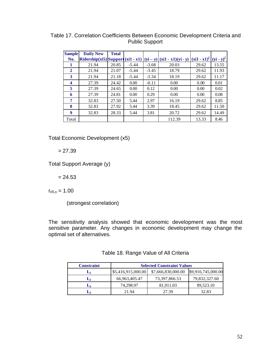| <b>Sample</b> | <b>Daily New</b>                      | <b>Total</b> |         |         |                                  |                |              |
|---------------|---------------------------------------|--------------|---------|---------|----------------------------------|----------------|--------------|
| No.           | $Ridership(xi5)   Support (xi1 - x1)$ |              |         |         | $ (yi - y)  (xi1 - x1)(yi - y) $ | $(xi1 - x1)^2$ | $(yi - y)^2$ |
| 1             | 21.94                                 | 20.85        | $-5.44$ | $-3.68$ | 20.03                            | 29.62          | 13.55        |
| $\mathbf{2}$  | 21.94                                 | 21.07        | $-5.44$ | $-3.45$ | 18.79                            | 29.62          | 11.93        |
| 3             | 21.94                                 | 21.18        | $-5.44$ | $-3.34$ | 18.19                            | 29.62          | 11.17        |
| 4             | 27.39                                 | 24.42        | 0.00    | $-0.11$ | 0.00                             | 0.00           | 0.01         |
| 5             | 27.39                                 | 24.65        | 0.00    | 0.12    | 0.00                             | 0.00           | 0.02         |
| 6             | 27.39                                 | 24.81        | 0.00    | 0.29    | 0.00                             | 0.00           | 0.08         |
| 7             | 32.83                                 | 27.50        | 5.44    | 2.97    | 16.19                            | 29.62          | 8.85         |
| 8             | 32.83                                 | 27.92        | 5.44    | 3.39    | 18.45                            | 29.62          | 11.50        |
| 9             | 32.83                                 | 28.33        | 5.44    | 3.81    | 20.72                            | 29.62          | 14.49        |
| Total         |                                       |              |         |         | 112.39                           | 13.33          | 8.46         |

Table 17. Correlation Coefficients Between Economic Development Criteria and Public Support

Total Economic Development (x5)

 $= 27.39$ 

Total Support Average (y)

 $= 24.53$ 

 $r_{x5,y} = 1.00$ 

(strongest correlation)

The sensitivity analysis showed that economic development was the most sensitive parameter. Any changes in economic development may change the optimal set of alternatives.

| <b>Constraint</b> | <b>Selected Constraint Values</b> |                    |                    |  |  |  |  |
|-------------------|-----------------------------------|--------------------|--------------------|--|--|--|--|
| Lı                | \$5,416,915,000.00                | \$7,666,830,000.00 | \$9,916,745,000.00 |  |  |  |  |
| $\mathbf{L}_2$    | 66,963,405.47                     | 73,397,866.53      | 79,832,327.60      |  |  |  |  |
| Lą                | 74,298.97                         | 81.911.03          | 89.523.10          |  |  |  |  |
|                   | 21.94                             | 27.39              | 32.83              |  |  |  |  |

| Table 18. Range Value of All Criteria |  |  |  |  |  |
|---------------------------------------|--|--|--|--|--|
|---------------------------------------|--|--|--|--|--|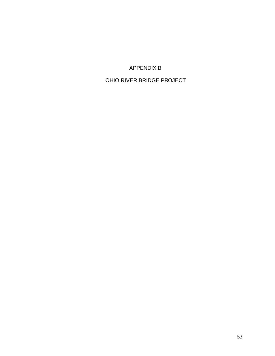APPENDIX B

OHIO RIVER BRIDGE PROJECT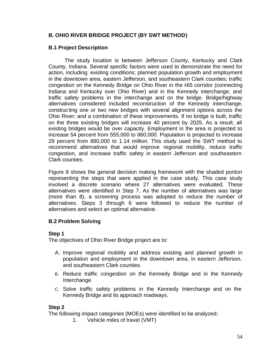# **B. OHIO RIVER BRIDGE PROJECT (BY SWT METHOD)**

# **B.1 Project Description**

The study location is between Jefferson County, Kentucky and Clark County, Indiana. Several specific factors were used to demonstrate the need for action, including: existing conditions; planned population growth and employment in the downtown area, eastern Jefferson, and southeastern Clark counties; traffic congestion on the Kennedy Bridge on Ohio River in the I65 corridor (connecting Indiana and Kentucky over Ohio River) and in the Kennedy interchange; and traffic safety problems in the interchange and on the bridge. Bridge/highway alternatives considered included reconstruction of the Kennedy interchange, constructing one or two new bridges with several alignment options across the Ohio River; and a combination of these improvements. If no bridge is built, traffic on the three existing bridges will increase 40 percent by 2025. As a result, all existing bridges would be over capacity. Employment in the area is projected to increase 54 percent from 555,000 to 860,000. Population is projected to increase 29 percent from 880,000 to 1.14 million. This study used the SWT method to recommend alternatives that would improve regional mobility, reduce traffic congestion, and increase traffic safety in eastern Jefferson and southeastern Clark counties.

Figure 8 shows the general decision making framework with the shaded portion representing the steps that were applied in the case study. This case study involved a discrete scenario where 27 alternatives were evaluated. These alternatives were identified in Step 7. As the number of alternatives was large (more than 8), a screening process was adopted to reduce the number of alternatives. Steps 3 through 6 were followed to reduce the number of alternatives and select an optimal alternative.

# **B.2 Problem Solving**

## **Step 1**

The objectives of Ohio River Bridge project are to:

- A. Improve regional mobility and address existing and planned growth in population and employment in the downtown area, in eastern Jefferson, and southeastern Clark counties.
- B. Reduce traffic congestion on the Kennedy Bridge and in the Kennedy Interchange.
- C. Solve traffic safety problems in the Kennedy Interchange and on the Kennedy Bridge and its approach roadways.

## **Step 2**

The following impact categories (MOEs) were identified to be analyzed:

1. Vehicle miles of travel (VMT)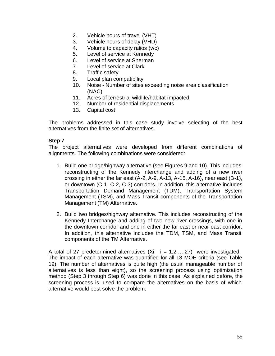- 2. Vehicle hours of travel (VHT)
- 3. Vehicle hours of delay (VHD)
- 4. Volume to capacity ratios (v/c)
- 5. Level of service at Kennedy
- 6. Level of service at Sherman
- 7. Level of service at Clark
- 8. Traffic safety
- 9. Local plan compatibility
- 10. Noise Number of sites exceeding noise area classification (NAC)
- 11. Acres of terrestrial wildlife/habitat impacted
- 12. Number of residential displacements
- 13. Capital cost

The problems addressed in this case study involve selecting of the best alternatives from the finite set of alternatives.

# **Step 7**

The project alternatives were developed from different combinations of alignments. The following combinations were considered:

- 1. Build one bridge/highway alternative (see Figures 9 and 10). This includes reconstructing of the Kennedy interchange and adding of a new river crossing in either the far east (A-2, A-9, A-13, A-15, A-16), near east (B-1), or downtown (C-1, C-2, C-3) corridors. In addition, this alternative includes Transportation Demand Management (TDM), Transportation System Management (TSM), and Mass Transit components of the Transportation Management (TM) Alternative.
- 2. Build two bridges/highway alternative. This includes reconstructing of the Kennedy Interchange and adding of two new river crossings, with one in the downtown corridor and one in either the far east or near east corridor. In addition, this alternative includes the TDM, TSM, and Mass Transit components of the TM Alternative.

A total of 27 predetermined alternatives  $(Xi, i = 1,2,...,27)$  were investigated. The impact of each alternative was quantified for all 13 MOE criteria (see Table 19). The number of alternatives is quite high (the usual manageable number of alternatives is less than eight), so the screening process using optimization method (Step 3 through Step 6) was done in this case. As explained before, the screening process is used to compare the alternatives on the basis of which alternative would best solve the problem.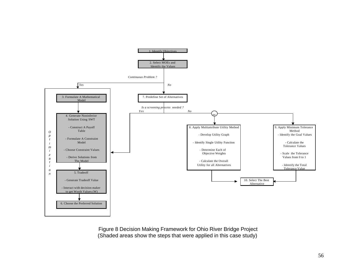

Figure 8 Decision Making Framework for Ohio River Bridge Project (Shaded areas show the steps that were applied in this case study)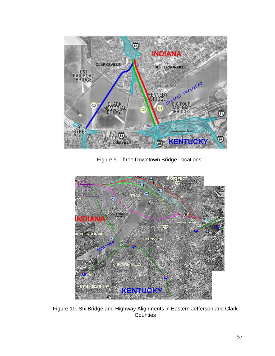

Figure 9. Three Downtown Bridge Locations



Figure 10. Six Bridge and Highway Alignments in Eastern Jefferson and Clark Counties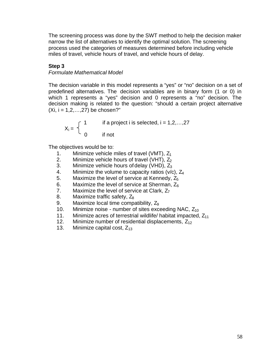The screening process was done by the SWT method to help the decision maker narrow the list of alternatives to identify the optimal solution. The screening process used the categories of measures determined before including vehicle miles of travel, vehicle hours of travel, and vehicle hours of delay.

## **Step 3**

#### *Formulate Mathematical Model*

The decision variable in this model represents a "yes" or "no" decision on a set of predefined alternatives. The decision variables are in binary form (1 or 0) in which 1 represents a "yes" decision and 0 represents a "no" decision. The decision making is related to the question: "should a certain project alternative  $(Xi, i = 1, 2, \ldots, 27)$  be chosen?"

$$
X_i = \begin{cases} 1 & \text{if a project i is selected, } i = 1, 2, \dots, 27 \\ 0 & \text{if not} \end{cases}
$$

The objectives would be to:

- 1. Minimize vehicle miles of travel (VMT),  $Z_1$
- 2. Minimize vehicle hours of travel (VHT),  $Z_2$ <br>3. Minimize vehicle hours of delay (VHD),  $Z_3$
- Minimize vehicle hours of delay (VHD),  $Z_3$
- 4. Minimize the volume to capacity ratios (v/c),  $Z_4$ <br>5. Maximize the level of service at Kennedy,  $Z_5$
- Maximize the level of service at Kennedy,  $Z_5$
- 6. Maximize the level of service at Sherman,  $Z_6$ <br>7. Maximize the level of service at Clark,  $Z_7$
- Maximize the level of service at Clark,  $Z_7$
- 8. Maximize traffic safety,  $Z_8$
- 9. Maximize local time compatibility,  $Z_9$
- 10. Minimize noise number of sites exceeding NAC,  $Z_{10}$
- 11. Minimize acres of terrestrial wildlife/ habitat impacted,  $Z_{11}$
- 12. Minimize number of residential displacements,  $Z_{12}$ <br>13. Minimize capital cost.  $Z_{13}$
- Minimize capital cost,  $Z_{13}$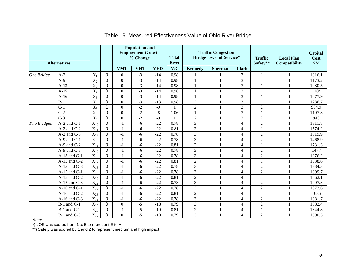|             | <b>Alternatives</b> |                  |                |                  | <b>Population and</b><br><b>Employment Growth</b><br>% Change |            | <b>Total</b><br><b>River</b> |                | <b>Traffic Congestion</b><br><b>Bridge Level of Service*</b> |                | <b>Traffic</b><br>Safety** | <b>Local Plan</b><br>Compatibility | <b>Capital</b><br>Cost<br>\$M\$ |
|-------------|---------------------|------------------|----------------|------------------|---------------------------------------------------------------|------------|------------------------------|----------------|--------------------------------------------------------------|----------------|----------------------------|------------------------------------|---------------------------------|
|             |                     |                  |                | <b>VMT</b>       | <b>VHT</b>                                                    | <b>VHD</b> | V/C                          | <b>Kennedy</b> | <b>Sherman</b>                                               | <b>Clark</b>   |                            |                                    |                                 |
| One Bridge  | $A-2$               | $X_1$            | $\mathbf 0$    | $\overline{0}$   | $-3$                                                          | $-14$      | 0.98                         |                |                                                              | 3              |                            |                                    | 1016.1                          |
|             | $A-9$               | $X_2$            | $\Omega$       | $\theta$         | $-3$                                                          | $-14$      | 0.98                         |                |                                                              | 3              |                            |                                    | 1173.2                          |
|             | $A-13$              | $X_3$            | $\mathbf 0$    | $\theta$         | $-3$                                                          | $-14$      | 0.98                         |                |                                                              | 3              |                            |                                    | 1080.5                          |
|             | $A-15$              | $X_4$            | $\Omega$       | $\Omega$         | $-3$                                                          | $-14$      | 0.98                         |                |                                                              | 3              |                            |                                    | 1104                            |
|             | $A-16$              | $X_5$            | $\Omega$       | $\boldsymbol{0}$ | $-3$                                                          | $-14$      | 0.98                         |                |                                                              | 3              |                            |                                    | 1077.9                          |
|             | $B-1$               | $X_6$            | $\mathbf 0$    | $\theta$         | $-3$                                                          | $-13$      | 0.98                         | $\overline{2}$ |                                                              | 3              |                            |                                    | 1286.7                          |
|             | $C-1$               | $X_7$            |                | $\Omega$         | $-2$                                                          | $-9$       |                              | $\overline{2}$ |                                                              | 3              | $\overline{2}$             |                                    | 934.9                           |
|             | $C-2$               | $X_8$            | $\Omega$       | $\overline{0}$   | $-2$                                                          | $-8$       | 1.06                         |                |                                                              | 3              |                            |                                    | 1197.3                          |
|             | $\overline{C-3}$    | $\overline{X_9}$ | $\overline{0}$ | $\overline{0}$   | $-2$                                                          | $-9$       |                              | $\overline{2}$ |                                                              | 3              | $\overline{2}$             |                                    | 943                             |
| Two Bridges | $A-2$ and $C-1$     | $X_{10}$         | $\mathbf 0$    | $-1$             | $-6$                                                          | $-22$      | 0.78                         | 3              |                                                              | $\overline{4}$ | $\overline{2}$             |                                    | 1311.8                          |
|             | $A-2$ and $C-2$     | $X_{11}$         | $\Omega$       | $-1$             | $-6$                                                          | $-22$      | 0.81                         | $\overline{c}$ |                                                              | 4              |                            |                                    | 1574.2                          |
|             | $A-2$ and $C-3$     | $X_{12}$         | $\mathbf 0$    | $-1$             | -6                                                            | $-22$      | 0.78                         | 3              |                                                              | $\overline{4}$ | $\overline{2}$             |                                    | 1319.9                          |
|             | $A-9$ and $C-1$     | $X_{13}$         | $\mathbf 0$    | $-1$             | -6                                                            | $-22$      | 0.78                         | 3              |                                                              | $\overline{4}$ | $\overline{2}$             |                                    | 1468.9                          |
|             | $A-9$ and $C-2$     | $X_{14}$         | $\Omega$       | $-1$             | $-6$                                                          | $-22$      | 0.81                         | $\overline{2}$ |                                                              | 4              |                            |                                    | 1731.3                          |
|             | $A-9$ and $C-3$     | $X_{15}$         | $\mathbf 0$    | $-1$             | $-6$                                                          | $-22$      | 0.78                         | 3              |                                                              | $\overline{4}$ | $\overline{2}$             |                                    | 1477                            |
|             | $A-13$ and $C-1$    | $X_{16}$         | $\Omega$       | $-1$             | -6                                                            | $-22$      | 0.78                         | 3              |                                                              | $\overline{4}$ | $\overline{2}$             |                                    | 1376.2                          |
|             | $A-13$ and $C-2$    | $X_{17}$         | $\Omega$       | $-1$             | $-6$                                                          | $-22$      | 0.81                         | $\overline{2}$ |                                                              | $\overline{4}$ | $\mathbf{1}$               |                                    | 1638.6                          |
|             | $A-13$ and $C-3$    | $X_{18}$         | 0              | $-1$             | $-6$                                                          | $-22$      | 0.78                         | 3              |                                                              | $\overline{4}$ | $\overline{2}$             |                                    | 1384.3                          |
|             | $A-15$ and $C-1$    | $X_{19}$         | $\mathbf 0$    | $-1$             | $-6$                                                          | $-22$      | 0.78                         | $\overline{3}$ |                                                              | $\overline{4}$ | $\overline{2}$             |                                    | 1399.7                          |
|             | $A-15$ and $C-2$    | $X_{20}$         | $\Omega$       | $-1$             | $-6$                                                          | $-22$      | 0.81                         | $\overline{2}$ |                                                              | $\overline{4}$ | $\mathbf{1}$               |                                    | 1662.1                          |
|             | $A-15$ and $C-3$    | $X_{21}$         | $\Omega$       | $-1$             | -6                                                            | $-22$      | 0.78                         | 3              |                                                              | $\overline{4}$ | $\overline{2}$             |                                    | 1407.8                          |
|             | $A-16$ and $C-1$    | $X_{22}$         | $\overline{0}$ | $-1$             | $-6$                                                          | $-22$      | 0.78                         | 3              |                                                              | $\overline{4}$ | $\overline{2}$             |                                    | 1373.6                          |
|             | $A-16$ and $C-2$    | $X_{23}$         | $\Omega$       | $-1$             | -6                                                            | $-22$      | 0.81                         | $\overline{c}$ |                                                              | $\overline{4}$ | 1                          |                                    | 1636                            |
|             | $A-16$ and $C-3$    | $X_{24}$         | 0              | $-1$             | -6                                                            | $-22$      | 0.78                         | 3              |                                                              | $\overline{4}$ | $\overline{2}$             |                                    | 1381.7                          |
|             | $B-1$ and $C-1$     | $X_{25}$         | $\mathbf 0$    | $\Omega$         | $-5$                                                          | $-18$      | 0.79                         | $\overline{3}$ |                                                              | $\overline{4}$ | $\overline{2}$             |                                    | 1582.4                          |
|             | $B-1$ and $C-2$     | $X_{26}$         | $\Omega$       | $-1$             | $-5$                                                          | $-19$      | 0.81                         | $\overline{c}$ |                                                              | $\overline{4}$ |                            |                                    | 1844.8                          |
|             | $B-1$ and $C-3$     | $X_{27}$         | $\overline{0}$ | $\theta$         | $-5$                                                          | $-18$      | 0.79                         | 3              |                                                              | $\overline{4}$ | $\overline{2}$             |                                    | 1590.5                          |

## Table 19. Measured Effectiveness Value of Ohio River Bridge

Note:

\*) LOS was scored from 1 to 5 to represent E to A

\*\*) Safety was scored by 1 and 2 to represent medium and high impact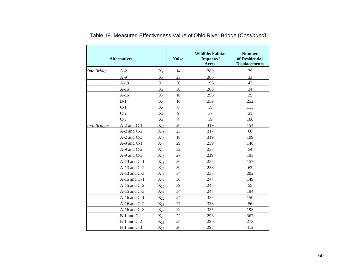|             | <b>Alternatives</b> |                   |                | <b>Wildlife/Habitat</b><br><b>Impacted</b><br><b>Acres</b> | <b>Number</b><br>of Residential<br><b>Displacements</b> |
|-------------|---------------------|-------------------|----------------|------------------------------------------------------------|---------------------------------------------------------|
| One Bridge  | $A-2$               | $X_1$             | 14             | 280                                                        | 39                                                      |
|             | $A-9$               | $X_2$             | 23             | 200                                                        | 33                                                      |
|             | $A-13$              | $X_3$             | 30             | 196                                                        | 42                                                      |
|             | $A-15$              | $X_4$             | 30             | 208                                                        | 34                                                      |
|             | $A-16$              | $X_5$             | 18             | 296                                                        | 35                                                      |
|             | $B-1$               | $X_6$             | 16             | 259                                                        | 252                                                     |
|             | $C-1$               | $X_7$             | 6              | 39                                                         | 115                                                     |
|             | $C-2$               | $\rm X_8$         | 9              | 37                                                         | 21                                                      |
|             | $C-3$               | $X_9$             | $\overline{4}$ | 39                                                         | 160                                                     |
| Two Bridges | $A-2$ and $C-1$     | $X_{10}$          | 20             | 319                                                        | 154                                                     |
|             | $A-2$ and $C-2$     | $X_{11}$          | 23             | 317                                                        | 60                                                      |
|             | $A-2$ and $C-3$     | $X_{12}$          | 18             | 319                                                        | 199                                                     |
|             | $A-9$ and $C-1$     | $X_{13}$          | 29             | 239                                                        | 148                                                     |
|             | $A-9$ and $C-2$     | $X_{14}$          | 32             | 237                                                        | 54                                                      |
|             | $A-9$ and $C-3$     | $X_{15}$          | 27             | 239                                                        | 193                                                     |
|             | $A-13$ and $C-1$    | $X_{16}$          | 36             | 235                                                        | 157                                                     |
|             | $A-13$ and $C-2$    | $X_{17}$          | 39             | 233                                                        | 63                                                      |
|             | $A-13$ and $C-3$    | $X_{18}$          | 34             | 235                                                        | 202                                                     |
|             | $A-15$ and $C-1$    | $X_{19}$          | 36             | 247                                                        | 149                                                     |
|             | $A-15$ and $C-2$    | $X_{20}$          | 39             | 245                                                        | 55                                                      |
|             | $A-15$ and $C-3$    | $X_{21}$          | 34             | 247                                                        | 194                                                     |
|             | $A-16$ and $C-1$    | $X_{22}$          | 24             | 335                                                        | 150                                                     |
|             | $A-16$ and $C-2$    | $X_{23}$          | 27             | 333                                                        | 56                                                      |
|             | $A-16$ and $C-3$    | $X_{24}$          | 22             | 335                                                        | 195                                                     |
|             | $B-1$ and $C-1$     | $X_{25}$          | 22             | 298                                                        | 367                                                     |
|             | $B-1$ and $C-2$     | $X_{26}$          | 25             | 296                                                        | 273                                                     |
|             | $B-1$ and $C-3$     | $\mathbf{X}_{27}$ | 20             | 298                                                        | 412                                                     |

Table 19. Measured Effectiveness Value of Ohio River Bridge (*Continued)*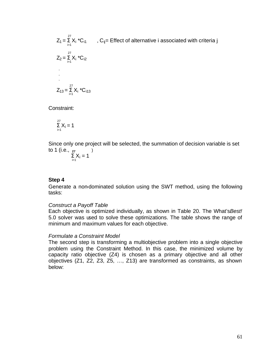$Z_1 = \sum_{i=1}^{27} X_i$  \*C<sub>i1</sub>, C<sub>ij</sub>= Effect of alternative i associated with criteria j  $i=1$  27  $Z_2 = \sum X_i$  \*C<sub>i2</sub>  $i=1$  . . .  $Z_{13} = \sum_{i=1}^{27} X_i$  \*C<sub>113</sub>

Constraint:

$$
\sum_{i=1}^{27} X_i = 1
$$

Since only one project will be selected, the summation of decision variable is set to 1 (i.e.,  $_{27}$  )

$$
\sum_{i=1}^{n} X_i = 1
$$

#### **Step 4**

Generate a non-dominated solution using the SWT method, using the following tasks:

#### *Construct a Payoff Table*

Each objective is optimized individually, as shown in Table 20. The What's*Best!* 5.0 solver was used to solve these optimizations. The table shows the range of minimum and maximum values for each objective.

#### *Formulate a Constraint Model*

The second step is transforming a multiobjective problem into a single objective problem using the Constraint Method. In this case, the minimized volume by capacity ratio objective (Z4) is chosen as a primary objective and all other objectives (Z1, Z2, Z3, Z5, …, Z13) are transformed as constraints, as shown below: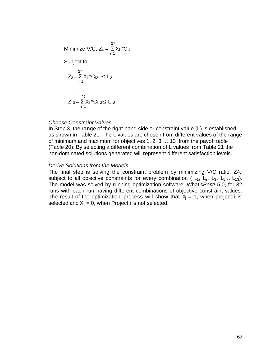Minimize V/C, 
$$
Z_4 = \sum_{i=1}^{27} X_i *C_{i4}
$$
  
Subject to

$$
Z_{2} = \sum_{i=1}^{27} X_{i} {}^{*}C_{i2} \le L_{2}
$$
  
.  
.  
.  

$$
Z_{13} = \sum_{i=1}^{27} X_{i} {}^{*}C_{i13} \le L_{13}
$$

#### *Choose Constraint Values*

In Step 3, the range of the right-hand side or constraint value (L) is established as shown in Table 21. The L values are chosen from different values of the range of minimum and maximum for objectives 1, 2, 3,…,13 from the payoff table (Table 20). By selecting a different combination of L values from Table 21 the non-dominated solutions generated will represent different satisfaction levels.

#### *Derive Solutions from the Models*

The final step is solving the constraint problem by minimizing V/C ratio, Z4, subject to all objective constraints for every combination ( $L_1$ ,  $L_2$ ,  $L_3$ ,  $L_5$ ,... $L_{13}$ ). The model was solved by running optimization software, What's*Best!* 5.0, for 32 runs with each run having different combinations of objective constraint values. The result of the optimization process will show that  $X_j = 1$ , when project i is selected and  $X_i = 0$ , when Project i is not selected.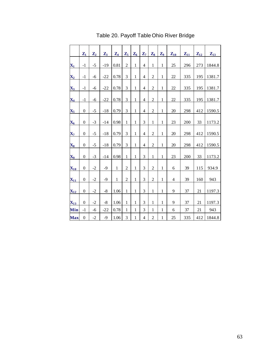|                           | $\mathbf{Z}_1$   | $\mathbf{Z}_2$ | $\mathbf{Z}_3$ | $\mathbf{Z}_4$ | $\mathbf{Z}_5$ | $\mathbf{Z}_6$ | $\mathbf{Z}_7$ | $\mathbf{Z}_8$ | $\mathbf{Z}_9$ | $Z_{10}$       | $Z_{11}$ | $\mathbf{Z}_{12}$ | $Z_{13}$ |
|---------------------------|------------------|----------------|----------------|----------------|----------------|----------------|----------------|----------------|----------------|----------------|----------|-------------------|----------|
|                           | $-1$             | $-5$           |                |                | $\overline{c}$ | $\mathbf{1}$   | $\overline{4}$ | $\mathbf{1}$   |                | 25             |          | 273               |          |
| $\mathbf{X}_1$            |                  |                | $-19$          | 0.81           |                |                |                |                | $\mathbf{1}$   |                | 296      |                   | 1844.8   |
| $\overline{\mathbf{X}}_2$ | $-1$             | -6             | $-22$          | 0.78           | 3              | $\mathbf{1}$   | 4              | $\overline{c}$ | $\mathbf{1}$   | 22             | 335      | 195               | 1381.7   |
| $\mathbf{X}_3$            | $-1$             | $-6$           | $-22$          | 0.78           | $\mathfrak{Z}$ | $\mathbf{1}$   | $\overline{4}$ | $\overline{2}$ | $\,1$          | 22             | 335      | 195               | 1381.7   |
| $\mathbf{X}_4$            | $-1$             | -6             | $-22$          | 0.78           | 3              | $\mathbf{1}$   | 4              | $\overline{c}$ | $\mathbf{1}$   | $22\,$         | 335      | 195               | 1381.7   |
| $\mathbf{X}_5$            | $\boldsymbol{0}$ | $-5$           | $-18$          | 0.79           | 3              | $\mathbf{1}$   | $\overline{4}$ | $\overline{2}$ | $\mathbf{1}$   | 20             | 298      | 412               | 1590.5   |
| $\mathbf{X_6}$            | $\boldsymbol{0}$ | $-3$           | $-14$          | 0.98           | $\mathbf{1}$   | $\mathbf{1}$   | 3              | $\mathbf{1}$   | $\mathbf{1}$   | 23             | 200      | 33                | 1173.2   |
| $\mathbf{X}_7$            | $\boldsymbol{0}$ | $-5$           | $-18$          | 0.79           | 3              | $\mathbf{1}$   | 4              | $\overline{2}$ | $\mathbf{1}$   | 20             | 298      | 412               | 1590.5   |
| $\mathbf{X_8}$            | $\boldsymbol{0}$ | $-5$           | $-18$          | 0.79           | $\overline{3}$ | $\mathbf{1}$   | $\overline{4}$ | $\overline{2}$ | $\mathbf{1}$   | 20             | 298      | 412               | 1590.5   |
| $\mathbf{X_9}$            | $\boldsymbol{0}$ | $-3$           | $-14$          | 0.98           | $\mathbf{1}$   | $\mathbf{1}$   | 3              | $\mathbf{1}$   | $\,1$          | 23             | 200      | 33                | 1173.2   |
| $\mathbf{X}_{10}$         | $\boldsymbol{0}$ | $-2$           | $-9$           | $\mathbf 1$    | $\overline{c}$ | $\mathbf 1$    | 3              | $\overline{2}$ | $\mathbf{1}$   | 6              | 39       | 115               | 934.9    |
| $\mathbf{X}_{11}$         | $\theta$         | $-2$           | $-9$           | 1              | $\overline{c}$ | $\mathbf{1}$   | 3              | $\overline{2}$ | $\mathbf{1}$   | $\overline{4}$ | 39       | 160               | 943      |
| $\mathbf{X}_{12}$         | $\boldsymbol{0}$ | $-2$           | $-8$           | 1.06           | $\mathbf{1}$   | $\mathbf{1}$   | 3              | $\mathbf{1}$   | $\mathbf{1}$   | 9              | 37       | 21                | 1197.3   |
| $\mathbf{X}_{13}$         | $\theta$         | $-2$           | $-8$           | 1.06           | $\mathbf{1}$   | $\mathbf{1}$   | 3              | $\mathbf{1}$   | $\mathbf{1}$   | 9              | 37       | 21                | 1197.3   |
| Min                       | $-1$             | $-6$           | $-22$          | 0.78           | 1              | $\mathbf{1}$   | 3              | $\mathbf{1}$   | $\mathbf{1}$   | 6              | 37       | 21                | 943      |
| <b>Max</b>                | $\theta$         | $-2$           | $-9$           | 1.06           | 3              | $\mathbf{1}$   | 4              | $\overline{2}$ | $\mathbf{1}$   | 25             | 335      | 412               | 1844.8   |

Table 20. Payoff Table Ohio River Bridge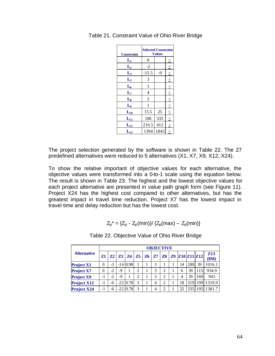| <b>Constraint</b> | <b>Selected Constraint</b> | <b>Values</b> |        |
|-------------------|----------------------------|---------------|--------|
| $L_1$             | 0                          |               |        |
| $L_2$             | $-2$                       |               | $\leq$ |
| $L_3$             | $-15.5$                    | -9            | $\leq$ |
| $L_5$             | 3                          |               | $\leq$ |
| $L_6$             | $\mathbf{1}$               |               | $\leq$ |
| $L_7$             | $\overline{4}$             |               | $\leq$ |
| $L_8$             | $\overline{2}$             |               | $\leq$ |
| L <sub>9</sub>    | 1                          |               | $\leq$ |
| $L_{10}$          | 15.5                       | 25            | $\leq$ |
| $L_{11}$          | 186                        | 335           | $\leq$ |
| $L_{12}$          | 216.5                      | 412           | $\leq$ |
| $L_{13}$          | 1394                       | 1845          | $\leq$ |

Table 21. Constraint Value of Ohio River Bridge

The project selection generated by the software is shown in Table 22. The 27 predefined alternatives were reduced to 5 alternatives (X1, X7, X9, X12, X24).

To show the relative important of objective values for each alternative, the objective values were transformed into a 0-to-1 scale using the equation below. The result is shown in Table 23. The highest and the lowest objective values for each project alternative are presented in value path graph form (see Figure 11). Project X24 has the highest cost compared to other alternatives, but has the greatest impact in travel time reduction. Project X7 has the lowest impact in travel time and delay reduction but has the lowest cost.

$$
Z_p^* = \{Z_p - Z_p(\text{min})\} / \{Z_p(\text{max}) - Z_p(\text{min})\}
$$

|                    | <b>OBJECTIVE</b> |                |              |            |                |    |    |                             |  |                       |     |         |                     |
|--------------------|------------------|----------------|--------------|------------|----------------|----|----|-----------------------------|--|-----------------------|-----|---------|---------------------|
| <b>Alternative</b> | Z1               | Z <sub>2</sub> | <b>Z3 Z4</b> |            | 75             | 76 | Z7 | <b>Z8</b>                   |  | <b>Z9 Z10 Z11 Z12</b> |     |         | <b>Z13</b><br>\$M\$ |
| <b>Project X1</b>  | 0                | $-3$           |              | $-14$ 0.98 |                |    | 3  |                             |  | 14                    | 280 | 39      | 1016.1              |
| <b>Project X7</b>  | 0                | $-2$           | -9           |            | $\overline{c}$ |    | 3  | ◠                           |  | 6                     | 39  | 115     | 934.9               |
| <b>Project X9</b>  | $-1$             | $-2$           | -9           |            | $\overline{c}$ |    | 3  | ◠                           |  | $\overline{4}$        | 39  | 160     | 943                 |
| <b>Project X12</b> | -1               | -6             |              | $-22$ 0.78 | 3              |    | 4  | $\mathcal{D}_{\mathcal{A}}$ |  | 18                    | 319 | 199     | 1319.9              |
| <b>Project X24</b> | -1               | -6             |              | $-22$ 0.78 | 3              |    | 4  | っ                           |  | 22                    |     | 335 195 | 1381.7              |

Table 22. Objective Value of Ohio River Bridge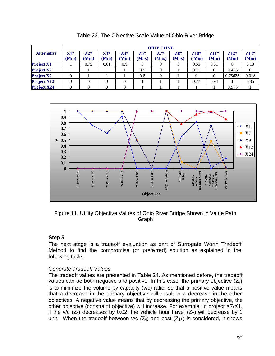|                    |                | <b>OBJECTIVE</b> |                |                |              |                |                |                      |                 |                 |                 |  |  |
|--------------------|----------------|------------------|----------------|----------------|--------------|----------------|----------------|----------------------|-----------------|-----------------|-----------------|--|--|
| <b>Alternative</b> | $Z1*$<br>(Min) | $7.2*$<br>(Min)  | $Z3*$<br>(Min) | $Z4*$<br>(Min) | Z5*<br>(Max) | $Z7*$<br>(Max) | $Z8*$<br>(Max) | $Z10*$<br><b>Min</b> | $Z11*$<br>(Min) | $Z12*$<br>(Min) | $Z13*$<br>(Min) |  |  |
| <b>Project X1</b>  |                | 0.75             | 0.61           | 0.9            | 0            |                | $\theta$       | 0.55                 | 0.81            |                 | 0.18            |  |  |
| <b>Project X7</b>  |                |                  |                |                | 0.5          |                |                | 0.11                 | 0               | 0.475           | $\overline{0}$  |  |  |
| <b>Project X9</b>  |                |                  |                |                | 0.5          |                |                | 0                    |                 | 0.75625         | 0.018           |  |  |
| <b>Project X12</b> |                |                  |                |                |              |                |                | 0.77                 | 0.94            |                 | 0.86            |  |  |
| <b>Project X24</b> |                |                  |                |                |              |                |                |                      |                 | 0.975           |                 |  |  |

Table 23. The Objective Scale Value of Ohio River Bridge



Figure 11. Utility Objective Values of Ohio River Bridge Shown in Value Path Graph

## **Step 5**

The next stage is a tradeoff evaluation as part of Surrogate Worth Tradeoff Method to find the compromise (or preferred) solution as explained in the following tasks:

## *Generate Tradeoff Values*

The tradeoff values are presented in Table 24. As mentioned before, the tradeoff values can be both negative and positive. In this case, the primary objective  $(Z_4)$ is to minimize the volume by capacity  $(v/c)$  ratio, so that a positive value means that a decrease in the primary objective will result in a decrease in the other objectives. A negative value means that by decreasing the primary objective, the other objective (constraint objective) will increase. For example, in project X7/X1, if the v/c ( $Z_4$ ) decreases by 0.02, the vehicle hour travel ( $Z_2$ ) will decrease by 1 unit. When the tradeoff between v/c  $(Z_4)$  and cost  $(Z_{13})$  is considered, it shows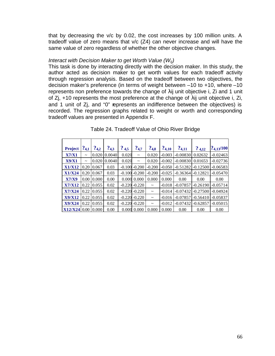that by decreasing the v/c by 0.02, the cost increases by 100 million units. A tradeoff value of zero means that v/c (Z4) can never increase and will have the same value of zero regardless of whether the other objective changes.

#### *Interact with Decision Maker to get Worth Value (Wij)*

This task is done by interacting directly with the decision maker. In this study, the author acted as decision maker to get worth values for each tradeoff activity through regression analysis. Based on the tradeoff between two objectives, the decision maker's preference (in terms of weight between –10 to +10, where –10 represents non preference towards the change of  $\lambda$ ij unit objective i, Zi and 1 unit of  $Z$ j, +10 represents the most preference at the change of  $\lambda$ ij unit objective i, Zi, and 1 unit of Zj, and "0" represents an indifference between the objectives) is recorded. The regression graphs related to weight or worth and corresponding tradeoff values are presented in Appendix F.

| <b>Project</b> | $?_{4,1}$   | $?_{4,2}$ | ?43    | ?4.5  | $?_{4,7}$         | ?4.8        | ?4,10    | ?4,11      | ?4,12      | ?4.13/100  |
|----------------|-------------|-----------|--------|-------|-------------------|-------------|----------|------------|------------|------------|
| <b>X7/X1</b>   | $\tilde{}$  | 0.020     | 0.0040 | 0.020 | $\thicksim$       | 0.020       | $-0.003$ | $-0.00830$ | 0.02632    | $-0.02463$ |
| <b>X9/X1</b>   | $\thicksim$ | 0.020     | 0.0040 | 0.020 | $\thicksim$       | 0.020       | $-0.002$ | $-0.00830$ | 0.01653    | $-0.02736$ |
| <b>X1/X12</b>  | 0.20        | 0.067     | 0.03   |       | $-0.100$ $-0.200$ | $-0.200$    | $-0.050$ | $-0.51282$ | $-0.12500$ | $-0.06583$ |
| X1/X24         | 0.20        | 0.067     | 0.03   |       | $-0.100 - 0.200$  | $-0.200$    | $-0.025$ | $-0.36364$ | $-0.12821$ | $-0.05470$ |
| <b>X7/X9</b>   | 0.00        | 0.000     | 0.00   | 0.000 | 0.000             | 0.000       | 0.000    | 0.00       | 0.00       | 0.00       |
| <b>X7/X12</b>  | 0.22        | 0.055     | 0.02   |       | $-0.220 - 0.220$  | $\tilde{}$  | $-0.018$ | $-0.07857$ | $-0.26190$ | $-0.05714$ |
| X7/X24         | 0.22        | 0.055     | 0.02   |       | $-0.220 - 0.220$  | $\thicksim$ | $-0.014$ | $-0.07432$ | $-0.27500$ | $-0.04924$ |
| <b>X9/X12</b>  | 0.22        | 0.055     | 0.02   |       | $-0.220 - 0.220$  | $\thicksim$ | $-0.016$ | $-0.07857$ | $-0.56410$ | $-0.05837$ |
| X9/X24         | 0.22        | 0.055     | 0.02   |       | $-0.220 - 0.220$  | $\thicksim$ | $-0.012$ | $-0.07432$ | $-0.62857$ | $-0.05015$ |
| <b>X12/X24</b> | 0.00        | 0.000     | 0.00   | 0.000 | 0.000             | 0.000       | 0.000    | 0.00       | 0.00       | 0.00       |

#### Table 24. Tradeoff Value of Ohio River Bridge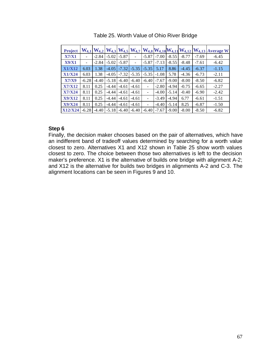| <b>Project</b> | $W_{4,1}$ |         |         |         |         |                          |         |         |         |         | $W_{4,2} W_{4,3} W_{4,5} W_{4,7} W_{4,8} W_{4,10} W_{4,11} W_{4,12} W_{4,13} A$ verage W |
|----------------|-----------|---------|---------|---------|---------|--------------------------|---------|---------|---------|---------|------------------------------------------------------------------------------------------|
| <b>X7/X1</b>   |           | $-2.84$ | $-5.02$ | $-5.87$ |         | $-5.87$                  | $-7.00$ | $-8.55$ | $-8.77$ | $-7.69$ | $-6.45$                                                                                  |
| X9/X1          |           | $-2.84$ | $-5.02$ | $-5.87$ | ۰       | $-5.87$                  | $-7.13$ | $-8.55$ | $-8.48$ | $-7.61$ | $-6.42$                                                                                  |
| <b>X1/X12</b>  | 6.03      | 1.38    | $-4.05$ | $-7.32$ | $-5.35$ | $-5.35$                  | 5.17    | 8.86    | $-4.45$ | $-6.37$ | $-1.15$                                                                                  |
| <b>X1/X24</b>  | 6.03      | 1.38    | $-4.05$ | $-7.32$ | $-5.35$ | $-5.35$                  | $-1.08$ | 5.78    | $-4.36$ | $-6.73$ | $-2.11$                                                                                  |
| X7/X9          | $-6.28$   | $-4.40$ | $-5.18$ | $-6.40$ | $-6.40$ | $-6.40$                  | $-7.67$ | $-9.00$ | $-8.00$ | $-8.50$ | $-6.82$                                                                                  |
| <b>X7/X12</b>  | 8.11      | 0.25    | $-4.44$ | $-4.61$ | $-4.61$ | $\overline{\phantom{a}}$ | $-2.80$ | $-4.94$ | $-0.75$ | $-6.65$ | $-2.27$                                                                                  |
| <b>X7/X24</b>  | 8.11      | 0.25    | $-4.44$ | $-4.61$ | $-4.61$ | $\overline{\phantom{a}}$ | $-4.00$ | $-5.14$ | $-0.40$ | $-6.90$ | $-2.42$                                                                                  |
| <b>X9/X12</b>  | 8.11      | 0.25    | -4.44   | $-4.61$ | $-4.61$ | $\overline{a}$           | $-3.49$ | $-4.94$ | 6.77    | $-6.61$ | $-1.51$                                                                                  |
| <b>X9/X24</b>  | 8.11      | 0.25    | $-4.44$ | $-4.61$ | $-4.61$ | $\overline{\phantom{a}}$ | $-4.40$ | $-5.14$ | 8.25    | $-6.87$ | $-1.50$                                                                                  |
| <b>X12/X24</b> | $-6.28$   | $-4.40$ | $-5.18$ | $-6.40$ | $-6.40$ | $-6.40$                  | $-7.67$ | $-9.00$ | $-8.00$ | $-8.50$ | $-6.82$                                                                                  |

| Table 25. Worth Value of Ohio River Bridge |  |  |  |  |  |
|--------------------------------------------|--|--|--|--|--|
|--------------------------------------------|--|--|--|--|--|

#### **Step 6**

Finally, the decision maker chooses based on the pair of alternatives, which have an indifferent band of tradeoff values determined by searching for a worth value closest to zero. Alternatives X1 and X12 shown in Table 25 show worth values closest to zero. The choice between those two alternatives is left to the decision maker's preference. X1 is the alternative of builds one bridge with alignment A-2; and X12 is the alternative for builds two bridges in alignments A-2 and C-3. The alignment locations can be seen in Figures 9 and 10.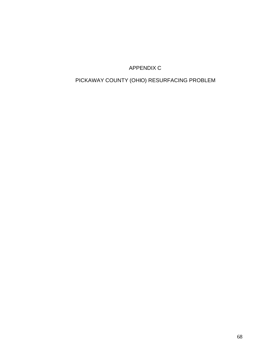## APPENDIX C

# PICKAWAY COUNTY (OHIO) RESURFACING PROBLEM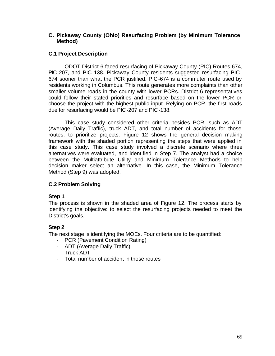### **C. Pickaway County (Ohio) Resurfacing Problem (by Minimum Tolerance Method)**

## **C.1 Project Description**

ODOT District 6 faced resurfacing of Pickaway County (PIC) Routes 674, PIC-207, and PIC-138. Pickaway County residents suggested resurfacing PIC-674 sooner than what the PCR justified. PIC-674 is a commuter route used by residents working in Columbus. This route generates more complaints than other smaller volume roads in the county with lower PCRs. District 6 representatives could follow their stated priorities and resurface based on the lower PCR or choose the project with the highest public input. Relying on PCR, the first roads due for resurfacing would be PIC-207 and PIC-138.

This case study considered other criteria besides PCR, such as ADT (Average Daily Traffic), truck ADT, and total number of accidents for those routes, to prioritize projects. Figure 12 shows the general decision making framework with the shaded portion representing the steps that were applied in this case study. This case study involved a discrete scenario where three alternatives were evaluated, and identified in Step 7. The analyst had a choice between the Multiattribute Utility and Minimum Tolerance Methods to help decision maker select an alternative. In this case, the Minimum Tolerance Method (Step 9) was adopted.

## **C.2 Problem Solving**

#### **Step 1**

The process is shown in the shaded area of Figure 12. The process starts by identifying the objective: to select the resurfacing projects needed to meet the District's goals.

## **Step 2**

The next stage is identifying the MOEs. Four criteria are to be quantified:

- PCR (Pavement Condition Rating)
- ADT (Average Daily Traffic)
- Truck ADT
- Total number of accident in those routes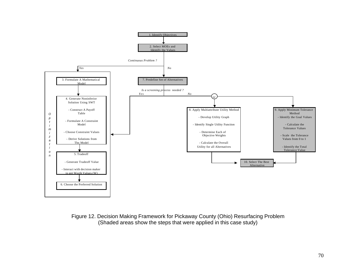

#### Figure 12. Decision Making Framework for Pickaway County (Ohio) Resurfacing Problem (Shaded areas show the steps that were applied in this case study)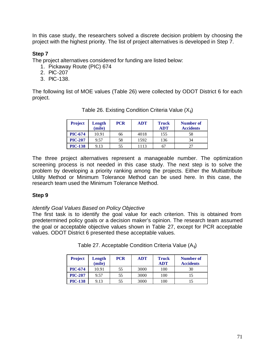In this case study, the researchers solved a discrete decision problem by choosing the project with the highest priority. The list of project alternatives is developed in Step 7.

## **Step 7**

The project alternatives considered for funding are listed below:

- 1. Pickaway Route (PIC) 674
- 2. PIC-207
- 3. PIC-138.

The following list of MOE values (Table 26) were collected by ODOT District 6 for each project.

| <b>Project</b> | Length<br>(mile) | <b>PCR</b> | <b>ADT</b> | Truck<br><b>ADT</b> | Number of<br><b>Accidents</b> |
|----------------|------------------|------------|------------|---------------------|-------------------------------|
| <b>PIC-674</b> | 10.91            | 66         | 4018       | 155                 | 58                            |
| <b>PIC-207</b> | 9.57             | 58         | 1592       | 136                 | 34                            |
| <b>PIC-138</b> | 9.13             | 55         | 1113       | 67                  |                               |

Table 26. Existing Condition Criteria Value  $(X_{ii})$ 

The three project alternatives represent a manageable number. The optimization screening process is not needed in this case study. The next step is to solve the problem by developing a priority ranking among the projects. Either the Multiattribute Utility Method or Minimum Tolerance Method can be used here. In this case, the research team used the Minimum Tolerance Method.

## **Step 9**

*Identify Goal Values Based on Policy Objective*

The first task is to identify the goal value for each criterion. This is obtained from predetermined policy goals or a decision maker's opinion. The research team assumed the goal or acceptable objective values shown in Table 27, except for PCR acceptable values. ODOT District 6 presented these acceptable values.

| <b>Project</b> | Length<br>(mile) | <b>PCR</b> | <b>ADT</b> | <b>Truck</b><br><b>ADT</b> | <b>Number of</b><br><b>Accidents</b> |
|----------------|------------------|------------|------------|----------------------------|--------------------------------------|
| <b>PIC-674</b> | 10.91            | 55         | 3000       | 100                        | 30                                   |
| <b>PIC-207</b> | 9.57             | 55         | 3000       | 100                        |                                      |
| <b>PIC-138</b> | 9.13             | 55         | 3000       | 100                        |                                      |

Table 27. Acceptable Condition Criteria Value  $(A_{ii})$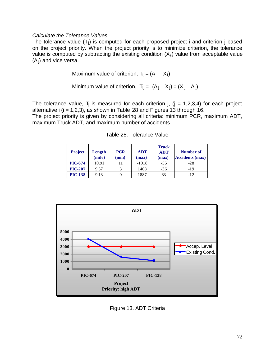#### *Calculate the Tolerance Values*

The tolerance value  $(T_{ii})$  is computed for each proposed project i and criterion j based on the project priority. When the project priority is to minimize criterion, the tolerance value is computed by subtracting the existing condition  $(X_{ii})$  value from acceptable value  $(A_{ii})$  and vice versa.

Maximum value of criterion,  $T_{ij} = (A_{ij} - X_{ij})$ 

Minimum value of criterion, 
$$
T_{ij} = -(A_{ij} - X_{ij}) = (X_{ij} - A_{ij})
$$

The tolerance value,  $T_{ii}$  is measured for each criterion j, (j = 1,2,3,4) for each project alternative i  $(i = 1,2,3)$ , as shown in Table 28 and Figures 13 through 16.

The project priority is given by considering all criteria: minimum PCR, maximum ADT, maximum Truck ADT, and maximum number of accidents.

| <b>Project</b> | Length<br>(mile) | <b>PCR</b><br>(min) | <b>ADT</b><br>(max) | <b>Truck</b><br><b>ADT</b><br>(max) | <b>Number of</b><br><b>Accidents (max)</b> |
|----------------|------------------|---------------------|---------------------|-------------------------------------|--------------------------------------------|
| <b>PIC-674</b> | 10.91            |                     | $-1018$             | $-55$                               | -28                                        |
| <b>PIC-207</b> | 9.57             |                     | 1408                | $-36$                               | $-19$                                      |
| <b>PIC-138</b> | 9.13             |                     | 1887                | 33                                  | $-12$                                      |

Table 28. Tolerance Value



Figure 13. ADT Criteria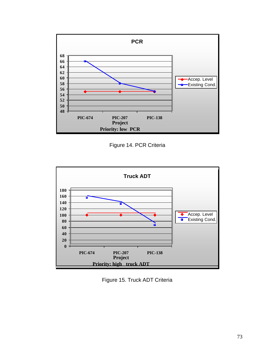

Figure 14. PCR Criteria



Figure 15. Truck ADT Criteria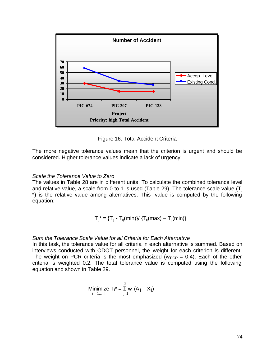

Figure 16. Total Accident Criteria

The more negative tolerance values mean that the criterion is urgent and should be considered. Higher tolerance values indicate a lack of urgency.

#### *Scale the Tolerance Value to Zero*

The values in Table 28 are in different units. To calculate the combined tolerance level and relative value, a scale from 0 to 1 is used (Table 29). The tolerance scale value ( $T_{ii}$ \*) is the relative value among alternatives. This value is computed by the following equation:

$$
{T_{ij}}^*=\{T_{ij}-T_{ij}(min)\}/\ \{T_{ij}(max)-T_{ij}(min)\}
$$

#### *Sum the Tolerance Scale Value for all Criteria for Each Alternative*

In this task, the tolerance value for all criteria in each alternative is summed. Based on interviews conducted with ODOT personnel, the weight for each criterion is different. The weight on PCR criteria is the most emphasized ( $w_{PCR} = 0.4$ ). Each of the other criteria is weighted 0.2. The total tolerance value is computed using the following equation and shown in Table 29.

Minimize 
$$
T_i^* = \sum_{j=1}^J w_j (A_{ij} - X_{ij})
$$
  
<sub>i = 1,...,l</sub>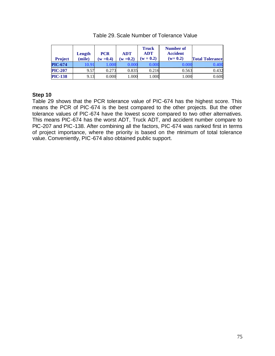| <b>Project</b> | Length<br>(mile) | <b>PCR</b><br>$w = 0.4$ | <b>ADT</b><br>$(w = 0.2)$ | <b>Truck</b><br><b>ADT</b><br>$(w = 0.2)$ | Number of<br><b>Accident</b><br>$(w=0.2)$ | <b>Total Tolerance</b> |
|----------------|------------------|-------------------------|---------------------------|-------------------------------------------|-------------------------------------------|------------------------|
| <b>PIC-674</b> | 10.91            | .006                    | 0.000                     | 0.00                                      |                                           | 0.400                  |
| <b>PIC-207</b> | 9.57             | 0.273                   | 0.835                     | 0.216                                     | 0.563                                     | 0.432                  |
| <b>PIC-138</b> | 9.13             | 0.000                   | 1.000                     | 1.000                                     | 000                                       | 0.600                  |

#### Table 29. Scale Number of Tolerance Value

#### **Step 10**

Table 29 shows that the PCR tolerance value of PIC-674 has the highest score. This means the PCR of PIC-674 is the best compared to the other projects. But the other tolerance values of PIC-674 have the lowest score compared to two other alternatives. This means PIC-674 has the worst ADT, Truck ADT, and accident number compare to PIC-207 and PIC-138. After combining all the factors, PIC-674 was ranked first in terms of project importance, where the priority is based on the minimum of total tolerance value. Conveniently, PIC-674 also obtained public support.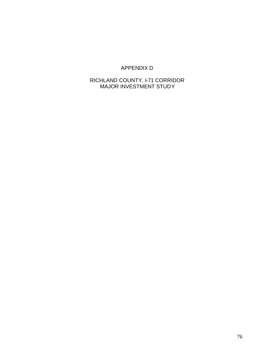## APPENDIX D

## RICHLAND COUNTY, I-71 CORRIDOR MAJOR INVESTMENT STUDY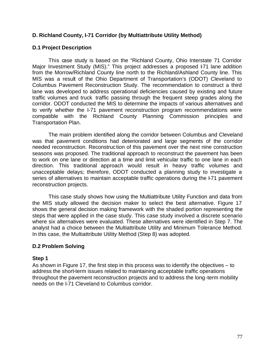## **D. Richland County, I-71 Corridor (by Multiattribute Utility Method)**

#### **D.1 Project Description**

This case study is based on the "Richland County, Ohio Interstate 71 Corridor Major Investment Study (MIS)." This project addresses a proposed F71 lane addition from the Morrow/Richland County line north to the Richland/Ashland County line. This MIS was a result of the Ohio Department of Transportation's (ODOT) Cleveland to Columbus Pavement Reconstruction Study. The recommendation to construct a third lane was developed to address operational deficiencies caused by existing and future traffic volumes and truck traffic passing through the frequent steep grades along the corridor. ODOT conducted the MIS to determine the impacts of various alternatives and to verify whether the I-71 pavement reconstruction program recommendations were compatible with the Richland County Planning Commission principles and Transportation Plan.

The main problem identified along the corridor between Columbus and Cleveland was that pavement conditions had deteriorated and large segments of the corridor needed reconstruction. Reconstruction of this pavement over the next nine construction seasons was proposed. The traditional approach to reconstruct the pavement has been to work on one lane or direction at a time and limit vehicular traffic to one lane in each direction. This traditional approach would result in heavy traffic volumes and unacceptable delays; therefore, ODOT conducted a planning study to investigate a series of alternatives to maintain acceptable traffic operations during the F71 pavement reconstruction projects.

This case study shows how using the Multiattribute Utility Function and data from the MIS study allowed the decision maker to select the best alternative. Figure 17 shows the general decision making framework with the shaded portion representing the steps that were applied in the case study. This case study involved a discrete scenario where six alternatives were evaluated. These alternatives were identified in Step 7. The analyst had a choice between the Multiattribute Utility and Minimum Tolerance Method. In this case, the Multiattribute Utility Method (Step 8) was adopted.

#### **D.2 Problem Solving**

#### **Step 1**

As shown in Figure 17, the first step in this process was to identify the objectives – to address the short-term issues related to maintaining acceptable traffic operations throughout the pavement reconstruction projects and to address the long-term mobility needs on the I-71 Cleveland to Columbus corridor.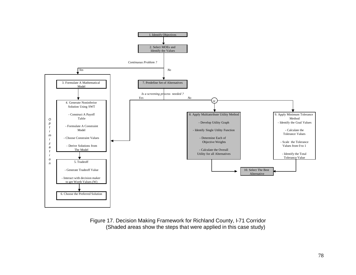

Figure 17. Decision Making Framework for Richland County, I-71 Corridor (Shaded areas show the steps that were applied in this case study)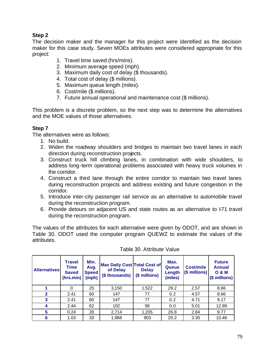## **Step 2**

The decision maker and the manager for this project were identified as the decision maker for this case study. Seven MOEs attributes were considered appropriate for this project:

- 1. Travel time saved (hrs/mins).
- 2. Minimum average speed (mph).
- 3. Maximum daily cost of delay (\$ thousands).
- 4. Total cost of delay (\$ millions).
- 5. Maximum queue length (miles).
- 6. Cost/mile (\$ millions).
- 7. Future annual operational and maintenance cost (\$ millions).

This problem is a discrete problem, so the next step was to determine the alternatives and the MOE values of those alternatives.

## **Step 7**

The alternatives were as follows:

- 1. No build.
- 2. Widen the roadway shoulders and bridges to maintain two travel lanes in each direction during reconstruction projects.
- 3. Construct truck hill climbing lanes, in combination with wide shoulders, to address long-term operational problems associated with heavy truck volumes in the corridor.
- 4. Construct a third lane through the entire corridor to maintain two travel lanes during reconstruction projects and address existing and future congestion in the corridor.
- 5. Introduce inter-city passenger rail service as an alternative to automobile travel during the reconstruction program.
- 6. Provide detours on adjacent US and state routes as an alternative to F71 travel during the reconstruction program.

The values of the attributes for each alternative were given by ODOT, and are shown in Table 30. ODOT used the computer program QUEWZ to estimate the values of the attributes.

| <b>Alternatives</b> | Travel<br>Time<br><b>Saved</b><br>(hrs.min) | Min.<br>Avg.<br><b>Speed</b><br>(mph) | <b>Max Daily Cost Total Cost of</b><br>of Delay<br>(\$ thousands) | <b>Delay</b><br>(\$ millions) | Max.<br>Queue<br>Length<br>(miles) | <b>Cost/mile</b><br>(\$ millions) | <b>Future</b><br><b>Annual</b><br><b>O &amp; M</b><br>(\$ millions) |
|---------------------|---------------------------------------------|---------------------------------------|-------------------------------------------------------------------|-------------------------------|------------------------------------|-----------------------------------|---------------------------------------------------------------------|
|                     | 0                                           | 25                                    | 3,150                                                             | 1,522                         | 29.2                               | 2.57                              | 8.66                                                                |
| $\mathbf{2}$        | 2.41                                        | 60                                    | 147                                                               | 77                            | 0.2                                | 4.57                              | 8.66                                                                |
| 3                   | 2.41                                        | 60                                    | 147                                                               | 77                            | 0.2                                | 4.71                              | 9.17                                                                |
| 4                   | 2.44                                        | 62                                    | 102                                                               | 58                            | 0.0                                | 5.01                              | 12.99                                                               |
| 5                   | 0.24                                        | 28                                    | 2,714                                                             | 1,205                         | 26.8                               | 2.84                              | 9.77                                                                |
| 6                   | 1.03                                        | 33                                    | 1,968                                                             | 903                           | 20.2                               | 3.30                              | 10.46                                                               |

#### Table 30. Attribute Value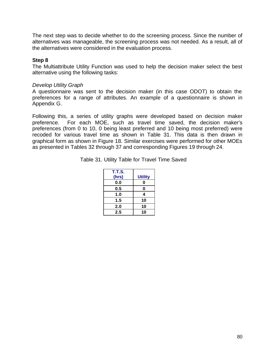The next step was to decide whether to do the screening process. Since the number of alternatives was manageable, the screening process was not needed. As a result, all of the alternatives were considered in the evaluation process.

#### **Step 8**

The Multiattribute Utility Function was used to help the decision maker select the best alternative using the following tasks:

#### *Develop Utility Graph*

A questionnaire was sent to the decision maker (in this case ODOT) to obtain the preferences for a range of attributes. An example of a questionnaire is shown in Appendix G.

Following this, a series of utility graphs were developed based on decision maker preference. For each MOE, such as travel time saved, the decision maker's preferences (from 0 to 10, 0 being least preferred and 10 being most preferred) were recoded for various travel time as shown in Table 31. This data is then drawn in graphical form as shown in Figure 18. Similar exercises were performed for other MOEs as presented in Tables 32 through 37 and corresponding Figures 19 through 24.

|  |  |  |  | Table 31. Utility Table for Travel Time Saved |
|--|--|--|--|-----------------------------------------------|
|--|--|--|--|-----------------------------------------------|

| <b>T.T.S.</b> |                |
|---------------|----------------|
| (hrs)         | <b>Utility</b> |
| 0.0           | 0              |
| 0.5           | 0              |
| 1.0           | 4              |
| 1.5           | 10             |
| 2.0           | 10             |
| 2.5           | 10             |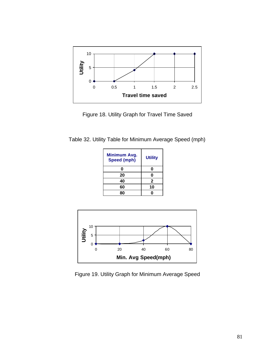

Figure 18. Utility Graph for Travel Time Saved

Table 32. Utility Table for Minimum Average Speed (mph)

| <b>Minimum Avg.</b><br>Speed (mph) | <b>Utility</b> |
|------------------------------------|----------------|
| 0                                  |                |
| 20                                 |                |
| 40                                 | 2              |
| 60                                 | 10             |
|                                    |                |



Figure 19. Utility Graph for Minimum Average Speed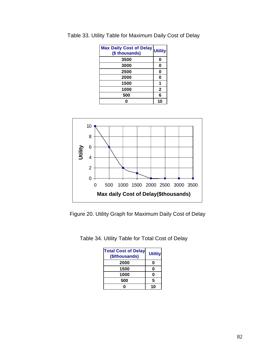| Max Daily Cost of Delay Utility<br>(\$ thousands) |              |
|---------------------------------------------------|--------------|
| 3500                                              | 0            |
| 3000                                              | 0            |
| 2500                                              | 0            |
| 2000                                              | 0            |
| 1500                                              | 1            |
| 1000                                              | $\mathbf{2}$ |
| 500                                               | 6            |
|                                                   |              |

Table 33. Utility Table for Maximum Daily Cost of Delay



Figure 20. Utility Graph for Maximum Daily Cost of Delay

Table 34. Utility Table for Total Cost of Delay

| <b>Total Cost of Delay</b><br>(\$/thousands) | <b>Utility</b> |
|----------------------------------------------|----------------|
| 2000                                         | Ω              |
| 1500                                         | 0              |
| 1000                                         | 0              |
| 500                                          | 5              |
|                                              |                |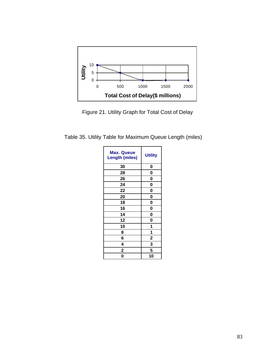

Figure 21. Utility Graph for Total Cost of Delay

Table 35. Utility Table for Maximum Queue Length (miles)

| <b>Max. Queue</b><br><b>Length (miles)</b> | <b>Utility</b> |
|--------------------------------------------|----------------|
| 30                                         | 0              |
| 28                                         | 0              |
| 26                                         | 0              |
| 24                                         | 0              |
| 22                                         | 0              |
| 20                                         | 0              |
| 18                                         | 0              |
| 16                                         | 0              |
| 14                                         | 0              |
| 12                                         | 0              |
| 10                                         | 1              |
| 8                                          | 1              |
| 6                                          | $\overline{2}$ |
| 4                                          | 3              |
| 2                                          | 5              |
| 0                                          | 10             |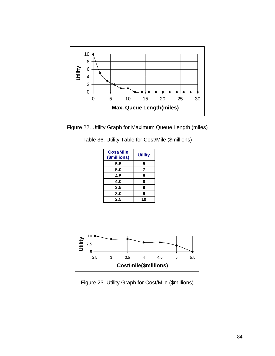

Figure 22. Utility Graph for Maximum Queue Length (miles)

|  |  |  |  |  | Table 36. Utility Table for Cost/Mile (\$millions) |  |
|--|--|--|--|--|----------------------------------------------------|--|
|--|--|--|--|--|----------------------------------------------------|--|

| <b>Cost/Mile</b><br>(\$millions) | <b>Utility</b> |
|----------------------------------|----------------|
| 5.5                              | 5              |
| 5.0                              | 7              |
| 4.5                              | 8              |
| 4.0                              | 8              |
| 3.5                              | 9              |
| 3.0                              | 9              |
| 2.5                              | 10             |
|                                  |                |



Figure 23. Utility Graph for Cost/Mile (\$millions)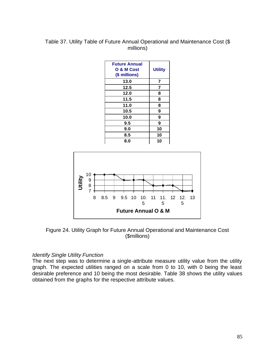### Table 37. Utility Table of Future Annual Operational and Maintenance Cost (\$ millions)

| <b>Future Annual</b><br>O & M Cost<br>(\$ millions) | <b>Utility</b> |
|-----------------------------------------------------|----------------|
| 13.0                                                | 7              |
| 12.5                                                | 7              |
| 12.0                                                | 8              |
| 11.5                                                | 8              |
| 11.0                                                | 8              |
| 10.5                                                | 9              |
| 10.0                                                | 9              |
| 9.5                                                 | 9              |
| 9.0                                                 | 10             |
| 8.5                                                 | 10             |
| 8.0                                                 | 10             |
|                                                     |                |



Figure 24. Utility Graph for Future Annual Operational and Maintenance Cost (\$millions)

#### *Identify Single Utility Function*

The next step was to determine a single-attribute measure utility value from the utility graph. The expected utilities ranged on a scale from 0 to 10, with 0 being the least desirable preference and 10 being the most desirable. Table 38 shows the utility values obtained from the graphs for the respective attribute values.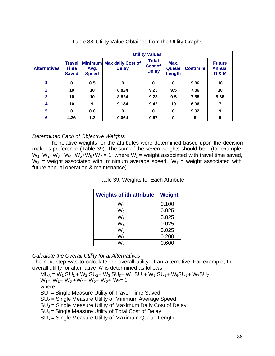|                     | <b>Utility Values</b>                        |                      |                                           |                                                |                                |                  |                                                    |  |
|---------------------|----------------------------------------------|----------------------|-------------------------------------------|------------------------------------------------|--------------------------------|------------------|----------------------------------------------------|--|
| <b>Alternatives</b> | <b>Travel</b><br><b>Time</b><br><b>Saved</b> | Avg.<br><b>Speed</b> | Minimum Max daily Cost of<br><b>Delay</b> | <b>Total</b><br><b>Cost of</b><br><b>Delay</b> | Max.<br><b>Queue</b><br>Length | <b>Cost/mile</b> | <b>Future</b><br><b>Annual</b><br><b>O &amp; M</b> |  |
|                     | 0                                            | 0.5                  | 0                                         | 0                                              | 0                              | 9.86             | 10                                                 |  |
| $\mathbf{2}$        | 10                                           | 10                   | 8.824                                     | 9.23                                           | 9.5                            | 7.86             | 10                                                 |  |
| 3                   | 10                                           | 10                   | 8.824                                     | 9.23                                           | 9.5                            | 7.58             | 9.66                                               |  |
| $\boldsymbol{4}$    | 10                                           | 9                    | 9.184                                     | 9.42                                           | 10                             | 6.96             |                                                    |  |
| 5                   | $\bf{0}$                                     | 0.8                  | 0                                         | 0                                              | $\bf{0}$                       | 9.32             | 9                                                  |  |
| 6                   | 4.36                                         | 1.3                  | 0.064                                     | 0.97                                           | $\bf{0}$                       | 9                | 9                                                  |  |

#### Table 38. Utility Value Obtained from the Utility Graphs

#### *Determined Each of Objective Weights*

The relative weights for the attributes were determined based upon the decision maker's preference (Table 39). The sum of the seven weights should be 1 (for example,  $W_1+W_2+W_3+W_4+W_5+W_6+W_7=1$ , where  $W_1$  = weight associated with travel time saved,  $W_2$  = weight associated with minimum average speed,  $W_7$  = weight associated with future annual operation & maintenance).

Table 39. Weights for Each Attribute

| <b>Weights of ith attribute</b> | <b>Weight</b> |
|---------------------------------|---------------|
| W1                              | 0.100         |
| W2                              | 0.025         |
| $W_3$                           | 0.025         |
| W <sub>4</sub>                  | 0.025         |
| $W_5$                           | 0.025         |
| $W_6$                           | 0.200         |
| W-                              | 0.600         |

*Calculate the Overall Utility for al Alternatives*

The next step was to calculate the overall utility of an alternative. For example, the overall utility for alternative 'A' is determined as follows:

 $MU_A = W_1 SU_1 + W_2 SU_2 + W_3 SU_3 + W_4 SU_4 + W_5 SU_5 + W_6 SU_6 + W_7 SU_7$  $W_1$ + W<sub>2</sub>+ W<sub>3</sub> +W<sub>4</sub>+ W<sub>5</sub>+ W<sub>6</sub>+ W<sub>7</sub>= 1

where,

- $SU<sub>1</sub>$  = Single Measure Utility of Travel Time Saved
- $SU<sub>2</sub>$  = Single Measure Utility of Minimum Average Speed
- $SU<sub>3</sub>$  = Single Measure Utility of Maximum Daily Cost of Delay
- $SU<sub>4</sub>$  = Single Measure Utility of Total Cost of Delay
- $SU<sub>5</sub> =$  Single Measure Utility of Maximum Queue Length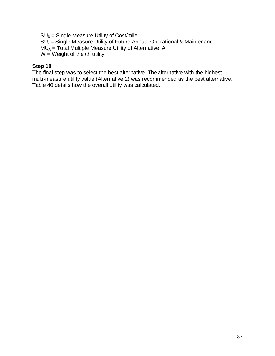$SU_6$  = Single Measure Utility of Cost/mile  $SU<sub>7</sub>$  = Single Measure Utility of Future Annual Operational & Maintenance  $MU_A$  = Total Multiple Measure Utility of Alternative 'A'  $W_i$  = Weight of the *i*th utility

## **Step 10**

The final step was to select the best alternative. The alternative with the highest multi-measure utility value (Alternative 2) was recommended as the best alternative. Table 40 details how the overall utility was calculated.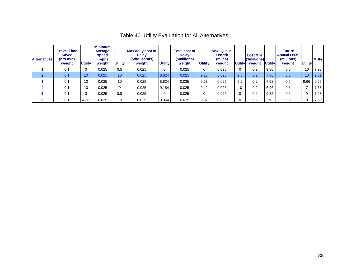| <b>Alternatives</b> | <b>Travel Time</b><br><b>Saved</b><br>(hrs.min)<br>weight | <b>Utility</b>  | <b>Minimum</b><br>Average<br>speed<br>(mph)<br>weight | <b>Utility</b>  | Max daily cost of<br><b>Delay</b><br>(\$thousands)<br>weight | <b>Utility</b> | <b>Total cost of</b><br><b>Delay</b><br>(\$millions)<br>weight | <b>Utility</b> | <b>Max. Queue</b><br>Length<br>(miles)<br>weight | <b>Utility</b> | <b>Cost/Mile</b><br>(\$millions)<br>weight | <b>Utility</b> | <b>Future</b><br><b>Annual O&amp;M</b><br>(millions)<br>weight | <b>Utility</b> | <b>MUFi</b> |
|---------------------|-----------------------------------------------------------|-----------------|-------------------------------------------------------|-----------------|--------------------------------------------------------------|----------------|----------------------------------------------------------------|----------------|--------------------------------------------------|----------------|--------------------------------------------|----------------|----------------------------------------------------------------|----------------|-------------|
|                     | 0.1                                                       | 0               | 0.025                                                 | 0.5             | 0.025                                                        | 0              | 0.025                                                          | 0              | 0.025                                            |                | 0.2                                        | 9.86           | 0.6                                                            | 10             | 7.98        |
|                     | 0.1                                                       | 10 <sup>°</sup> | 0.025                                                 | 10 <sup>°</sup> | 0.025                                                        | 8.824          | 0.025                                                          | 9.23           | 0.025                                            | 9.5            | 0.2                                        | 7.86           | 0.6                                                            | 10             | 9.51        |
|                     | 0.1                                                       | 10              | 0.025                                                 | 10              | 0.025                                                        | 8.824          | 0.025                                                          | 9.23           | 0.025                                            | 9.5            | 0.2                                        | 7.58           | 0.6                                                            | 9.66           | 9.25        |
|                     | 0.1                                                       | 10              | 0.025                                                 | 9               | 0.025                                                        | 9.184          | 0.025                                                          | 9.42           | 0.025                                            | 10             | 0.2                                        | 6.96           | 0.6                                                            |                | 7.53        |
|                     | 0.1                                                       | 0               | 0.025                                                 | 0.8             | 0.025                                                        | 0              | 0.025                                                          | $\mathbf 0$    | 0.025                                            |                | 0.2                                        | 9.32           | 0.6                                                            | 9              | 7.28        |
|                     | 0.1                                                       | 4.36            | 0.025                                                 | 1.3             | 0.025                                                        | 0.064          | 0.025                                                          | 0.97           | 0.025                                            |                | 0.2                                        | 9              | 0.6                                                            | 9              | 7.69        |

# Table 40. Utility Evaluation for All Alternatives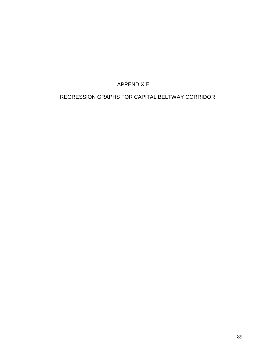## APPENDIX E

## REGRESSION GRAPHS FOR CAPITAL BELTWAY CORRIDOR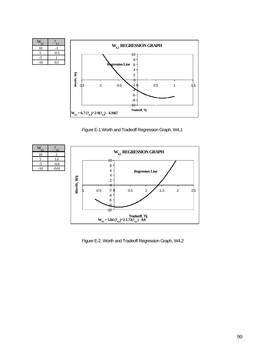

Figure E-1 Worth and Tradeoff Regression Graph, W4,1



Figure E-2. Worth and Tradeoff Regression Graph, W4,2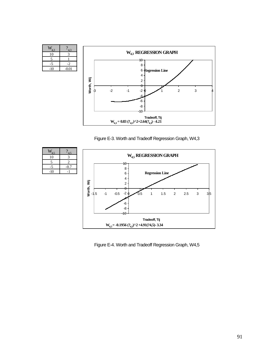| 4.3  | 4.3     |
|------|---------|
| 10   |         |
| 5    |         |
| $-5$ | $-2$    |
| -10  | $-0.01$ |



Figure E-3. Worth and Tradeoff Regression Graph, W4,3

| $V_{4.5}$ | 4.5    |
|-----------|--------|
| 10        | 3      |
| 5         | 2      |
|           | $-0.7$ |
| $-10$     |        |
|           |        |



Figure E-4. Worth and Tradeoff Regression Graph, W4,5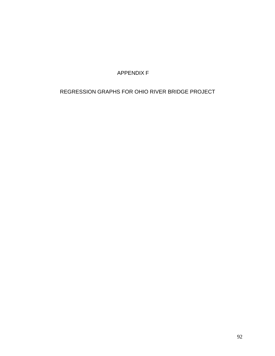APPENDIX F

## REGRESSION GRAPHS FOR OHIO RIVER BRIDGE PROJECT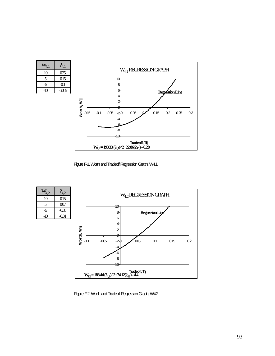| $W_{4,1}$ | $\frac{2}{4,1}$ |
|-----------|-----------------|
| 10        | 025             |
| 5         | 0.15            |
| -5        | -0.1            |
|           | -0.005          |



Figure F-1. Worth and Tradeoff Regression Graph, W4,1



Figure F-2. Worth and Tradeoff Regression Graph, W4,2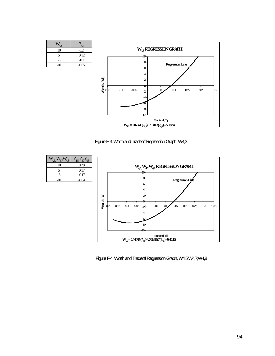



Figure F-3. Worth and Tradeoff Regression Graph, W4,3



Figure F-4. Worth and Tradeoff Regression Graph, W4,5;W4,7;W4,8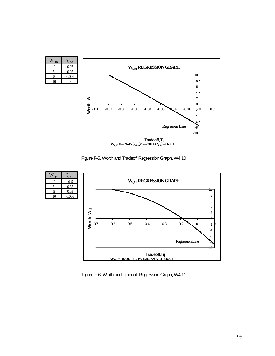| $W_{4,10}$<br>- 10 | $?_{4,10}$<br>$-0.07$ |                                                                                | $W_{4,10}$ REGRESSION GRAPH                          |  |  |
|--------------------|-----------------------|--------------------------------------------------------------------------------|------------------------------------------------------|--|--|
| 5<br>$-5$          | $-0.05$<br>$-0.001$   |                                                                                | 10                                                   |  |  |
| $-10$              | $\Omega$              |                                                                                | 8                                                    |  |  |
|                    |                       |                                                                                | 6                                                    |  |  |
|                    |                       |                                                                                | 4                                                    |  |  |
|                    |                       |                                                                                | $\overline{2}$                                       |  |  |
|                    |                       | Worth, Wij                                                                     | 0                                                    |  |  |
|                    |                       | $-0.07$<br>$-0.06$<br>$-0.05$<br>$-0.08$                                       | $-0.01$<br>$-0.04$<br>$-0.03$<br>0.01<br>002<br>-2 0 |  |  |
|                    |                       |                                                                                | -4                                                   |  |  |
|                    |                       |                                                                                | -6<br><b>Regression Line</b><br>$-8$<br>-10          |  |  |
|                    |                       | Tradeoff, Tij<br>$W_{410} = -276.45 (?_{4.10})^2 - 270.66 (?_{4.10}) - 7.6761$ |                                                      |  |  |

Figure F-5. Worth and Tradeoff Regression Graph, W4,10



Figure F-6. Worth and Tradeoff Regression Graph, W4,11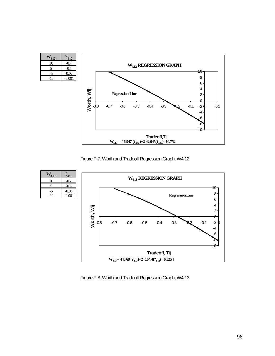| $W_{4,12}$<br>10<br>5 | $?_{4,12}$<br>$-0.7$<br>$-0.5$ |                      |                                                                                 |                        | W <sub>4.12</sub> REGRESSION GRAPH |        |        |     |        |                              |     |
|-----------------------|--------------------------------|----------------------|---------------------------------------------------------------------------------|------------------------|------------------------------------|--------|--------|-----|--------|------------------------------|-----|
| $-5$<br>$-10$         | $-0.02$<br>$-0.001$            |                      |                                                                                 |                        |                                    |        |        |     |        | 10<br>8                      |     |
|                       |                                |                      |                                                                                 | <b>Regression Line</b> |                                    |        |        |     |        | 6<br>4                       |     |
|                       |                                | Worth, Wij<br>$-0.8$ | $-0.7$                                                                          | $-0.6$                 | $-0.5$                             | $-0.4$ | $-0.3$ | -02 | $-0.1$ | $\overline{c}$<br>θ<br>$-20$ | 0,1 |
|                       |                                |                      |                                                                                 |                        |                                    |        |        |     |        | $-4$<br>-6                   |     |
|                       |                                |                      |                                                                                 |                        |                                    |        |        |     |        | $-8$<br>-10                  |     |
|                       |                                |                      | Tradeoff, Tij<br>$W_{4,12} = -16.947 (?_{4,12})^2 - 42.045 (?_{4,12}) - 10.752$ |                        |                                    |        |        |     |        |                              |     |

Figure F-7. Worth and Tradeoff Regression Graph, W4,12



Figure F-8. Worth and Tradeoff Regression Graph, W4,13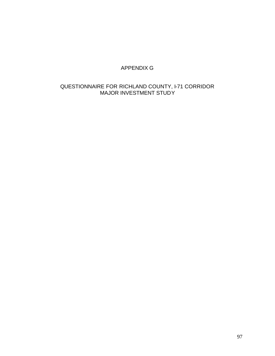## APPENDIX G

## QUESTIONNAIRE FOR RICHLAND COUNTY, I-71 CORRIDOR MAJOR INVESTMENT STUDY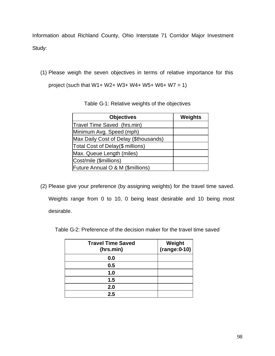Information about Richland County, Ohio Interstate 71 Corridor Major Investment Study:

(1) Please weigh the seven objectives in terms of relative importance for this

project (such that  $W1 + W2 + W3 + W4 + W5 + W6 + W7 = 1$ )

| <b>Objectives</b>                     | <b>Weights</b> |
|---------------------------------------|----------------|
| Travel Time Saved (hrs.min)           |                |
| Minimum Avg. Speed (mph)              |                |
| Max Daily Cost of Delay (\$thousands) |                |
| Total Cost of Delay(\$ millions)      |                |
| Max. Queue Length (miles)             |                |
| Cost/mile (\$millions)                |                |
| Future Annual O & M (\$millions)      |                |

(2) Please give your preference (by assigning weights) for the travel time saved. Weights range from 0 to 10, 0 being least desirable and 10 being most desirable.

Table G-2: Preference of the decision maker for the travel time saved

| <b>Travel Time Saved</b><br>(hrs.min) | Weight<br>$(range:0-10)$ |
|---------------------------------------|--------------------------|
| 0.0                                   |                          |
| 0.5                                   |                          |
| 1.0                                   |                          |
| 1.5                                   |                          |
| 2.0                                   |                          |
| 2.5                                   |                          |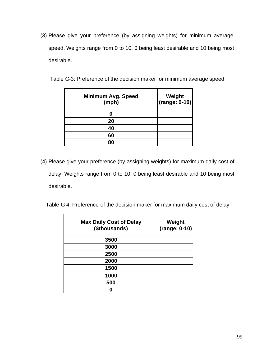(3) Please give your preference (by assigning weights) for minimum average speed. Weights range from 0 to 10, 0 being least desirable and 10 being most desirable.

| <b>Minimum Avg. Speed</b><br>(mph) | Weight<br>(range: 0-10) |
|------------------------------------|-------------------------|
|                                    |                         |
| 20                                 |                         |
| 40                                 |                         |
| 60                                 |                         |
| 80                                 |                         |

Table G-3: Preference of the decision maker for minimum average speed

- (4) Please give your preference (by assigning weights) for maximum daily cost of delay. Weights range from 0 to 10, 0 being least desirable and 10 being most desirable.
	- Table G-4: Preference of the decision maker for maximum daily cost of delay

| <b>Max Daily Cost of Delay</b><br>(\$thousands) | Weight<br>(range: 0-10) |
|-------------------------------------------------|-------------------------|
| 3500                                            |                         |
| 3000                                            |                         |
| 2500                                            |                         |
| 2000                                            |                         |
| 1500                                            |                         |
| 1000                                            |                         |
| 500                                             |                         |
|                                                 |                         |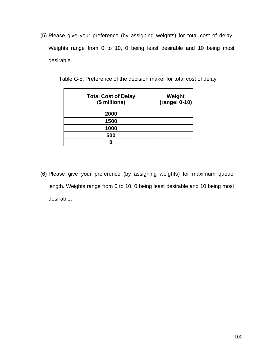(5) Please give your preference (by assigning weights) for total cost of delay. Weights range from 0 to 10, 0 being least desirable and 10 being most desirable.

| <b>Total Cost of Delay</b><br>(\$ millions) | Weight<br>$(range: 0-10)$ |
|---------------------------------------------|---------------------------|
| 2000                                        |                           |
| 1500                                        |                           |
| 1000                                        |                           |
| 500                                         |                           |
|                                             |                           |

Table G-5: Preference of the decision maker for total cost of delay

(6) Please give your preference (by assigning weights) for maximum queue length. Weights range from 0 to 10, 0 being least desirable and 10 being most desirable.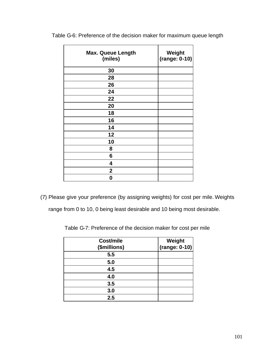| <b>Max. Queue Length</b><br>(miles) | Weight<br>$(range: 0-10)$ |
|-------------------------------------|---------------------------|
| 30                                  |                           |
| 28                                  |                           |
| 26                                  |                           |
| 24                                  |                           |
| 22                                  |                           |
| 20                                  |                           |
| 18                                  |                           |
| 16                                  |                           |
| 14                                  |                           |
| 12                                  |                           |
| 10                                  |                           |
| 8                                   |                           |
| 6                                   |                           |
| 4                                   |                           |
| $\overline{2}$                      |                           |
| 0                                   |                           |

Table G-6: Preference of the decision maker for maximum queue length

(7) Please give your preference (by assigning weights) for cost per mile. Weights

range from 0 to 10, 0 being least desirable and 10 being most desirable.

Table G-7: Preference of the decision maker for cost per mile

| Cost/mile<br>(\$millions) | Weight<br>$(range: 0-10)$ |
|---------------------------|---------------------------|
| 5.5                       |                           |
| 5.0                       |                           |
| 4.5                       |                           |
| 4.0                       |                           |
| 3.5                       |                           |
| 3.0                       |                           |
| 2.5                       |                           |